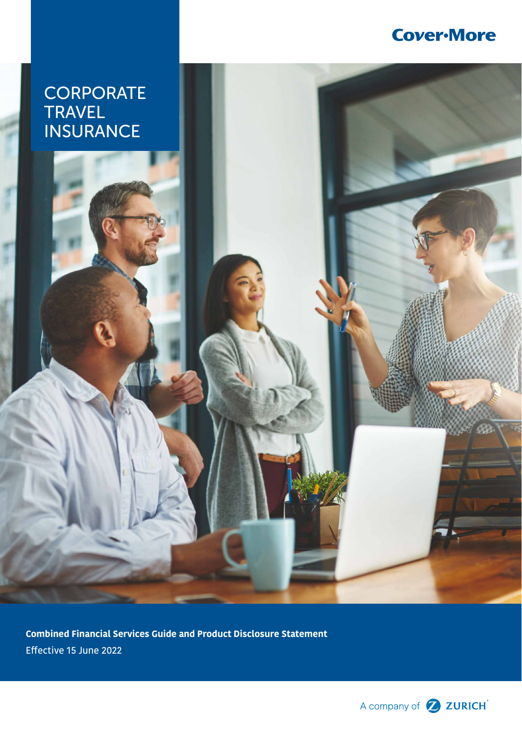# **Cover-More**

# **CORPORATE** TRAVEL INSURANCE

**Combined Financial Services Guide and Product Disclosure Statement** Effective 15 June 2022

A company of **2 ZURICH**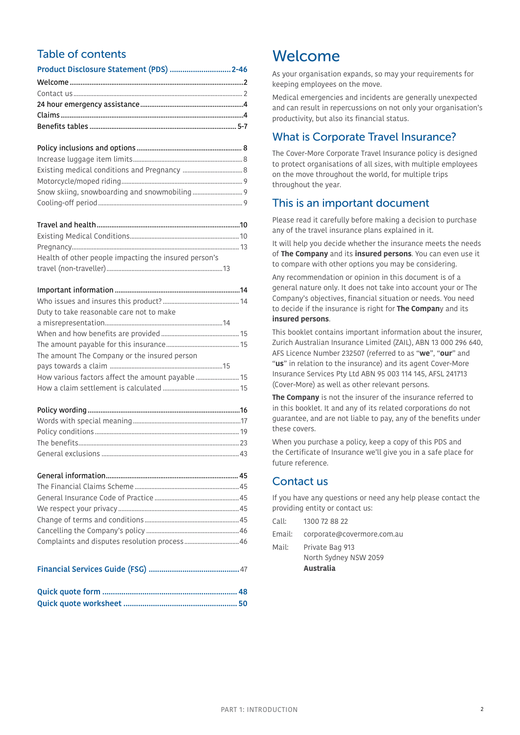## Table of contents

| Health of other people impacting the insured person's |  |
|-------------------------------------------------------|--|
|                                                       |  |

| Duty to take reasonable care not to make     |  |
|----------------------------------------------|--|
|                                              |  |
|                                              |  |
|                                              |  |
| The amount The Company or the insured person |  |
|                                              |  |
|                                              |  |
|                                              |  |

| Complaints and disputes resolution process 46 |  |
|-----------------------------------------------|--|

### Financial Services Guide (FSG) ...........................................[47](#page-46-0)

# <span id="page-1-0"></span>Welcome

As your organisation expands, so may your requirements for keeping employees on the move.

Medical emergencies and incidents are generally unexpected and can result in repercussions on not only your organisation's productivity, but also its financial status.

## What is Corporate Travel Insurance?

The Cover-More Corporate Travel Insurance policy is designed to protect organisations of all sizes, with multiple employees on the move throughout the world, for multiple trips throughout the year.

## This is an important document

Please read it carefully before making a decision to purchase any of the travel insurance plans explained in it.

It will help you decide whether the insurance meets the needs of **The Company** and its **insured persons**. You can even use it to compare with other options you may be considering.

Any recommendation or opinion in this document is of a general nature only. It does not take into account your or The Company's objectives, financial situation or needs. You need to decide if the insurance is right for **The Compan**y and its **insured persons**.

This booklet contains important information about the insurer, Zurich Australian Insurance Limited (ZAIL), ABN 13 000 296 640, AFS Licence Number 232507 (referred to as "**we**", "**our**" and "**us**" in relation to the insurance) and its agent Cover-More Insurance Services Pty Ltd ABN 95 003 114 145, AFSL 241713 (Cover-More) as well as other relevant persons.

**The Company** is not the insurer of the insurance referred to in this booklet. It and any of its related corporations do not guarantee, and are not liable to pay, any of the benefits under these covers.

When you purchase a policy, keep a copy of this PDS and the Certificate of Insurance we'll give you in a safe place for future reference.

# <span id="page-1-1"></span>Contact us

If you have any questions or need any help please contact the providing entity or contact us:

|        | <b>Australia</b>           |
|--------|----------------------------|
|        | North Sydney NSW 2059      |
| Mail:  | Private Bag 913            |
| Email: | corporate@covermore.com.au |
| Call:  | 1300 72 88 22              |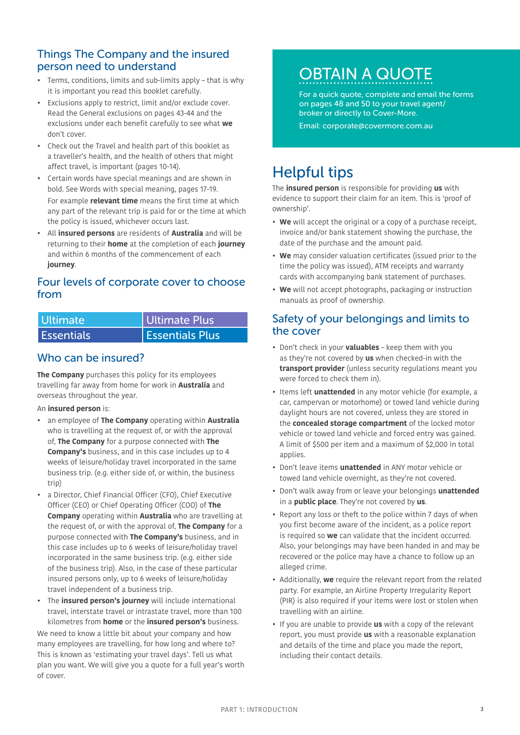### Things The Company and the insured person need to understand

- Terms, conditions, limits and sub-limits apply that is why it is important you read this booklet carefully.
- Exclusions apply to restrict, limit and/or exclude cover. Read the General exclusions on pages [43-](#page-42-0)[44](#page-43-0) and the exclusions under each benefit carefully to see what **we** don't cover.
- Check out the Travel and health part of this booklet as a traveller's health, and the health of others that might affect travel, is important (pages [10](#page-9-0)-[14](#page-13-3)).
- Certain words have special meanings and are shown in bold. See Words with special meaning, pages [17-](#page-16-0)[19.](#page-18-1) For example **relevant time** means the first time at which any part of the relevant trip is paid for or the time at which the policy is issued, whichever occurs last.
- All **insured persons** are residents of **Australia** and will be returning to their **home** at the completion of each **journey** and within 6 months of the commencement of each **journey**.

### Four levels of corporate cover to choose from

| Ultimate          | Ultimate Plus          |
|-------------------|------------------------|
| <b>Essentials</b> | <b>Essentials Plus</b> |

## Who can be insured?

**The Company** purchases this policy for its employees travelling far away from home for work in **Australia** and overseas throughout the year.

### An **insured person** is:

- an employee of **The Company** operating within **Australia** who is travelling at the request of, or with the approval of, **The Company** for a purpose connected with **The Company's** business, and in this case includes up to 4 weeks of leisure/holiday travel incorporated in the same business trip. (e.g. either side of, or within, the business trip)
- a Director, Chief Financial Officer (CFO), Chief Executive Officer (CEO) or Chief Operating Officer (COO) of **The Company** operating within **Australia** who are travelling at the request of, or with the approval of, **The Company** for a purpose connected with **The Company's** business, and in this case includes up to 6 weeks of leisure/holiday travel incorporated in the same business trip. (e.g. either side of the business trip). Also, in the case of these particular insured persons only, up to 6 weeks of leisure/holiday travel independent of a business trip.
- The **insured person's journey** will include international travel, interstate travel or intrastate travel, more than 100 kilometres from **home** or the **insured person's** business.

We need to know a little bit about your company and how many employees are travelling, for how long and where to? This is known as 'estimating your travel days'. Tell us what plan you want. We will give you a quote for a full year's worth of cover.

# OBTAIN A QUOTE

For a quick quote, complete and email the forms on pages [48](#page-47-0) and [50](#page-49-0) to your travel agent/ broker or directly to Cover-More.

Email: corporate@covermore.com.au

# Helpful tips

The **insured person** is responsible for providing **us** with evidence to support their claim for an item. This is 'proof of ownership'.

- **We** will accept the original or a copy of a purchase receipt, invoice and/or bank statement showing the purchase, the date of the purchase and the amount paid.
- **We** may consider valuation certificates (issued prior to the time the policy was issued), ATM receipts and warranty cards with accompanying bank statement of purchases.
- **We** will not accept photographs, packaging or instruction manuals as proof of ownership.

### Safety of your belongings and limits to the cover

- Don't check in your **valuables** keep them with you as they're not covered by **us** when checked-in with the **transport provider** (unless security regulations meant you were forced to check them in).
- Items left **unattended** in any motor vehicle (for example, a car, campervan or motorhome) or towed land vehicle during daylight hours are not covered, unless they are stored in the **concealed storage compartment** of the locked motor vehicle or towed land vehicle and forced entry was gained. A limit of \$500 per item and a maximum of \$2,000 in total applies.
- Don't leave items **unattended** in ANY motor vehicle or towed land vehicle overnight, as they're not covered.
- Don't walk away from or leave your belongings **unattended** in a **public place**. They're not covered by **us**.
- Report any loss or theft to the police within 7 days of when you first become aware of the incident, as a police report is required so **we** can validate that the incident occurred. Also, your belongings may have been handed in and may be recovered or the police may have a chance to follow up an alleged crime.
- Additionally, **we** require the relevant report from the related party. For example, an Airline Property Irregularity Report (PIR) is also required if your items were lost or stolen when travelling with an airline.
- If you are unable to provide **us** with a copy of the relevant report, you must provide **us** with a reasonable explanation and details of the time and place you made the report, including their contact details.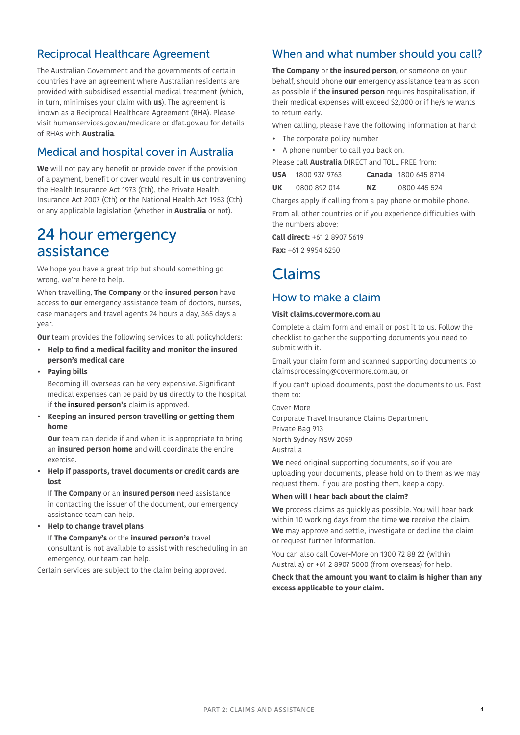## Reciprocal Healthcare Agreement

The Australian Government and the governments of certain countries have an agreement where Australian residents are provided with subsidised essential medical treatment (which, in turn, minimises your claim with **us**). The agreement is known as a Reciprocal Healthcare Agreement (RHA). Please visit humanservices.gov.au/medicare or dfat.gov.au for details of RHAs with **Australia**.

# Medical and hospital cover in Australia

**We** will not pay any benefit or provide cover if the provision of a payment, benefit or cover would result in **us** contravening the Health Insurance Act 1973 (Cth), the Private Health Insurance Act 2007 (Cth) or the National Health Act 1953 (Cth) or any applicable legislation (whether in **Australia** or not).

# <span id="page-3-0"></span>24 hour emergency assistance

We hope you have a great trip but should something go wrong, we're here to help.

When travelling, **The Company** or the **insured person** have access to **our** emergency assistance team of doctors, nurses, case managers and travel agents 24 hours a day, 365 days a year.

**Our** team provides the following services to all policyholders:

- **• Help to find a medical facility and monitor the insured person's medical care**
- **• Paying bills**

Becoming ill overseas can be very expensive. Significant medical expenses can be paid by **us** directly to the hospital if **the insured person's** claim is approved.

**• Keeping an insured person travelling or getting them home**

**Our** team can decide if and when it is appropriate to bring an **insured person home** and will coordinate the entire exercise.

**• Help if passports, travel documents or credit cards are lost**

If **The Company** or an **insured person** need assistance in contacting the issuer of the document, our emergency assistance team can help.

**• Help to change travel plans** If **The Company's** or the **insured person's** travel consultant is not available to assist with rescheduling in an emergency, our team can help.

Certain services are subject to the claim being approved.

## When and what number should you call?

**The Company** or **the insured person**, or someone on your behalf, should phone **our** emergency assistance team as soon as possible if **the insured person** requires hospitalisation, if their medical expenses will exceed \$2,000 or if he/she wants to return early.

When calling, please have the following information at hand:

- The corporate policy number
- A phone number to call you back on.
- Please call **Australia** DIRECT and TOLL FREE from:

| <b>USA</b> | 1800 937 9763 | Canada 1800 645 8714 |  |
|------------|---------------|----------------------|--|
|            |               |                      |  |

**UK** 0800 892 014 **NZ** 0800 445 524

Charges apply if calling from a pay phone or mobile phone.

From all other countries or if you experience difficulties with the numbers above:

**Call direct:** +61 2 8907 5619 **Fax:** +61 2 9954 6250

# <span id="page-3-1"></span>Claims

### How to make a claim

### **Visit claims.covermore.com.au**

Complete a claim form and email or post it to us. Follow the checklist to gather the supporting documents you need to submit with it.

Email your claim form and scanned supporting documents to claimsprocessing@covermore.com.au, or

If you can't upload documents, post the documents to us. Post them to:

Cover-More

Corporate Travel Insurance Claims Department Private Bag 913 North Sydney NSW 2059 Australia

**We** need original supporting documents, so if you are uploading your documents, please hold on to them as we may request them. If you are posting them, keep a copy.

### **When will I hear back about the claim?**

**We** process claims as quickly as possible. You will hear back within 10 working days from the time **we** receive the claim. **We** may approve and settle, investigate or decline the claim or request further information.

You can also call Cover-More on 1300 72 88 22 (within Australia) or +61 2 8907 5000 (from overseas) for help.

**Check that the amount you want to claim is higher than any excess applicable to your claim.**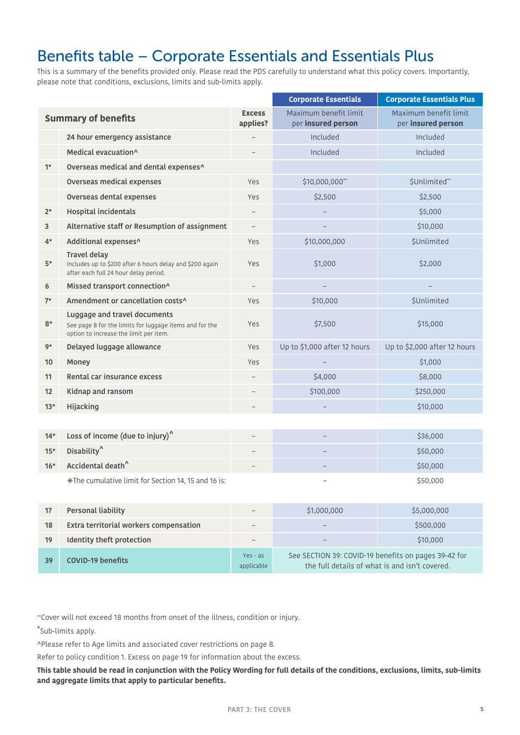# <span id="page-4-0"></span>Benefits table – Corporate Essentials and Essentials Plus

This is a summary of the benefits provided only. Please read the PDS carefully to understand what this policy covers. Importantly, please note that conditions, exclusions, limits and sub-limits apply.

|                            |                                                                                                                                   |                           | <b>Corporate Essentials</b>                 | <b>Corporate Essentials Plus</b>            |
|----------------------------|-----------------------------------------------------------------------------------------------------------------------------------|---------------------------|---------------------------------------------|---------------------------------------------|
| <b>Summary of benefits</b> |                                                                                                                                   | <b>Excess</b><br>applies? | Maximum benefit limit<br>per insured person | Maximum benefit limit<br>per insured person |
|                            | 24 hour emergency assistance                                                                                                      |                           | Included                                    | Included                                    |
|                            | Medical evacuation^                                                                                                               |                           | Included                                    | Included                                    |
| $1*$                       | Overseas medical and dental expenses^                                                                                             |                           |                                             |                                             |
|                            | Overseas medical expenses                                                                                                         | Yes                       | \$10,000,000~                               | \$Unlimited~                                |
|                            | Overseas dental expenses                                                                                                          | Yes                       | \$2,500                                     | \$2,500                                     |
| $2^*$                      | <b>Hospital incidentals</b>                                                                                                       | $\overline{\phantom{m}}$  |                                             | \$5,000                                     |
| 3                          | Alternative staff or Resumption of assignment                                                                                     | $\overline{\phantom{0}}$  |                                             | \$10,000                                    |
| $4*$                       | Additional expenses^                                                                                                              | Yes                       | \$10,000,000                                | \$Unlimited                                 |
| $5*$                       | <b>Travel delay</b><br>Includes up to \$200 after 6 hours delay and \$200 again<br>after each full 24 hour delay period.          | Yes                       | \$1,000                                     | \$2,000                                     |
| 6                          | Missed transport connection^                                                                                                      | $\qquad \qquad -$         |                                             |                                             |
| $7*$                       | Amendment or cancellation costs^                                                                                                  | Yes                       | \$10,000                                    | <b>\$Unlimited</b>                          |
| $8*$                       | Luggage and travel documents<br>See page 8 for the limits for luggage items and for the<br>option to increase the limit per item. | Yes                       | \$7,500                                     | \$15,000                                    |
| 9*                         | Delayed luggage allowance                                                                                                         | Yes                       | Up to \$1,000 after 12 hours                | Up to \$2,000 after 12 hours                |
| 10                         | Money                                                                                                                             | Yes                       |                                             | \$1,000                                     |
| 11                         | Rental car insurance excess                                                                                                       | $\overline{\phantom{0}}$  | \$4,000                                     | \$8,000                                     |
| 12                         | Kidnap and ransom                                                                                                                 |                           | \$100,000                                   | \$250,000                                   |
| $13*$                      | Hijacking                                                                                                                         |                           |                                             | \$10,000                                    |
|                            |                                                                                                                                   |                           |                                             |                                             |
| $14*$                      | Loss of income (due to injury) $^{\wedge}$                                                                                        |                           | $\overline{\phantom{0}}$                    | \$36,000                                    |
| $15*$                      | Disability <sup>^</sup>                                                                                                           | $\overline{\phantom{0}}$  |                                             | \$50,000                                    |
| $16*$                      | Accidental death <sup>^</sup>                                                                                                     |                           |                                             | \$50,000                                    |
|                            | ♦ The cumulative limit for Section 14, 15 and 16 is:                                                                              |                           |                                             | \$50,000                                    |

| 17 | Personal liability                     |                          | \$1,000,000                                                                                            | \$5,000,000 |
|----|----------------------------------------|--------------------------|--------------------------------------------------------------------------------------------------------|-------------|
| 18 | Extra territorial workers compensation |                          |                                                                                                        | \$500,000   |
| 19 | Identity theft protection              |                          |                                                                                                        | \$10,000    |
| 39 | <b>COVID-19 benefits</b>               | $Yes - as$<br>applicable | See SECTION 39: COVID-19 benefits on pages 39-42 for<br>the full details of what is and isn't covered. |             |

~Cover will not exceed 18 months from onset of the illness, condition or injury.

\*Sub-limits apply.

^Please refer to [Age limits and associated cover restrictions on page 8.](#page-7-3)

Refer to policy condition 1. Excess on page [19](#page-18-2) for information about the excess.

**This table should be read in conjunction with the Policy Wording for full details of the conditions, exclusions, limits, sub-limits and aggregate limits that apply to particular benefits.**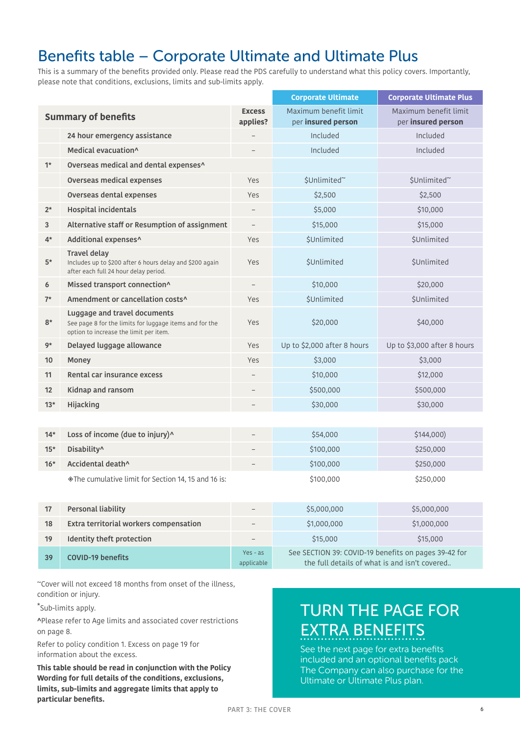# Benefits table – Corporate Ultimate and Ultimate Plus

This is a summary of the benefits provided only. Please read the PDS carefully to understand what this policy covers. Importantly, please note that conditions, exclusions, limits and sub-limits apply.

|                            |                                                                                                                                   | <b>Corporate Ultimate</b> | <b>Corporate Ultimate Plus</b>                                                                        |                                             |
|----------------------------|-----------------------------------------------------------------------------------------------------------------------------------|---------------------------|-------------------------------------------------------------------------------------------------------|---------------------------------------------|
| <b>Summary of benefits</b> |                                                                                                                                   | <b>Excess</b><br>applies? | Maximum benefit limit<br>per insured person                                                           | Maximum benefit limit<br>per insured person |
|                            | 24 hour emergency assistance                                                                                                      |                           | Included                                                                                              | Included                                    |
|                            | Medical evacuation <sup>^</sup>                                                                                                   | $\overline{\phantom{0}}$  | Included                                                                                              | Included                                    |
| $1*$                       | Overseas medical and dental expenses^                                                                                             |                           |                                                                                                       |                                             |
|                            | Overseas medical expenses                                                                                                         | Yes                       | \$Unlimited~                                                                                          | \$Unlimited~                                |
|                            | Overseas dental expenses                                                                                                          | Yes                       | \$2,500                                                                                               | \$2,500                                     |
| $2^*$                      | <b>Hospital incidentals</b>                                                                                                       | $\overline{\phantom{a}}$  | \$5,000                                                                                               | \$10,000                                    |
| 3                          | Alternative staff or Resumption of assignment                                                                                     | $\overline{\phantom{a}}$  | \$15,000                                                                                              | \$15,000                                    |
| $4*$                       | Additional expenses^                                                                                                              | Yes                       | <b>\$Unlimited</b>                                                                                    | <b>\$Unlimited</b>                          |
| $5*$                       | <b>Travel delay</b><br>Includes up to \$200 after 6 hours delay and \$200 again<br>after each full 24 hour delay period.          | Yes                       | <b>\$Unlimited</b>                                                                                    | <b>\$Unlimited</b>                          |
| 6                          | Missed transport connection^                                                                                                      | $\overline{\phantom{0}}$  | \$10,000                                                                                              | \$20,000                                    |
| $7*$                       | Amendment or cancellation costs^                                                                                                  | Yes                       | <b>\$Unlimited</b>                                                                                    | <b>\$Unlimited</b>                          |
| $8*$                       | Luggage and travel documents<br>See page 8 for the limits for luggage items and for the<br>option to increase the limit per item. | Yes                       | \$20,000                                                                                              | \$40,000                                    |
| 9*                         | Delayed luggage allowance                                                                                                         | Yes                       | Up to \$2,000 after 8 hours                                                                           | Up to \$3,000 after 8 hours                 |
| 10                         | Money                                                                                                                             | Yes                       | \$3,000                                                                                               | \$3,000                                     |
| 11                         | Rental car insurance excess                                                                                                       |                           | \$10,000                                                                                              | \$12,000                                    |
| 12                         | Kidnap and ransom                                                                                                                 |                           | \$500,000                                                                                             | \$500,000                                   |
| $13*$                      | Hijacking                                                                                                                         |                           | \$30,000                                                                                              | \$30,000                                    |
|                            |                                                                                                                                   |                           |                                                                                                       |                                             |
| $14*$                      | Loss of income (due to injury)^                                                                                                   |                           | \$54,000                                                                                              | \$144,000                                   |
| $15*$                      | Disability^                                                                                                                       |                           | \$100,000                                                                                             | \$250,000                                   |
| $16*$                      | Accidental death^                                                                                                                 |                           | \$100,000                                                                                             | \$250,000                                   |
|                            | ◈ The cumulative limit for Section 14, 15 and 16 is:                                                                              |                           | \$100,000                                                                                             | \$250,000                                   |
| 17                         | <b>Personal liability</b>                                                                                                         |                           | \$5,000,000                                                                                           | \$5,000,000                                 |
| 18                         | Extra territorial workers compensation                                                                                            |                           | \$1,000,000                                                                                           | \$1,000,000                                 |
| 19                         | Identity theft protection                                                                                                         |                           | \$15,000                                                                                              | \$15,000                                    |
| 39                         | <b>COVID-19 benefits</b>                                                                                                          | $Yes - as$<br>applicable  | See SECTION 39: COVID-19 benefits on pages 39-42 for<br>the full details of what is and isn't covered |                                             |

~Cover will not exceed 18 months from onset of the illness, condition or injury.

\*Sub-limits apply.

^Please refer to [Age limits and associated cover restrictions](#page-7-3)  [on page 8](#page-7-3).

Refer to policy condition 1. Excess on page [19](#page-18-2) for information about the excess.

**This table should be read in conjunction with the Policy Wording for full details of the conditions, exclusions, limits, sub-limits and aggregate limits that apply to particular benefits.**

# TURN THE PAGE FOR EXTRA BENEFITS

See the next page for extra benefits included and an optional benefits pack The Company can also purchase for the Ultimate or Ultimate Plus plan.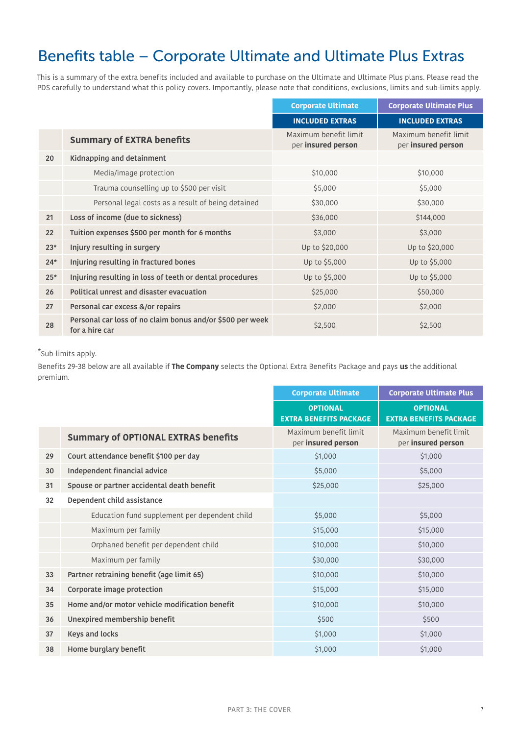# Benefits table – Corporate Ultimate and Ultimate Plus Extras

This is a summary of the extra benefits included and available to purchase on the Ultimate and Ultimate Plus plans. Please read the PDS carefully to understand what this policy covers. Importantly, please note that conditions, exclusions, limits and sub-limits apply.

|       |                                                                             | <b>Corporate Ultimate</b>                   | <b>Corporate Ultimate Plus</b>              |
|-------|-----------------------------------------------------------------------------|---------------------------------------------|---------------------------------------------|
|       |                                                                             | <b>INCLUDED EXTRAS</b>                      | <b>INCLUDED EXTRAS</b>                      |
|       | <b>Summary of EXTRA benefits</b>                                            | Maximum benefit limit<br>per insured person | Maximum benefit limit<br>per insured person |
| 20    | Kidnapping and detainment                                                   |                                             |                                             |
|       | Media/image protection                                                      | \$10,000                                    | \$10,000                                    |
|       | Trauma counselling up to \$500 per visit                                    | \$5,000                                     | \$5,000                                     |
|       | Personal legal costs as a result of being detained                          | \$30,000                                    | \$30,000                                    |
| 21    | Loss of income (due to sickness)                                            | \$36,000                                    | \$144,000                                   |
| 22    | Tuition expenses \$500 per month for 6 months                               | \$3,000                                     | \$3,000                                     |
| $23*$ | Injury resulting in surgery                                                 | Up to \$20,000                              | Up to \$20,000                              |
| $24*$ | Injuring resulting in fractured bones                                       | Up to \$5,000                               | Up to \$5,000                               |
| $25*$ | Injuring resulting in loss of teeth or dental procedures                    | Up to \$5,000                               | Up to \$5,000                               |
| 26    | Political unrest and disaster evacuation                                    | \$25,000                                    | \$50,000                                    |
| 27    | Personal car excess &/or repairs                                            | \$2,000                                     | \$2,000                                     |
| 28    | Personal car loss of no claim bonus and/or \$500 per week<br>for a hire car | \$2,500                                     | \$2,500                                     |

### \*Sub-limits apply.

Benefits 29-38 below are all available if **The Company** selects the Optional Extra Benefits Package and pays **us** the additional premium.

|    |                                                | <b>Corporate Ultimate</b>                        | <b>Corporate Ultimate Plus</b>                   |
|----|------------------------------------------------|--------------------------------------------------|--------------------------------------------------|
|    |                                                | <b>OPTIONAL</b><br><b>EXTRA BENEFITS PACKAGE</b> | <b>OPTIONAL</b><br><b>EXTRA BENEFITS PACKAGE</b> |
|    | <b>Summary of OPTIONAL EXTRAS benefits</b>     | Maximum benefit limit<br>per insured person      | Maximum benefit limit<br>per insured person      |
| 29 | Court attendance benefit \$100 per day         | \$1,000                                          | \$1,000                                          |
| 30 | Independent financial advice                   | \$5,000                                          | \$5,000                                          |
| 31 | Spouse or partner accidental death benefit     | \$25,000                                         | \$25,000                                         |
| 32 | Dependent child assistance                     |                                                  |                                                  |
|    | Education fund supplement per dependent child  | \$5,000                                          | \$5,000                                          |
|    | Maximum per family                             | \$15,000                                         | \$15,000                                         |
|    | Orphaned benefit per dependent child           | \$10,000                                         | \$10,000                                         |
|    | Maximum per family                             | \$30,000                                         | \$30,000                                         |
| 33 | Partner retraining benefit (age limit 65)      | \$10,000                                         | \$10,000                                         |
| 34 | Corporate image protection                     | \$15,000                                         | \$15,000                                         |
| 35 | Home and/or motor vehicle modification benefit | \$10,000                                         | \$10,000                                         |
| 36 | Unexpired membership benefit                   | \$500                                            | \$500                                            |
| 37 | <b>Keys and locks</b>                          | \$1,000                                          | \$1,000                                          |
| 38 | Home burglary benefit                          | \$1,000                                          | \$1,000                                          |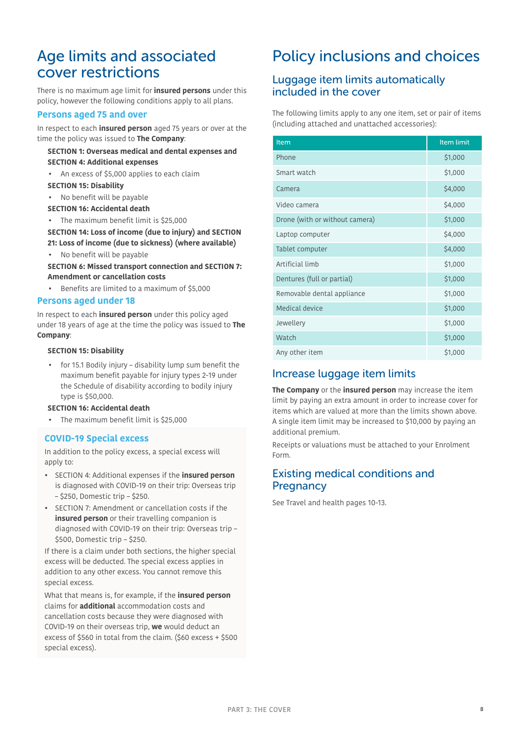# <span id="page-7-3"></span>Age limits and associated cover restrictions

There is no maximum age limit for **insured persons** under this policy, however the following conditions apply to all plans.

### **Persons aged 75 and over**

In respect to each **insured person** aged 75 years or over at the time the policy was issued to **The Company**:

### **[SECTION 1: Overseas medical and dental expenses](#page-22-1) and [SECTION 4: Additional expenses](#page-23-0)**

• An excess of \$5,000 applies to each claim

#### **[SECTION 15: Disability](#page-31-0)**

- No benefit will be payable
- **[SECTION 16: Accidental death](#page-32-0)**
- The maximum benefit limit is \$25,000

### **[SECTION 14: Loss of income \(due to injury\)](#page-30-0) and [SECTION](#page-34-0)  [21: Loss of income \(due to sickness\)](#page-34-0) (where available)**

• No benefit will be payable

**[SECTION 6: Missed transport connection](#page-24-0) and [SECTION 7:](#page-25-0)  [Amendment or cancellation costs](#page-25-0)**

• Benefits are limited to a maximum of \$5,000

### **Persons aged under 18**

In respect to each **insured person** under this policy aged under 18 years of age at the time the policy was issued to **The Company**:

#### **[SECTION 15: Disability](#page-31-0)**

• for 15.1 Bodily injury – disability lump sum benefit the maximum benefit payable for injury types 2-19 under the Schedule of disability according to bodily injury type is \$50,000.

#### **[SECTION 16: Accidental death](#page-32-0)**

• The maximum benefit limit is \$25,000

### **COVID-19 Special excess**

In addition to the policy excess, a special excess will apply to:

- SECTION 4: Additional expenses if the **insured person**  is diagnosed with COVID-19 on their trip: Overseas trip – \$250, Domestic trip – \$250.
- SECTION 7: Amendment or cancellation costs if the **insured person** or their travelling companion is diagnosed with COVID-19 on their trip: Overseas trip – \$500, Domestic trip – \$250.

If there is a claim under both sections, the higher special excess will be deducted. The special excess applies in addition to any other excess. You cannot remove this special excess.

What that means is, for example, if the **insured person** claims for **additional** accommodation costs and cancellation costs because they were diagnosed with COVID-19 on their overseas trip, **we** would deduct an excess of \$560 in total from the claim. (\$60 excess + \$500 special excess).

# <span id="page-7-0"></span>Policy inclusions and choices

### <span id="page-7-1"></span>Luggage item limits automatically included in the cover

The following limits apply to any one item, set or pair of items (including attached and unattached accessories):

| Item                           | <b>Item limit</b> |
|--------------------------------|-------------------|
| Phone                          | \$1,000           |
| Smart watch                    | \$1,000           |
| Camera                         | \$4,000           |
| Video camera                   | \$4,000           |
| Drone (with or without camera) | \$1,000           |
| Laptop computer                | \$4,000           |
| Tablet computer                | \$4,000           |
| Artificial limb                | \$1,000           |
| Dentures (full or partial)     | \$1,000           |
| Removable dental appliance     | \$1,000           |
| Medical device                 | \$1,000           |
| Jewellery                      | \$1,000           |
| Watch                          | \$1,000           |
| Any other item                 | \$1,000           |

## Increase luggage item limits

**The Company** or the **insured person** may increase the item limit by paying an extra amount in order to increase cover for items which are valued at more than the limits shown above. A single item limit may be increased to \$10,000 by paying an additional premium.

Receipts or valuations must be attached to your Enrolment Form.

### <span id="page-7-2"></span>Existing medical conditions and **Pregnancy**

See Travel and health pages [10-](#page-9-0)[13.](#page-12-2)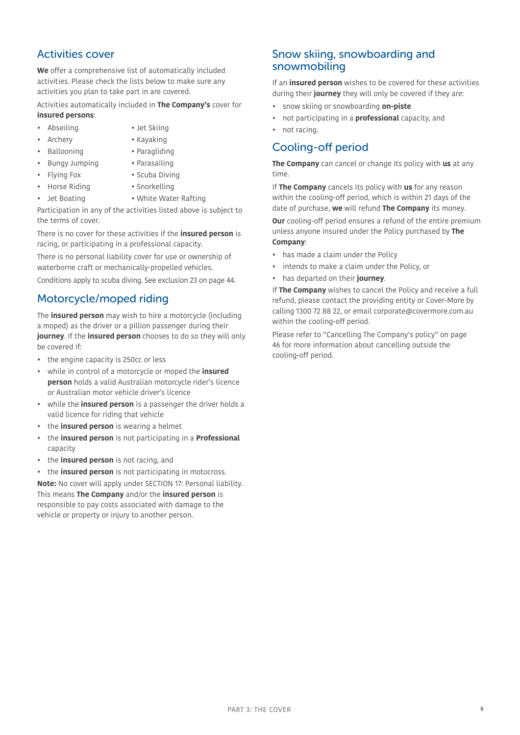### Activities cover

**We** offer a comprehensive list of automatically included activities. Please check the lists below to make sure any activities you plan to take part in are covered.

Activities automatically included in **The Company's** cover for **insured persons**:

- 
- Abseiling Jet Skiing
- - Archery Kayaking
	- Ballooning Paragliding
- Bungy Jumping Parasailing
- - Flying Fox Scuba Diving
- Horse Riding Snorkelling

the terms of cover.

- 
- Jet Boating White Water Rafting Participation in any of the activities listed above is subject to

There is no cover for these activities if the **insured person** is racing, or participating in a professional capacity.

There is no personal liability cover for use or ownership of waterborne craft or mechanically-propelled vehicles.

Conditions apply to scuba diving. See exclusion 23 on page [44](#page-43-1).

# <span id="page-8-0"></span>Motorcycle/moped riding

The **insured person** may wish to hire a motorcycle (including a moped) as the driver or a pillion passenger during their **journey**. If the **insured person** chooses to do so they will only be covered if:

- the engine capacity is 250cc or less
- while in control of a motorcycle or moped the **insured person** holds a valid Australian motorcycle rider's licence or Australian motor vehicle driver's licence
- while the **insured person** is a passenger the driver holds a valid licence for riding that vehicle
- the **insured person** is wearing a helmet
- the **insured person** is not participating in a **Professional** capacity
- the **insured person** is not racing, and
- the **insured person** is not participating in motocross.

**Note:** No cover will apply under SECTION 17: Personal liability. This means **The Company** and/or the **insured person** is responsible to pay costs associated with damage to the vehicle or property or injury to another person.

### <span id="page-8-1"></span>Snow skiing, snowboarding and snowmobiling

If an **insured person** wishes to be covered for these activities during their **journey** they will only be covered if they are:

- snow skiing or snowboarding **on-piste**
- not participating in a **professional** capacity, and
- not racing.

### <span id="page-8-2"></span>Cooling-off period

**The Company** can cancel or change its policy with **us** at any time.

If **The Company** cancels its policy with **us** for any reason within the cooling-off period, which is within 21 days of the date of purchase, **we** will refund **The Company** its money.

**Our** cooling-off period ensures a refund of the entire premium unless anyone insured under the Policy purchased by **The Company**:

- has made a claim under the Policy
- intends to make a claim under the Policy, or
- has departed on their **journey**.

If **The Company** wishes to cancel the Policy and receive a full refund, please contact the providing entity or Cover-More by calling 1300 72 88 22, or email corporate@covermore.com.au within the cooling-off period.

<span id="page-8-3"></span>Please refer to ["Cancelling The Company's policy" on page](#page-45-1)  [46](#page-45-1) for more information about cancelling outside the cooling-off period.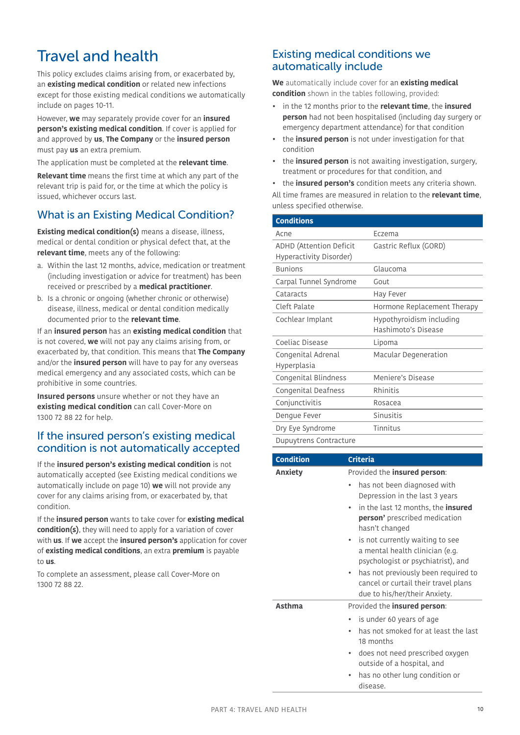# <span id="page-9-0"></span>Travel and health

This policy excludes claims arising from, or exacerbated by, an **existing medical condition** or related new infections except for those existing medical conditions we automatically include on pages [10](#page-9-2)-11.

However, **we** may separately provide cover for an **insured person's existing medical condition**. If cover is applied for and approved by **us**, **The Company** or the **insured person** must pay **us** an extra premium.

The application must be completed at the **relevant time**.

**Relevant time** means the first time at which any part of the relevant trip is paid for, or the time at which the policy is issued, whichever occurs last.

## What is an Existing Medical Condition?

<span id="page-9-1"></span>**Existing medical condition(s)** means a disease, illness, medical or dental condition or physical defect that, at the **relevant time**, meets any of the following:

- a. Within the last 12 months, advice, medication or treatment (including investigation or advice for treatment) has been received or prescribed by a **medical practitioner**.
- b. Is a chronic or ongoing (whether chronic or otherwise) disease, illness, medical or dental condition medically documented prior to the **relevant time**.

If an **insured person** has an **existing medical condition** that is not covered, **we** will not pay any claims arising from, or exacerbated by, that condition. This means that **The Company**  and/or the **insured person** will have to pay for any overseas medical emergency and any associated costs, which can be prohibitive in some countries.

**Insured persons** unsure whether or not they have an **existing medical condition** can call Cover-More on 1300 72 88 22 for help.

### If the insured person's existing medical condition is not automatically accepted

If the **insured person's existing medical condition** is not automatically accepted (see [Existing medical conditions we](#page-9-2)  [automatically include on page 10\)](#page-9-2) **we** will not provide any cover for any claims arising from, or exacerbated by, that condition.

If the **insured person** wants to take cover for **existing medical condition(s)**, they will need to apply for a variation of cover with **us**. If **we** accept the **insured person's** application for cover of **existing medical conditions**, an extra **premium** is payable to **us**.

To complete an assessment, please call Cover-More on 1300 72 88 22.

### <span id="page-9-2"></span>Existing medical conditions we automatically include

**We** automatically include cover for an **existing medical condition** shown in the tables following, provided:

- in the 12 months prior to the **relevant time**, the **insured person** had not been hospitalised (including day surgery or emergency department attendance) for that condition
- the **insured person** is not under investigation for that condition
- the **insured person** is not awaiting investigation, surgery, treatment or procedures for that condition, and
- the **insured person's** condition meets any criteria shown.

All time frames are measured in relation to the **relevant time**, unless specified otherwise.

| <b>Conditions</b>              |                             |
|--------------------------------|-----------------------------|
| Acne                           | Eczema                      |
| <b>ADHD (Attention Deficit</b> | Gastric Reflux (GORD)       |
| Hyperactivity Disorder)        |                             |
| <b>Bunions</b>                 | Glaucoma                    |
| Carpal Tunnel Syndrome         | Gout                        |
| Cataracts                      | Hay Fever                   |
| Cleft Palate                   | Hormone Replacement Therapy |
| Cochlear Implant               | Hypothyroidism including    |
|                                | Hashimoto's Disease         |
| Coeliac Disease                | Lipoma                      |
| Congenital Adrenal             | Macular Degeneration        |
| Hyperplasia                    |                             |
| Congenital Blindness           | Meniere's Disease           |
| Congenital Deafness            | Rhinitis                    |
| Conjunctivitis                 | Rosacea                     |
| Dengue Fever                   | Sinusitis                   |
| Dry Eye Syndrome               | Tinnitus                    |
| Dunustrone Contracture         |                             |

Dupuytrens Contracture

| <b>Condition</b> | <b>Criteria</b>                                                                                               |
|------------------|---------------------------------------------------------------------------------------------------------------|
| <b>Anxiety</b>   | Provided the <b>insured person</b> :                                                                          |
|                  | has not been diagnosed with<br>٠<br>Depression in the last 3 years                                            |
|                  | in the last 12 months, the <b>insured</b><br><b>person'</b> prescribed medication<br>hasn't changed           |
|                  | is not currently waiting to see<br>٠<br>a mental health clinician (e.g.<br>psychologist or psychiatrist), and |
|                  | has not previously been required to<br>cancel or curtail their travel plans<br>due to his/her/their Anxiety.  |
| Asthma           | Provided the <b>insured person</b> :                                                                          |
|                  | is under 60 years of age<br>has not smoked for at least the last<br>18 months                                 |
|                  | does not need prescribed oxygen<br>outside of a hospital, and                                                 |
|                  | has no other lung condition or                                                                                |

disease.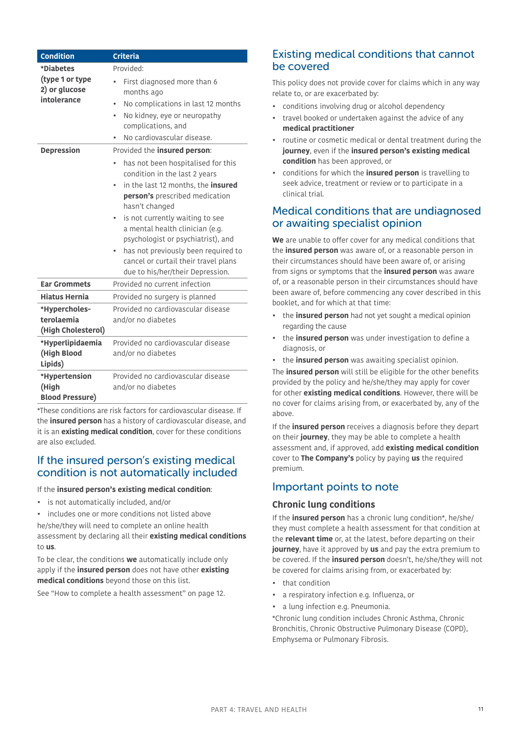| <b>Condition</b>                                 | <b>Criteria</b>                                                                                                 |
|--------------------------------------------------|-----------------------------------------------------------------------------------------------------------------|
| *Diabetes                                        | Provided:                                                                                                       |
| (type 1 or type<br>2) or glucose                 | First diagnosed more than 6<br>months ago                                                                       |
| intolerance                                      | No complications in last 12 months                                                                              |
|                                                  | No kidney, eye or neuropathy<br>۰<br>complications, and                                                         |
|                                                  | No cardiovascular disease.                                                                                      |
| <b>Depression</b>                                | Provided the insured person:                                                                                    |
|                                                  | has not been hospitalised for this<br>condition in the last 2 years                                             |
|                                                  | in the last 12 months, the <b>insured</b><br>person's prescribed medication<br>hasn't changed                   |
|                                                  | is not currently waiting to see<br>a mental health clinician (e.g.<br>psychologist or psychiatrist), and        |
|                                                  | has not previously been required to<br>cancel or curtail their travel plans<br>due to his/her/their Depression. |
| <b>Ear Grommets</b>                              | Provided no current infection                                                                                   |
| <b>Hiatus Hernia</b>                             | Provided no surgery is planned                                                                                  |
| *Hypercholes-                                    | Provided no cardiovascular disease                                                                              |
| terolaemia<br>(High Cholesterol)                 | and/or no diabetes                                                                                              |
| *Hyperlipidaemia                                 | Provided no cardiovascular disease                                                                              |
| (High Blood<br>Lipids)                           | and/or no diabetes                                                                                              |
| *Hypertension<br>(High<br><b>Blood Pressure)</b> | Provided no cardiovascular disease<br>and/or no diabetes                                                        |
|                                                  |                                                                                                                 |

\*These conditions are risk factors for cardiovascular disease. If the **insured person** has a history of cardiovascular disease, and it is an **existing medical condition**, cover for these conditions are also excluded.

### If the insured person's existing medical condition is not automatically included

#### If the **insured person's existing medical condition**:

- is not automatically included, and/or
- includes one or more conditions not listed above

he/she/they will need to complete an online health assessment by declaring all their **existing medical conditions** to **us**.

To be clear, the conditions **we** automatically include only apply if the **insured person** does not have other **existing medical conditions** beyond those on this list.

See ["How to complete a health assessment" on page 12.](#page-11-0)

### Existing medical conditions that cannot be covered

This policy does not provide cover for claims which in any way relate to, or are exacerbated by:

- conditions involving drug or alcohol dependency
- travel booked or undertaken against the advice of any **medical practitioner**
- routine or cosmetic medical or dental treatment during the **journey**, even if the **insured person's existing medical condition** has been approved, or
- conditions for which the **insured person** is travelling to seek advice, treatment or review or to participate in a clinical trial.

### Medical conditions that are undiagnosed or awaiting specialist opinion

**We** are unable to offer cover for any medical conditions that the **insured person** was aware of, or a reasonable person in their circumstances should have been aware of, or arising from signs or symptoms that the **insured person** was aware of, or a reasonable person in their circumstances should have been aware of, before commencing any cover described in this booklet, and for which at that time:

- the **insured person** had not yet sought a medical opinion regarding the cause
- the **insured person** was under investigation to define a diagnosis, or
- the **insured person** was awaiting specialist opinion.

The **insured person** will still be eligible for the other benefits provided by the policy and he/she/they may apply for cover for other **existing medical conditions**. However, there will be no cover for claims arising from, or exacerbated by, any of the above.

If the **insured person** receives a diagnosis before they depart on their **journey**, they may be able to complete a health assessment and, if approved, add **existing medical condition**  cover to **The Company's** policy by paying **us** the required premium.

### Important points to note

### **Chronic lung conditions**

If the **insured person** has a chronic lung condition\*, he/she/ they must complete a health assessment for that condition at the **relevant time** or, at the latest, before departing on their **journey**, have it approved by **us** and pay the extra premium to be covered. If the **insured person** doesn't, he/she/they will not be covered for claims arising from, or exacerbated by:

- that condition
- a respiratory infection e.g. Influenza, or
- a lung infection e.g. Pneumonia.

\*Chronic lung condition includes Chronic Asthma, Chronic Bronchitis, Chronic Obstructive Pulmonary Disease (COPD), Emphysema or Pulmonary Fibrosis.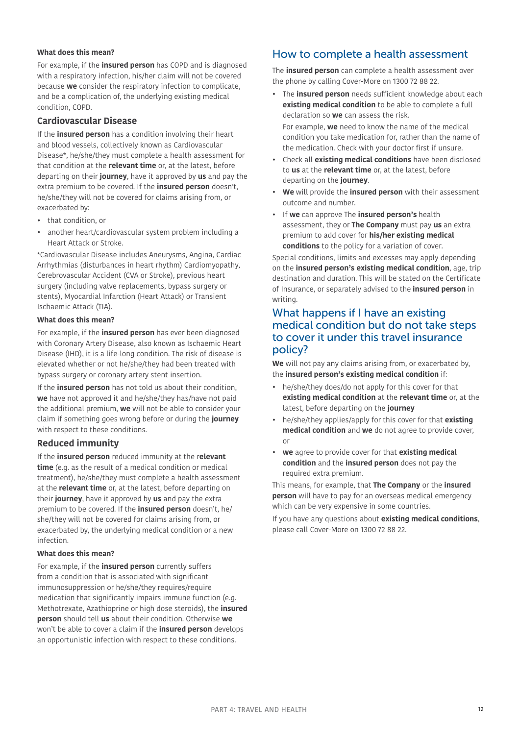#### **What does this mean?**

For example, if the **insured person** has COPD and is diagnosed with a respiratory infection, his/her claim will not be covered because **we** consider the respiratory infection to complicate, and be a complication of, the underlying existing medical condition, COPD.

### **Cardiovascular Disease**

If the **insured person** has a condition involving their heart and blood vessels, collectively known as Cardiovascular Disease\*, he/she/they must complete a health assessment for that condition at the **relevant time** or, at the latest, before departing on their **journey**, have it approved by **us** and pay the extra premium to be covered. If the **insured person** doesn't, he/she/they will not be covered for claims arising from, or exacerbated by:

- that condition, or
- another heart/cardiovascular system problem including a Heart Attack or Stroke.

\*Cardiovascular Disease includes Aneurysms, Angina, Cardiac Arrhythmias (disturbances in heart rhythm) Cardiomyopathy, Cerebrovascular Accident (CVA or Stroke), previous heart surgery (including valve replacements, bypass surgery or stents), Myocardial Infarction (Heart Attack) or Transient Ischaemic Attack (TIA).

### **What does this mean?**

For example, if the **insured person** has ever been diagnosed with Coronary Artery Disease, also known as Ischaemic Heart Disease (IHD), it is a life-long condition. The risk of disease is elevated whether or not he/she/they had been treated with bypass surgery or coronary artery stent insertion.

If the **insured person** has not told us about their condition, **we** have not approved it and he/she/they has/have not paid the additional premium, **we** will not be able to consider your claim if something goes wrong before or during the **journey** with respect to these conditions.

### **Reduced immunity**

If the **insured person** reduced immunity at the r**elevant time** (e.g. as the result of a medical condition or medical treatment), he/she/they must complete a health assessment at the **relevant time** or, at the latest, before departing on their **journey**, have it approved by **us** and pay the extra premium to be covered. If the **insured person** doesn't, he/ she/they will not be covered for claims arising from, or exacerbated by, the underlying medical condition or a new infection.

#### **What does this mean?**

For example, if the **insured person** currently suffers from a condition that is associated with significant immunosuppression or he/she/they requires/require medication that significantly impairs immune function (e.g. Methotrexate, Azathioprine or high dose steroids), the **insured person** should tell **us** about their condition. Otherwise **we** won't be able to cover a claim if the **insured person** develops an opportunistic infection with respect to these conditions.

### <span id="page-11-0"></span>How to complete a health assessment

The **insured person** can complete a health assessment over the phone by calling Cover-More on 1300 72 88 22.

- The **insured person** needs sufficient knowledge about each **existing medical condition** to be able to complete a full declaration so **we** can assess the risk. For example, **we** need to know the name of the medical condition you take medication for, rather than the name of
- Check all **existing medical conditions** have been disclosed to **us** at the **relevant time** or, at the latest, before departing on the **journey**.

the medication. Check with your doctor first if unsure.

- **We** will provide the **insured person** with their assessment outcome and number.
- If **we** can approve The **insured person's** health assessment, they or **The Company** must pay **us** an extra premium to add cover for **his/her existing medical conditions** to the policy for a variation of cover.

Special conditions, limits and excesses may apply depending on the **insured person's existing medical condition**, age, trip destination and duration. This will be stated on the Certificate of Insurance, or separately advised to the **insured person** in writing.

### <span id="page-11-1"></span>What happens if I have an existing medical condition but do not take steps to cover it under this travel insurance policy?

**We** will not pay any claims arising from, or exacerbated by, the **insured person's existing medical condition** if:

- he/she/they does/do not apply for this cover for that **existing medical condition** at the **relevant time** or, at the latest, before departing on the **journey**
- he/she/they applies/apply for this cover for that **existing medical condition** and **we** do not agree to provide cover, or
- **we** agree to provide cover for that **existing medical condition** and the **insured person** does not pay the required extra premium.

This means, for example, that **The Company** or the **insured person** will have to pay for an overseas medical emergency which can be very expensive in some countries.

If you have any questions about **existing medical conditions**, please call Cover-More on 1300 72 88 22.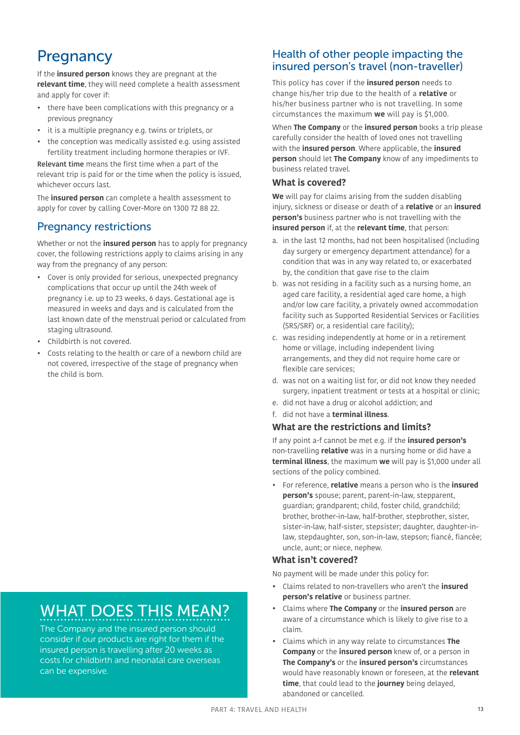# <span id="page-12-0"></span>**Pregnancy**

If the **insured person** knows they are pregnant at the **relevant time**, they will need complete a health assessment and apply for cover if:

- there have been complications with this pregnancy or a previous pregnancy
- it is a multiple pregnancy e.g. twins or triplets, or
- the conception was medically assisted e.g. using assisted fertility treatment including hormone therapies or IVF.

Relevant time means the first time when a part of the relevant trip is paid for or the time when the policy is issued, whichever occurs last.

The **insured person** can complete a health assessment to apply for cover by calling Cover-More on 1300 72 88 22.

## Pregnancy restrictions

<span id="page-12-2"></span>Whether or not the **insured person** has to apply for pregnancy cover, the following restrictions apply to claims arising in any way from the pregnancy of any person:

- Cover is only provided for serious, unexpected pregnancy complications that occur up until the 24th week of pregnancy i.e. up to 23 weeks, 6 days. Gestational age is measured in weeks and days and is calculated from the last known date of the menstrual period or calculated from staging ultrasound.
- Childbirth is not covered.
- Costs relating to the health or care of a newborn child are not covered, irrespective of the stage of pregnancy when the child is born.

# WHAT DOES THIS MEAN?

The Company and the insured person should consider if our products are right for them if the insured person is travelling after 20 weeks as costs for childbirth and neonatal care overseas can be expensive.

### <span id="page-12-1"></span>Health of other people impacting the insured person's travel (non-traveller)

This policy has cover if the **insured person** needs to change his/her trip due to the health of a **relative** or his/her business partner who is not travelling. In some circumstances the maximum **we** will pay is \$1,000.

When **The Company** or the **insured person** books a trip please carefully consider the health of loved ones not travelling with the **insured person**. Where applicable, the **insured person** should let **The Company** know of any impediments to business related travel.

### **What is covered?**

**We** will pay for claims arising from the sudden disabling injury, sickness or disease or death of a **relative** or an **insured person's** business partner who is not travelling with the **insured person** if, at the **relevant time**, that person:

- a. in the last 12 months, had not been hospitalised (including day surgery or emergency department attendance) for a condition that was in any way related to, or exacerbated by, the condition that gave rise to the claim
- b. was not residing in a facility such as a nursing home, an aged care facility, a residential aged care home, a high and/or low care facility, a privately owned accommodation facility such as Supported Residential Services or Facilities (SRS/SRF) or, a residential care facility);
- c. was residing independently at home or in a retirement home or village, including independent living arrangements, and they did not require home care or flexible care services;
- d. was not on a waiting list for, or did not know they needed surgery, inpatient treatment or tests at a hospital or clinic;
- e. did not have a drug or alcohol addiction; and
- f. did not have a **terminal illness**.
- **What are the restrictions and limits?**

If any point a-f cannot be met e.g. if the **insured person's** non-travelling **relative** was in a nursing home or did have a **terminal illness**, the maximum **we** will pay is \$1,000 under all sections of the policy combined.

• For reference, **relative** means a person who is the **insured person's** spouse; parent, parent-in-law, stepparent, guardian; grandparent; child, foster child, grandchild; brother, brother-in-law, half-brother, stepbrother, sister, sister-in-law, half-sister, stepsister; daughter, daughter-inlaw, stepdaughter, son, son-in-law, stepson; fiancé, fiancée; uncle, aunt; or niece, nephew.

### **What isn't covered?**

No payment will be made under this policy for:

- Claims related to non-travellers who aren't the **insured person's relative** or business partner.
- Claims where **The Company** or the **insured person** are aware of a circumstance which is likely to give rise to a claim.
- Claims which in any way relate to circumstances **The Company** or the **insured person** knew of, or a person in **The Company's** or the **insured person's** circumstances would have reasonably known or foreseen, at the **relevant time**, that could lead to the **journey** being delayed, abandoned or cancelled.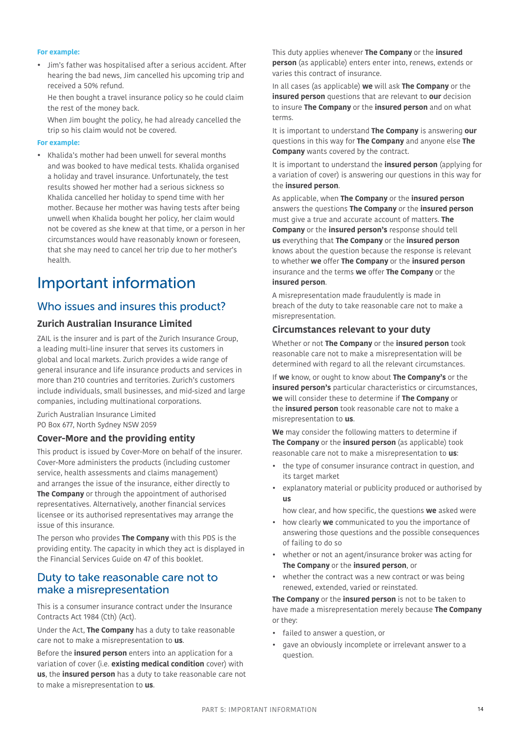#### **For example:**

- Jim's father was hospitalised after a serious accident. After hearing the bad news, Jim cancelled his upcoming trip and received a 50% refund.
	- He then bought a travel insurance policy so he could claim the rest of the money back.

 When Jim bought the policy, he had already cancelled the trip so his claim would not be covered.

#### <span id="page-13-3"></span>**For example:**

• Khalida's mother had been unwell for several months and was booked to have medical tests. Khalida organised a holiday and travel insurance. Unfortunately, the test results showed her mother had a serious sickness so Khalida cancelled her holiday to spend time with her mother. Because her mother was having tests after being unwell when Khalida bought her policy, her claim would not be covered as she knew at that time, or a person in her circumstances would have reasonably known or foreseen, that she may need to cancel her trip due to her mother's health.

# <span id="page-13-0"></span>Important information

### <span id="page-13-1"></span>Who issues and insures this product?

### **Zurich Australian Insurance Limited**

ZAIL is the insurer and is part of the Zurich Insurance Group, a leading multi-line insurer that serves its customers in global and local markets. Zurich provides a wide range of general insurance and life insurance products and services in more than 210 countries and territories. Zurich's customers include individuals, small businesses, and mid-sized and large companies, including multinational corporations.

Zurich Australian Insurance Limited PO Box 677, North Sydney NSW 2059

### **Cover-More and the providing entity**

This product is issued by Cover-More on behalf of the insurer. Cover-More administers the products (including customer service, health assessments and claims management) and arranges the issue of the insurance, either directly to **The Company** or through the appointment of authorised representatives. Alternatively, another financial services licensee or its authorised representatives may arrange the issue of this insurance.

The person who provides **The Company** with this PDS is the providing entity. The capacity in which they act is displayed in the Financial Services Guide on [47](#page-46-0) of this booklet.

### <span id="page-13-2"></span>Duty to take reasonable care not to make a misrepresentation

This is a consumer insurance contract under the Insurance Contracts Act 1984 (Cth) (Act).

Under the Act, **The Company** has a duty to take reasonable care not to make a misrepresentation to **us**.

Before the **insured person** enters into an application for a variation of cover (i.e. **existing medical condition** cover) with **us**, the **insured person** has a duty to take reasonable care not to make a misrepresentation to **us**.

This duty applies whenever **The Company** or the **insured person** (as applicable) enters enter into, renews, extends or varies this contract of insurance.

In all cases (as applicable) **we** will ask **The Company** or the **insured person** questions that are relevant to **our** decision to insure **The Company** or the **insured person** and on what terms.

It is important to understand **The Company** is answering **our** questions in this way for **The Company** and anyone else **The Company** wants covered by the contract.

It is important to understand the **insured person** (applying for a variation of cover) is answering our questions in this way for the **insured person**.

As applicable, when **The Company** or the **insured person**  answers the questions **The Company** or the **insured person**  must give a true and accurate account of matters. **The Company** or the **insured person's** response should tell **us** everything that **The Company** or the **insured person** knows about the question because the response is relevant to whether **we** offer **The Company** or the **insured person** insurance and the terms **we** offer **The Company** or the **insured person**.

A misrepresentation made fraudulently is made in breach of the duty to take reasonable care not to make a misrepresentation.

#### **Circumstances relevant to your duty**

Whether or not **The Company** or the **insured person** took reasonable care not to make a misrepresentation will be determined with regard to all the relevant circumstances.

If **we** know, or ought to know about **The Company's** or the **insured person's** particular characteristics or circumstances, **we** will consider these to determine if **The Company** or the **insured person** took reasonable care not to make a misrepresentation to **us**.

**We** may consider the following matters to determine if **The Company** or the **insured person** (as applicable) took reasonable care not to make a misrepresentation to **us**:

- the type of consumer insurance contract in question, and its target market
- explanatory material or publicity produced or authorised by **us**
	- how clear, and how specific, the questions **we** asked were
- how clearly **we** communicated to you the importance of answering those questions and the possible consequences of failing to do so
- whether or not an agent/insurance broker was acting for **The Company** or the **insured person**, or
- whether the contract was a new contract or was being renewed, extended, varied or reinstated.

**The Company** or the **insured person** is not to be taken to have made a misrepresentation merely because **The Company**  or they:

- failed to answer a question, or
- gave an obviously incomplete or irrelevant answer to a question.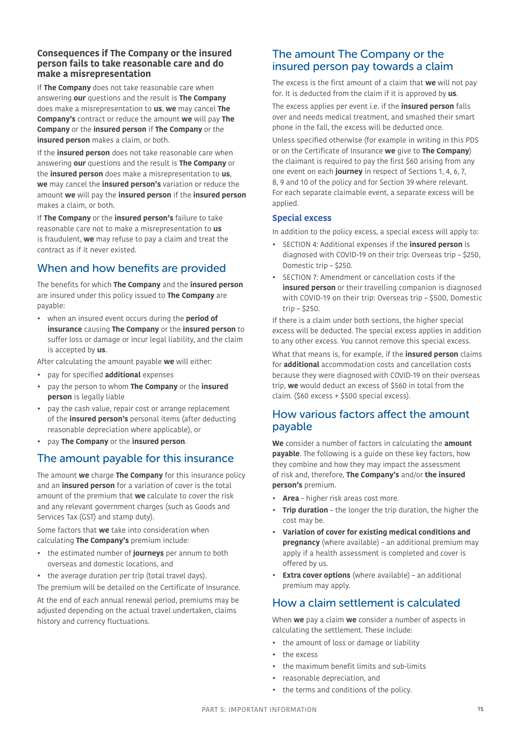### **Consequences if The Company or the insured person fails to take reasonable care and do make a misrepresentation**

If **The Company** does not take reasonable care when answering **our** questions and the result is **The Company**  does make a misrepresentation to **us**, **we** may cancel **The Company's** contract or reduce the amount **we** will pay **The Company** or the **insured person** if **The Company** or the **insured person** makes a claim, or both.

If the **insured person** does not take reasonable care when answering **our** questions and the result is **The Company** or the **insured person** does make a misrepresentation to **us**, **we** may cancel the **insured person's** variation or reduce the amount **we** will pay the **insured person** if the **insured person** makes a claim, or both.

If **The Company** or the **insured person's** failure to take reasonable care not to make a misrepresentation to **us** is fraudulent, **we** may refuse to pay a claim and treat the contract as if it never existed.

## <span id="page-14-0"></span>When and how benefits are provided

The benefits for which **The Company** and the **insured person** are insured under this policy issued to **The Company** are payable:

• when an insured event occurs during the **period of insurance** causing **The Company** or the **insured person** to suffer loss or damage or incur legal liability, and the claim is accepted by **us**.

After calculating the amount payable **we** will either:

- pay for specified **additional** expenses
- pay the person to whom **The Company** or the **insured person** is legally liable
- pay the cash value, repair cost or arrange replacement of the **insured person's** personal items (after deducting reasonable depreciation where applicable), or
- pay **The Company** or the **insured person**.

## <span id="page-14-1"></span>The amount payable for this insurance

The amount **we** charge **The Company** for this insurance policy and an **insured person** for a variation of cover is the total amount of the premium that **we** calculate to cover the risk and any relevant government charges (such as Goods and Services Tax (GST) and stamp duty).

Some factors that **we** take into consideration when calculating **The Company's** premium include:

- the estimated number of **journeys** per annum to both overseas and domestic locations, and
- the average duration per trip (total travel days).

The premium will be detailed on the Certificate of Insurance.

At the end of each annual renewal period, premiums may be adjusted depending on the actual travel undertaken, claims history and currency fluctuations.

### <span id="page-14-2"></span>The amount The Company or the insured person pay towards a claim

The excess is the first amount of a claim that **we** will not pay for. It is deducted from the claim if it is approved by **us**.

The excess applies per event i.e. if the **insured person** falls over and needs medical treatment, and smashed their smart phone in the fall, the excess will be deducted once.

Unless specified otherwise (for example in writing in this PDS or on the Certificate of Insurance **we** give to **The Company**) the claimant is required to pay the first \$60 arising from any one event on each **journey** in respect of Sections 1, 4, 6, 7, 8, 9 and 10 of the policy and for Section 39 where relevant. For each separate claimable event, a separate excess will be applied.

### **Special excess**

In addition to the policy excess, a special excess will apply to:

- SECTION 4: Additional expenses if the **insured person** is diagnosed with COVID-19 on their trip: Overseas trip – \$250, Domestic trip – \$250.
- SECTION 7: Amendment or cancellation costs if the **insured person** or their travelling companion is diagnosed with COVID-19 on their trip: Overseas trip – \$500, Domestic trip – \$250.

If there is a claim under both sections, the higher special excess will be deducted. The special excess applies in addition to any other excess. You cannot remove this special excess.

What that means is, for example, if the **insured person** claims for **additional** accommodation costs and cancellation costs because they were diagnosed with COVID-19 on their overseas trip, **we** would deduct an excess of \$560 in total from the claim. (\$60 excess + \$500 special excess).

### <span id="page-14-3"></span>How various factors affect the amount payable

**We** consider a number of factors in calculating the **amount payable**. The following is a guide on these key factors, how they combine and how they may impact the assessment of risk and, therefore, **The Company's** and/or **the insured person's** premium.

- **Area** higher risk areas cost more.
- **Trip duration** the longer the trip duration, the higher the cost may be.
- **Variation of cover for existing medical conditions and pregnancy** (where available) – an additional premium may apply if a health assessment is completed and cover is offered by us.
- **Extra cover options** (where available) an additional premium may apply.

## <span id="page-14-4"></span>How a claim settlement is calculated

When **we** pay a claim **we** consider a number of aspects in calculating the settlement. These include:

- the amount of loss or damage or liability
- the excess
- the maximum benefit limits and sub-limits
- reasonable depreciation, and
- the terms and conditions of the policy.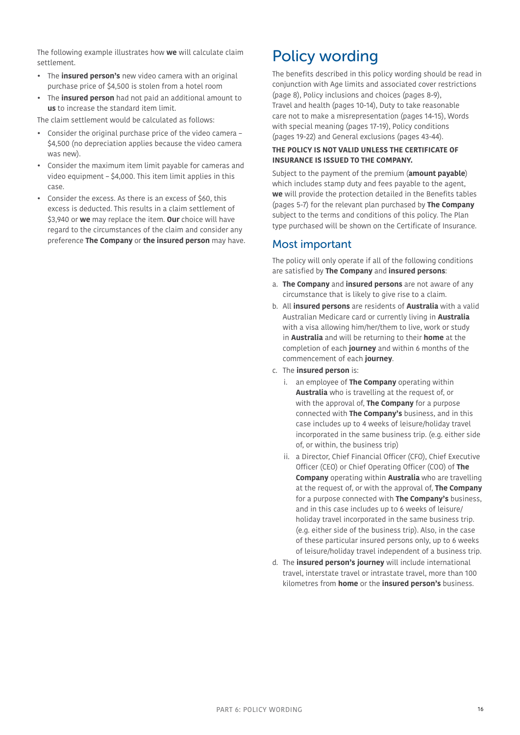The following example illustrates how **we** will calculate claim settlement.

- The **insured person's** new video camera with an original purchase price of \$4,500 is stolen from a hotel room
- The **insured person** had not paid an additional amount to **us** to increase the standard item limit.

The claim settlement would be calculated as follows:

- Consider the original purchase price of the video camera \$4,500 (no depreciation applies because the video camera was new).
- Consider the maximum item limit payable for cameras and video equipment – \$4,000. This item limit applies in this case.
- Consider the excess. As there is an excess of \$60, this excess is deducted. This results in a claim settlement of \$3,940 or **we** may replace the item. **Our** choice will have regard to the circumstances of the claim and consider any preference **The Company** or **the insured person** may have.

# <span id="page-15-0"></span>Policy wording

The benefits described in this policy wording should be read in conjunction with Age limits and associated cover restrictions (page [8](#page-7-3)), Policy inclusions and choices (pages [8-](#page-7-0)[9\)](#page-8-3), Travel and health (pages [10](#page-9-0)[-14\)](#page-13-3), Duty to take reasonable care not to make a misrepresentation (pages [14-](#page-13-2)15), Words with special meaning (pages [17](#page-16-0)[-19](#page-18-1)), Policy conditions (pages [19-](#page-18-0)[22](#page-21-0)) and General exclusions (pages [43](#page-42-0)[-44](#page-43-0)).

### **THE POLICY IS NOT VALID UNLESS THE CERTIFICATE OF INSURANCE IS ISSUED TO THE COMPANY.**

Subject to the payment of the premium (**amount payable**) which includes stamp duty and fees payable to the agent, **we** will provide the protection detailed in the Benefits tables (pages 5-7) for the relevant plan purchased by **The Company**  subject to the terms and conditions of this policy. The Plan type purchased will be shown on the Certificate of Insurance.

### Most important

The policy will only operate if all of the following conditions are satisfied by **The Company** and **insured persons**:

- a. **The Company** and **insured persons** are not aware of any circumstance that is likely to give rise to a claim.
- b. All **insured persons** are residents of **Australia** with a valid Australian Medicare card or currently living in **Australia** with a visa allowing him/her/them to live, work or study in **Australia** and will be returning to their **home** at the completion of each **journey** and within 6 months of the commencement of each **journey**.
- c. The **insured person** is:
	- i. an employee of **The Company** operating within **Australia** who is travelling at the request of, or with the approval of, **The Company** for a purpose connected with **The Company's** business, and in this case includes up to 4 weeks of leisure/holiday travel incorporated in the same business trip. (e.g. either side of, or within, the business trip)
	- ii. a Director, Chief Financial Officer (CFO), Chief Executive Officer (CEO) or Chief Operating Officer (COO) of **The Company** operating within **Australia** who are travelling at the request of, or with the approval of, **The Company** for a purpose connected with **The Company's** business, and in this case includes up to 6 weeks of leisure/ holiday travel incorporated in the same business trip. (e.g. either side of the business trip). Also, in the case of these particular insured persons only, up to 6 weeks of leisure/holiday travel independent of a business trip.
- d. The **insured person's journey** will include international travel, interstate travel or intrastate travel, more than 100 kilometres from **home** or the **insured person's** business.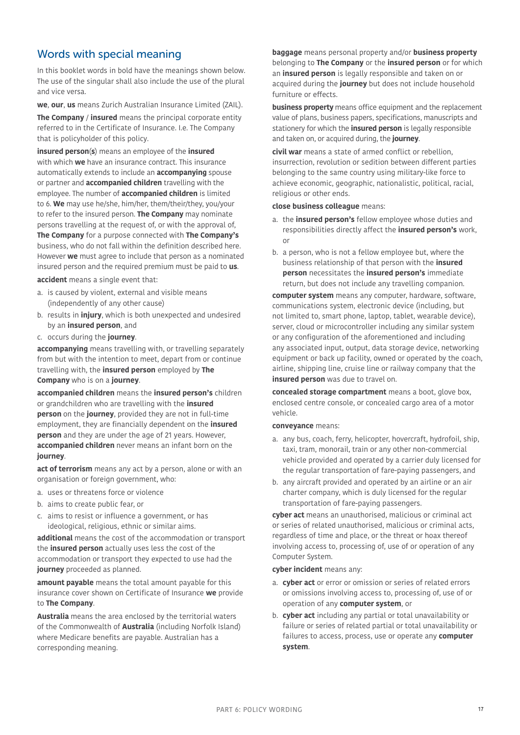## <span id="page-16-0"></span>Words with special meaning

In this booklet words in bold have the meanings shown below. The use of the singular shall also include the use of the plural and vice versa.

**we**, **our**, **us** means Zurich Australian Insurance Limited (ZAIL).

**The Company** / **insured** means the principal corporate entity referred to in the Certificate of Insurance. I.e. The Company that is policyholder of this policy.

**insured person**(**s**) means an employee of the **insured** with which **we** have an insurance contract. This insurance automatically extends to include an **accompanying** spouse or partner and **accompanied children** travelling with the employee. The number of **accompanied children** is limited to 6. **We** may use he/she, him/her, them/their/they, you/your to refer to the insured person. **The Company** may nominate persons travelling at the request of, or with the approval of, **The Company** for a purpose connected with **The Company's** business, who do not fall within the definition described here. However **we** must agree to include that person as a nominated insured person and the required premium must be paid to **us**.

**accident** means a single event that:

- a. is caused by violent, external and visible means (independently of any other cause)
- b. results in **injury**, which is both unexpected and undesired by an **insured person**, and
- c. occurs during the **journey**.

**accompanying** means travelling with, or travelling separately from but with the intention to meet, depart from or continue travelling with, the **insured person** employed by **The Company** who is on a **journey**.

**accompanied children** means the **insured person's** children or grandchildren who are travelling with the **insured person** on the **journey**, provided they are not in full-time employment, they are financially dependent on the **insured person** and they are under the age of 21 years. However, **accompanied children** never means an infant born on the **journey**.

act of terrorism means any act by a person, alone or with an organisation or foreign government, who:

- a. uses or threatens force or violence
- b. aims to create public fear, or
- c. aims to resist or influence a government, or has ideological, religious, ethnic or similar aims.

**additional** means the cost of the accommodation or transport the **insured person** actually uses less the cost of the accommodation or transport they expected to use had the **journey** proceeded as planned.

**amount payable** means the total amount payable for this insurance cover shown on Certificate of Insurance **we** provide to **The Company**.

**Australia** means the area enclosed by the territorial waters of the Commonwealth of **Australia** (including Norfolk Island) where Medicare benefits are payable. Australian has a corresponding meaning.

**baggage** means personal property and/or **business property** belonging to **The Company** or the **insured person** or for which an **insured person** is legally responsible and taken on or acquired during the **journey** but does not include household furniture or effects.

**business property** means office equipment and the replacement value of plans, business papers, specifications, manuscripts and stationery for which the **insured person** is legally responsible and taken on, or acquired during, the **journey**.

**civil war** means a state of armed conflict or rebellion, insurrection, revolution or sedition between different parties belonging to the same country using military-like force to achieve economic, geographic, nationalistic, political, racial, religious or other ends.

#### **close business colleague** means:

- a. the **insured person's** fellow employee whose duties and responsibilities directly affect the **insured person's** work, or
- b. a person, who is not a fellow employee but, where the business relationship of that person with the **insured person** necessitates the **insured person's** immediate return, but does not include any travelling companion.

**computer system** means any computer, hardware, software, communications system, electronic device (including, but not limited to, smart phone, laptop, tablet, wearable device), server, cloud or microcontroller including any similar system or any configuration of the aforementioned and including any associated input, output, data storage device, networking equipment or back up facility, owned or operated by the coach, airline, shipping line, cruise line or railway company that the **insured person** was due to travel on.

**concealed storage compartment** means a boot, glove box, enclosed centre console, or concealed cargo area of a motor vehicle.

#### **conveyance** means:

- a. any bus, coach, ferry, helicopter, hovercraft, hydrofoil, ship, taxi, tram, monorail, train or any other non-commercial vehicle provided and operated by a carrier duly licensed for the regular transportation of fare-paying passengers, and
- b. any aircraft provided and operated by an airline or an air charter company, which is duly licensed for the regular transportation of fare-paying passengers.

**cyber act** means an unauthorised, malicious or criminal act or series of related unauthorised, malicious or criminal acts, regardless of time and place, or the threat or hoax thereof involving access to, processing of, use of or operation of any Computer System.

### **cyber incident** means any:

- a. **cyber act** or error or omission or series of related errors or omissions involving access to, processing of, use of or operation of any **computer system**, or
- b. **cyber act** including any partial or total unavailability or failure or series of related partial or total unavailability or failures to access, process, use or operate any **computer system**.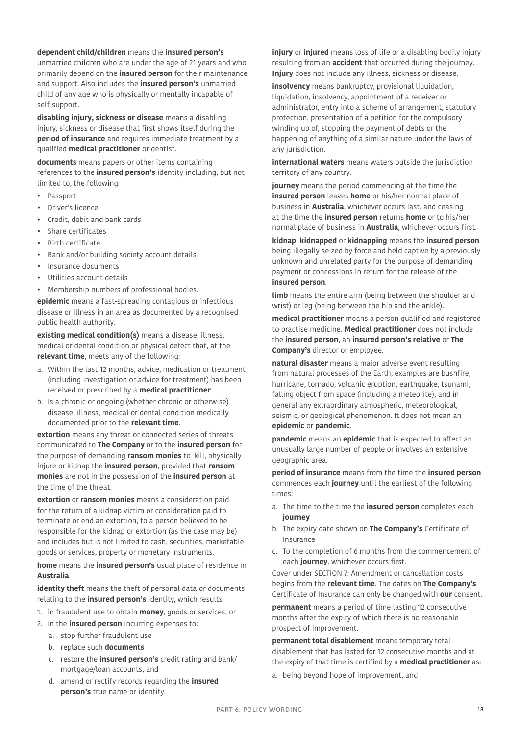### **dependent child/children** means the **insured person's**

unmarried children who are under the age of 21 years and who primarily depend on the **insured person** for their maintenance and support. Also includes the **insured person's** unmarried child of any age who is physically or mentally incapable of self-support.

**disabling injury, sickness or disease** means a disabling injury, sickness or disease that first shows itself during the **period of insurance** and requires immediate treatment by a qualified **medical practitioner** or dentist.

**documents** means papers or other items containing references to the **insured person's** identity including, but not limited to, the following:

- **Passport**
- Driver's licence
- Credit, debit and bank cards
- Share certificates
- Birth certificate
- Bank and/or building society account details
- Insurance documents
- Utilities account details
- Membership numbers of professional bodies.

**epidemic** means a fast-spreading contagious or infectious disease or illness in an area as documented by a recognised public health authority.

**existing medical condition(s)** means a disease, illness, medical or dental condition or physical defect that, at the **relevant time**, meets any of the following:

- a. Within the last 12 months, advice, medication or treatment (including investigation or advice for treatment) has been received or prescribed by a **medical practitioner**.
- b. Is a chronic or ongoing (whether chronic or otherwise) disease, illness, medical or dental condition medically documented prior to the **relevant time**.

**extortion** means any threat or connected series of threats communicated to **The Company** or to the **insured person** for the purpose of demanding **ransom monies** to kill, physically injure or kidnap the **insured person**, provided that **ransom monies** are not in the possession of the **insured person** at the time of the threat.

**extortion** or **ransom monies** means a consideration paid for the return of a kidnap victim or consideration paid to terminate or end an extortion, to a person believed to be responsible for the kidnap or extortion (as the case may be) and includes but is not limited to cash, securities, marketable goods or services, property or monetary instruments.

**home** means the **insured person's** usual place of residence in **Australia**.

**identity theft** means the theft of personal data or documents relating to the **insured person's** identity, which results:

- 1. in fraudulent use to obtain **money**, goods or services, or
- 2. in the **insured person** incurring expenses to:
	- a. stop further fraudulent use
	- b. replace such **documents**
	- c. restore the **insured person's** credit rating and bank/ mortgage/loan accounts, and
	- d. amend or rectify records regarding the **insured person's** true name or identity.

**injury** or **injured** means loss of life or a disabling bodily injury resulting from an **accident** that occurred during the journey. **Injury** does not include any illness, sickness or disease.

**insolvency** means bankruptcy, provisional liquidation, liquidation, insolvency, appointment of a receiver or administrator, entry into a scheme of arrangement, statutory protection, presentation of a petition for the compulsory winding up of, stopping the payment of debts or the happening of anything of a similar nature under the laws of any jurisdiction.

**international waters** means waters outside the jurisdiction territory of any country.

**journey** means the period commencing at the time the **insured person** leaves **home** or his/her normal place of business in **Australia**, whichever occurs last, and ceasing at the time the **insured person** returns **home** or to his/her normal place of business in **Australia**, whichever occurs first.

**kidnap**, **kidnapped** or **kidnapping** means the **insured person**  being illegally seized by force and held captive by a previously unknown and unrelated party for the purpose of demanding payment or concessions in return for the release of the **insured person**.

**limb** means the entire arm (being between the shoulder and wrist) or leg (being between the hip and the ankle).

**medical practitioner** means a person qualified and registered to practise medicine. **Medical practitioner** does not include the **insured person**, an **insured person's relative** or **The Company's** director or employee.

**natural disaster** means a major adverse event resulting from natural processes of the Earth; examples are bushfire, hurricane, tornado, volcanic eruption, earthquake, tsunami, falling object from space (including a meteorite), and in general any extraordinary atmospheric, meteorological, seismic, or geological phenomenon. It does not mean an **epidemic** or **pandemic**.

**pandemic** means an **epidemic** that is expected to affect an unusually large number of people or involves an extensive geographic area.

**period of insurance** means from the time the **insured person**  commences each **journey** until the earliest of the following times:

- a. The time to the time the **insured person** completes each **journey**
- b. The expiry date shown on **The Company's** Certificate of Insurance
- c. To the completion of 6 months from the commencement of each **journey**, whichever occurs first.

Cover under [SECTION 7: Amendment or cancellation costs](#page-25-0) begins from the **relevant time**. The dates on **The Company's** Certificate of Insurance can only be changed with **our** consent.

**permanent** means a period of time lasting 12 consecutive months after the expiry of which there is no reasonable prospect of improvement.

**permanent total disablement** means temporary total disablement that has lasted for 12 consecutive months and at the expiry of that time is certified by a **medical practitioner** as:

a. being beyond hope of improvement, and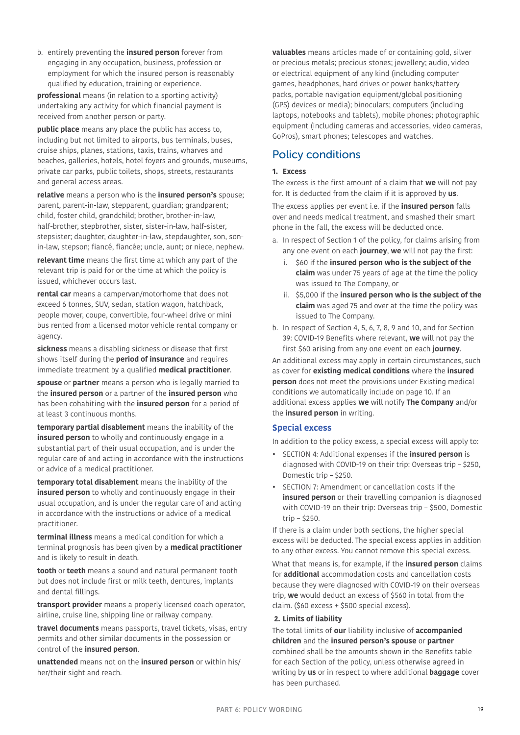b. entirely preventing the **insured person** forever from engaging in any occupation, business, profession or employment for which the insured person is reasonably qualified by education, training or experience.

**professional** means (in relation to a sporting activity) undertaking any activity for which financial payment is received from another person or party.

**public place** means any place the public has access to, including but not limited to airports, bus terminals, buses, cruise ships, planes, stations, taxis, trains, wharves and beaches, galleries, hotels, hotel foyers and grounds, museums, private car parks, public toilets, shops, streets, restaurants and general access areas.

**relative** means a person who is the **insured person's** spouse; parent, parent-in-law, stepparent, guardian; grandparent; child, foster child, grandchild; brother, brother-in-law, half-brother, stepbrother, sister, sister-in-law, half-sister, stepsister; daughter, daughter-in-law, stepdaughter, son, sonin-law, stepson; fiancé, fiancée; uncle, aunt; or niece, nephew.

**relevant time** means the first time at which any part of the relevant trip is paid for or the time at which the policy is issued, whichever occurs last.

**rental car** means a campervan/motorhome that does not exceed 6 tonnes, SUV, sedan, station wagon, hatchback, people mover, coupe, convertible, four-wheel drive or mini bus rented from a licensed motor vehicle rental company or agency.

**sickness** means a disabling sickness or disease that first shows itself during the **period of insurance** and requires immediate treatment by a qualified **medical practitioner**.

**spouse** or **partner** means a person who is legally married to the **insured person** or a partner of the **insured person** who has been cohabiting with the **insured person** for a period of at least 3 continuous months.

**temporary partial disablement** means the inability of the **insured person** to wholly and continuously engage in a substantial part of their usual occupation, and is under the regular care of and acting in accordance with the instructions or advice of a medical practitioner.

**temporary total disablement** means the inability of the **insured person** to wholly and continuously engage in their usual occupation, and is under the regular care of and acting in accordance with the instructions or advice of a medical practitioner.

**terminal illness** means a medical condition for which a terminal prognosis has been given by a **medical practitioner** and is likely to result in death.

**tooth** or **teeth** means a sound and natural permanent tooth but does not include first or milk teeth, dentures, implants and dental fillings.

**transport provider** means a properly licensed coach operator, airline, cruise line, shipping line or railway company.

**travel documents** means passports, travel tickets, visas, entry permits and other similar documents in the possession or control of the **insured person**.

**unattended** means not on the **insured person** or within his/ her/their sight and reach.

<span id="page-18-1"></span>**valuables** means articles made of or containing gold, silver or precious metals; precious stones; jewellery; audio, video or electrical equipment of any kind (including computer games, headphones, hard drives or power banks/battery packs, portable navigation equipment/global positioning (GPS) devices or media); binoculars; computers (including laptops, notebooks and tablets), mobile phones; photographic equipment (including cameras and accessories, video cameras, GoPros), smart phones; telescopes and watches.

# <span id="page-18-0"></span>Policy conditions

### <span id="page-18-2"></span>**1. Excess**

The excess is the first amount of a claim that **we** will not pay for. It is deducted from the claim if it is approved by **us**.

The excess applies per event i.e. if the **insured person** falls over and needs medical treatment, and smashed their smart phone in the fall, the excess will be deducted once.

- a. In respect of Section 1 of the policy, for claims arising from any one event on each **journey**, **we** will not pay the first:
	- i. \$60 if the **insured person who is the subject of the claim** was under 75 years of age at the time the policy was issued to The Company, or
	- ii. \$5,000 if the **insured person who is the subject of the claim** was aged 75 and over at the time the policy was issued to The Company.
- b. In respect of Section 4, 5, 6, 7, 8, 9 and 10, and for Section 39: COVID-19 Benefits where relevant, **we** will not pay the first \$60 arising from any one event on each **journey**.

An additional excess may apply in certain circumstances, such as cover for **existing medical conditions** where the **insured person** does not meet the provisions under [Existing medical](#page-9-2)  [conditions we automatically include on page 10.](#page-9-2) If an additional excess applies **we** will notify **The Company** and/or the **insured person** in writing.

### **Special excess**

In addition to the policy excess, a special excess will apply to:

- SECTION 4: Additional expenses if the **insured person** is diagnosed with COVID-19 on their trip: Overseas trip – \$250, Domestic trip – \$250.
- SECTION 7: Amendment or cancellation costs if the **insured person** or their travelling companion is diagnosed with COVID-19 on their trip: Overseas trip – \$500, Domestic trip – \$250.

If there is a claim under both sections, the higher special excess will be deducted. The special excess applies in addition to any other excess. You cannot remove this special excess.

What that means is, for example, if the **insured person** claims for **additional** accommodation costs and cancellation costs because they were diagnosed with COVID-19 on their overseas trip, **we** would deduct an excess of \$560 in total from the claim. (\$60 excess + \$500 special excess).

### **2. Limits of liability**

The total limits of **our** liability inclusive of **accompanied children** and the **insured person's spouse** or **partner** combined shall be the amounts shown in the Benefits table for each Section of the policy, unless otherwise agreed in writing by **us** or in respect to where additional **baggage** cover has been purchased.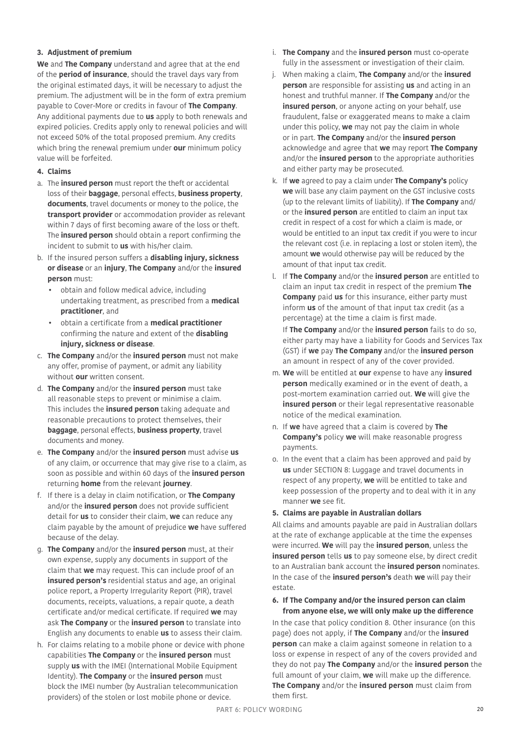### **3. Adjustment of premium**

**We** and **The Company** understand and agree that at the end of the **period of insurance**, should the travel days vary from the original estimated days, it will be necessary to adjust the premium. The adjustment will be in the form of extra premium payable to Cover-More or credits in favour of **The Company**. Any additional payments due to **us** apply to both renewals and expired policies. Credits apply only to renewal policies and will not exceed 50% of the total proposed premium. Any credits which bring the renewal premium under **our** minimum policy value will be forfeited.

### **4. Claims**

- a. The **insured person** must report the theft or accidental loss of their **baggage**, personal effects, **business property**, **documents**, travel documents or money to the police, the **transport provider** or accommodation provider as relevant within 7 days of first becoming aware of the loss or theft. The **insured person** should obtain a report confirming the incident to submit to **us** with his/her claim.
- b. If the insured person suffers a **disabling injury, sickness or disease** or an **injury**, **The Company** and/or the **insured person** must:
	- obtain and follow medical advice, including undertaking treatment, as prescribed from a **medical practitioner**, and
	- obtain a certificate from a **medical practitioner** confirming the nature and extent of the **disabling injury, sickness or disease**.
- c. **The Company** and/or the **insured person** must not make any offer, promise of payment, or admit any liability without **our** written consent.
- d. **The Company** and/or the **insured person** must take all reasonable steps to prevent or minimise a claim. This includes the **insured person** taking adequate and reasonable precautions to protect themselves, their **baggage**, personal effects, **business property**, travel documents and money.
- e. **The Company** and/or the **insured person** must advise **us** of any claim, or occurrence that may give rise to a claim, as soon as possible and within 60 days of the **insured person**  returning **home** from the relevant **journey**.
- f. If there is a delay in claim notification, or **The Company**  and/or the **insured person** does not provide sufficient detail for **us** to consider their claim, **we** can reduce any claim payable by the amount of prejudice **we** have suffered because of the delay.
- g. **The Company** and/or the **insured person** must, at their own expense, supply any documents in support of the claim that **we** may request. This can include proof of an **insured person's** residential status and age, an original police report, a Property Irregularity Report (PIR), travel documents, receipts, valuations, a repair quote, a death certificate and/or medical certificate. If required **we** may ask **The Company** or the **insured person** to translate into English any documents to enable **us** to assess their claim.
- h. For claims relating to a mobile phone or device with phone capabilities **The Company** or the **insured person** must supply **us** with the IMEI (International Mobile Equipment Identity). **The Company** or the **insured person** must block the IMEI number (by Australian telecommunication providers) of the stolen or lost mobile phone or device.
- i. **The Company** and the **insured person** must co-operate fully in the assessment or investigation of their claim.
- j. When making a claim, **The Company** and/or the **insured person** are responsible for assisting **us** and acting in an honest and truthful manner. If **The Company** and/or the **insured person**, or anyone acting on your behalf, use fraudulent, false or exaggerated means to make a claim under this policy, **we** may not pay the claim in whole or in part. **The Company** and/or the **insured person** acknowledge and agree that **we** may report **The Company**  and/or the **insured person** to the appropriate authorities and either party may be prosecuted.
- k. If **we** agreed to pay a claim under **The Company's** policy **we** will base any claim payment on the GST inclusive costs (up to the relevant limits of liability). If **The Company** and/ or the **insured person** are entitled to claim an input tax credit in respect of a cost for which a claim is made, or would be entitled to an input tax credit if you were to incur the relevant cost (i.e. in replacing a lost or stolen item), the amount **we** would otherwise pay will be reduced by the amount of that input tax credit.
- l. If **The Company** and/or the **insured person** are entitled to claim an input tax credit in respect of the premium **The Company** paid **us** for this insurance, either party must inform **us** of the amount of that input tax credit (as a percentage) at the time a claim is first made.

If **The Company** and/or the **insured person** fails to do so, either party may have a liability for Goods and Services Tax (GST) if **we** pay **The Company** and/or the **insured person** an amount in respect of any of the cover provided.

- m. **We** will be entitled at **our** expense to have any **insured person** medically examined or in the event of death, a post-mortem examination carried out. **We** will give the **insured person** or their legal representative reasonable notice of the medical examination.
- n. If **we** have agreed that a claim is covered by **The Company's** policy **we** will make reasonable progress payments.
- o. In the event that a claim has been approved and paid by **us** under [SECTION 8: Luggage and travel documents](#page-26-0) in respect of any property, **we** will be entitled to take and keep possession of the property and to deal with it in any manner **we** see fit.

### **5. Claims are payable in Australian dollars**

All claims and amounts payable are paid in Australian dollars at the rate of exchange applicable at the time the expenses were incurred. **We** will pay the **insured person**, unless the **insured person** tells **us** to pay someone else, by direct credit to an Australian bank account the **insured person** nominates. In the case of the **insured person's** death **we** will pay their estate.

### **6. If The Company and/or the insured person can claim from anyone else, we will only make up the difference**

In the case that policy condition 8. Other insurance (on this page) does not apply, if **The Company** and/or the **insured person** can make a claim against someone in relation to a loss or expense in respect of any of the covers provided and they do not pay **The Company** and/or the **insured person** the full amount of your claim, **we** will make up the difference. **The Company** and/or the **insured person** must claim from them first.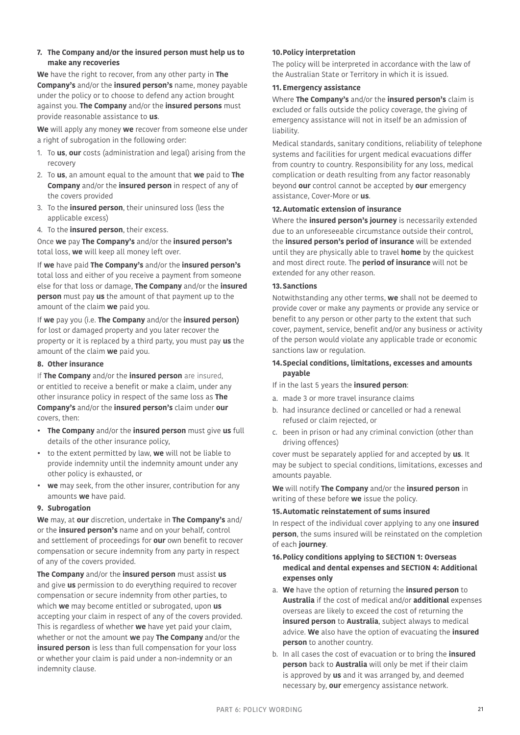### **7. The Company and/or the insured person must help us to make any recoveries**

**We** have the right to recover, from any other party in **The Company's** and/or the **insured person's** name, money payable under the policy or to choose to defend any action brought against you. **The Company** and/or the **insured persons** must provide reasonable assistance to **us**.

**We** will apply any money **we** recover from someone else under a right of subrogation in the following order:

- 1. To **us**, **our** costs (administration and legal) arising from the recovery
- 2. To **us**, an amount equal to the amount that **we** paid to **The Company** and/or the **insured person** in respect of any of the covers provided
- 3. To the **insured person**, their uninsured loss (less the applicable excess)
- 4. To the **insured person**, their excess.

Once **we** pay **The Company's** and/or the **insured person's** total loss, **we** will keep all money left over.

If **we** have paid **The Company's** and/or the **insured person's** total loss and either of you receive a payment from someone else for that loss or damage, **The Company** and/or the **insured person** must pay **us** the amount of that payment up to the amount of the claim **we** paid you.

If **we** pay you (i.e. **The Company** and/or the **insured person)** for lost or damaged property and you later recover the property or it is replaced by a third party, you must pay **us** the amount of the claim **we** paid you.

#### **8. Other insurance**

If **The Company** and/or the **insured person** are insured, or entitled to receive a benefit or make a claim, under any other insurance policy in respect of the same loss as **The Company's** and/or the **insured person's** claim under **our**  covers, then:

- **The Company** and/or the **insured person** must give **us** full details of the other insurance policy,
- to the extent permitted by law, **we** will not be liable to provide indemnity until the indemnity amount under any other policy is exhausted, or
- **we** may seek, from the other insurer, contribution for any amounts **we** have paid.

### **9. Subrogation**

**We** may, at **our** discretion, undertake in **The Company's** and/ or the **insured person's** name and on your behalf, control and settlement of proceedings for **our** own benefit to recover compensation or secure indemnity from any party in respect of any of the covers provided.

**The Company** and/or the **insured person** must assist **us** and give **us** permission to do everything required to recover compensation or secure indemnity from other parties, to which **we** may become entitled or subrogated, upon **us** accepting your claim in respect of any of the covers provided. This is regardless of whether **we** have yet paid your claim, whether or not the amount **we** pay **The Company** and/or the **insured person** is less than full compensation for your loss or whether your claim is paid under a non-indemnity or an indemnity clause.

### **10.Policy interpretation**

The policy will be interpreted in accordance with the law of the Australian State or Territory in which it is issued.

#### **11. Emergency assistance**

Where **The Company's** and/or the **insured person's** claim is excluded or falls outside the policy coverage, the giving of emergency assistance will not in itself be an admission of liability.

Medical standards, sanitary conditions, reliability of telephone systems and facilities for urgent medical evacuations differ from country to country. Responsibility for any loss, medical complication or death resulting from any factor reasonably beyond **our** control cannot be accepted by **our** emergency assistance, Cover-More or **us**.

#### <span id="page-20-0"></span>**12.Automatic extension of insurance**

Where the **insured person's journey** is necessarily extended due to an unforeseeable circumstance outside their control, the **insured person's period of insurance** will be extended until they are physically able to travel **home** by the quickest and most direct route. The **period of insurance** will not be extended for any other reason.

#### **13.Sanctions**

Notwithstanding any other terms, **we** shall not be deemed to provide cover or make any payments or provide any service or benefit to any person or other party to the extent that such cover, payment, service, benefit and/or any business or activity of the person would violate any applicable trade or economic sanctions law or regulation.

### **14.Special conditions, limitations, excesses and amounts payable**

If in the last 5 years the **insured person**:

- a. made 3 or more travel insurance claims
- b. had insurance declined or cancelled or had a renewal refused or claim rejected, or
- c. been in prison or had any criminal conviction (other than driving offences)

cover must be separately applied for and accepted by **us**. It may be subject to special conditions, limitations, excesses and amounts payable.

**We** will notify **The Company** and/or the **insured person** in writing of these before **we** issue the policy.

### **15.Automatic reinstatement of sums insured**

In respect of the individual cover applying to any one **insured person**, the sums insured will be reinstated on the completion of each **journey**.

### **16.Policy conditions applying to [SECTION 1: Overseas](#page-22-1)  [medical and dental expenses](#page-22-1) and [SECTION 4: Additional](#page-23-0)  [expenses](#page-23-0) only**

- a. **We** have the option of returning the **insured person** to **Australia** if the cost of medical and/or **additional** expenses overseas are likely to exceed the cost of returning the **insured person** to **Australia**, subject always to medical advice. **We** also have the option of evacuating the **insured person** to another country.
- b. In all cases the cost of evacuation or to bring the **insured person** back to **Australia** will only be met if their claim is approved by **us** and it was arranged by, and deemed necessary by, **our** emergency assistance network.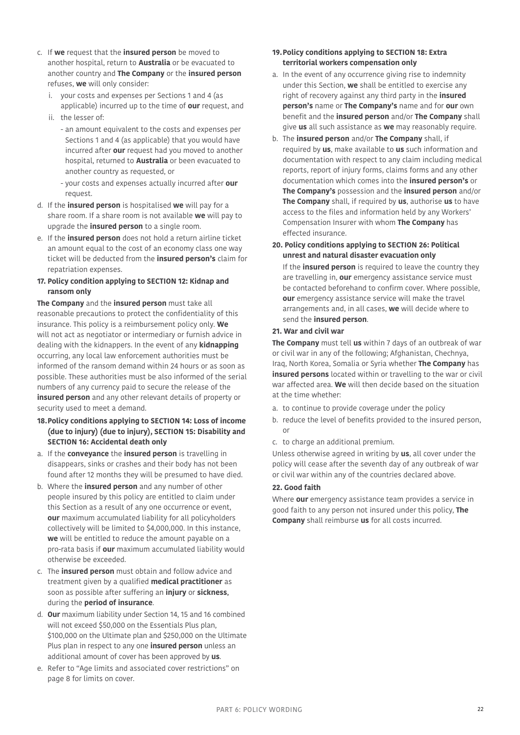- c. If **we** request that the **insured person** be moved to another hospital, return to **Australia** or be evacuated to another country and **The Company** or the **insured person** refuses, **we** will only consider:
	- i. your costs and expenses per Sections 1 and 4 (as applicable) incurred up to the time of **our** request, and
	- ii. the lesser of:
		- an amount equivalent to the costs and expenses per Sections 1 and 4 (as applicable) that you would have incurred after **our** request had you moved to another hospital, returned to **Australia** or been evacuated to another country as requested, or
		- your costs and expenses actually incurred after **our** request.
- d. If the **insured person** is hospitalised **we** will pay for a share room. If a share room is not available **we** will pay to upgrade the **insured person** to a single room.
- e. If the **insured person** does not hold a return airline ticket an amount equal to the cost of an economy class one way ticket will be deducted from the **insured person's** claim for repatriation expenses.

### **17. Policy condition applying to [SECTION 12: Kidnap and](#page-29-0)  [ransom](#page-29-0) only**

**The Company** and the **insured person** must take all reasonable precautions to protect the confidentiality of this insurance. This policy is a reimbursement policy only. **We** will not act as negotiator or intermediary or furnish advice in dealing with the kidnappers. In the event of any **kidnapping**  occurring, any local law enforcement authorities must be informed of the ransom demand within 24 hours or as soon as possible. These authorities must be also informed of the serial numbers of any currency paid to secure the release of the **insured person** and any other relevant details of property or security used to meet a demand.

- **18.Policy conditions applying to [SECTION 14: Loss of income](#page-30-0)  [\(due to injury\)](#page-30-0) (due to injury), [SECTION 15: Disability](#page-31-0) and [SECTION 16: Accidental death](#page-32-1) only**
- a. If the **conveyance** the **insured person** is travelling in disappears, sinks or crashes and their body has not been found after 12 months they will be presumed to have died.
- b. Where the **insured person** and any number of other people insured by this policy are entitled to claim under this Section as a result of any one occurrence or event, **our** maximum accumulated liability for all policyholders collectively will be limited to \$4,000,000. In this instance, **we** will be entitled to reduce the amount payable on a pro-rata basis if **our** maximum accumulated liability would otherwise be exceeded.
- c. The **insured person** must obtain and follow advice and treatment given by a qualified **medical practitioner** as soon as possible after suffering an **injury** or **sickness**, during the **period of insurance**.
- d. **Our** maximum liability under Section 14, 15 and 16 combined will not exceed \$50,000 on the Essentials Plus plan, \$100,000 on the Ultimate plan and \$250,000 on the Ultimate Plus plan in respect to any one **insured person** unless an additional amount of cover has been approved by **us**.
- e. Refer to ["Age limits and associated cover restrictions" on](#page-7-3)  [page 8](#page-7-3) for limits on cover.

### **19.Policy conditions applying to [SECTION 18: Extra](#page-33-0)  [territorial workers compensation](#page-33-0) only**

- a. In the event of any occurrence giving rise to indemnity under this Section, **we** shall be entitled to exercise any right of recovery against any third party in the **insured person's** name or **The Company's** name and for **our** own benefit and the **insured person** and/or **The Company** shall give **us** all such assistance as **we** may reasonably require.
- b. The **insured person** and/or **The Company** shall, if required by **us**, make available to **us** such information and documentation with respect to any claim including medical reports, report of injury forms, claims forms and any other documentation which comes into the **insured person's** or **The Company's** possession and the **insured person** and/or **The Company** shall, if required by **us**, authorise **us** to have access to the files and information held by any Workers' Compensation Insurer with whom **The Company** has effected insurance.
- **20. Policy conditions applying to [SECTION 26: Political](#page-35-0)  [unrest and natural disaster evacuation](#page-35-0) only**

If the **insured person** is required to leave the country they are travelling in, **our** emergency assistance service must be contacted beforehand to confirm cover. Where possible, **our** emergency assistance service will make the travel arrangements and, in all cases, **we** will decide where to send the **insured person**.

### **21. War and civil war**

**The Company** must tell **us** within 7 days of an outbreak of war or civil war in any of the following; Afghanistan, Chechnya, Iraq, North Korea, Somalia or Syria whether **The Company** has **insured persons** located within or travelling to the war or civil war affected area. **We** will then decide based on the situation at the time whether:

- a. to continue to provide coverage under the policy
- b. reduce the level of benefits provided to the insured person, or
- c. to charge an additional premium.

Unless otherwise agreed in writing by **us**, all cover under the policy will cease after the seventh day of any outbreak of war or civil war within any of the countries declared above.

### <span id="page-21-0"></span>**22. Good faith**

Where **our** emergency assistance team provides a service in good faith to any person not insured under this policy, **The Company** shall reimburse **us** for all costs incurred.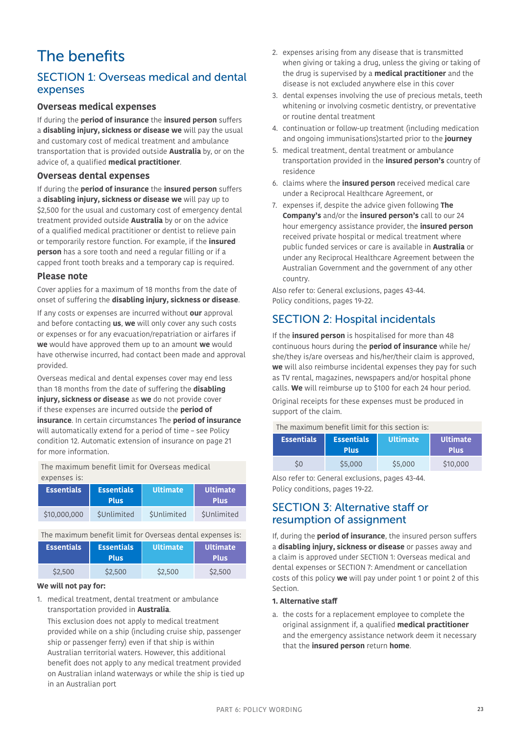# <span id="page-22-0"></span>The benefits

## <span id="page-22-1"></span>SECTION 1: Overseas medical and dental expenses

### **Overseas medical expenses**

If during the **period of insurance** the **insured person** suffers a **disabling injury, sickness or disease we** will pay the usual and customary cost of medical treatment and ambulance transportation that is provided outside **Australia** by, or on the advice of, a qualified **medical practitioner**.

### **Overseas dental expenses**

If during the **period of insurance** the **insured person** suffers a **disabling injury, sickness or disease we** will pay up to \$2,500 for the usual and customary cost of emergency dental treatment provided outside **Australia** by or on the advice of a qualified medical practitioner or dentist to relieve pain or temporarily restore function. For example, if the **insured person** has a sore tooth and need a regular filling or if a capped front tooth breaks and a temporary cap is required.

### **Please note**

Cover applies for a maximum of 18 months from the date of onset of suffering the **disabling injury, sickness or disease**. If any costs or expenses are incurred without **our** approval and before contacting **us**, **we** will only cover any such costs or expenses or for any evacuation/repatriation or airfares if **we** would have approved them up to an amount **we** would have otherwise incurred, had contact been made and approval provided.

Overseas medical and dental expenses cover may end less than 18 months from the date of suffering the **disabling injury, sickness or disease** as **we** do not provide cover if these expenses are incurred outside the **period of insurance**. In certain circumstances The **period of insurance** will automatically extend for a period of time – see Policy condition [12. Automatic extension of insurance on page 21](#page-20-0) for more information.

The maximum benefit limit for Overseas medical expenses is:

| <b>Essentials</b> | <b>Essentials</b><br><b>Plus</b> | <b>Ultimate</b> | Ultimate<br><b>Plus</b> |
|-------------------|----------------------------------|-----------------|-------------------------|
| \$10,000,000      | SUnlimited                       | SUnlimited      | SUnlimited              |

The maximum benefit limit for Overseas dental expenses is:

| <b>Essentials</b> | <b>Essentials</b><br><b>Plus</b> | <b>Ultimate</b> | <b>Ultimate</b><br><b>Plus</b> |
|-------------------|----------------------------------|-----------------|--------------------------------|
| \$2,500           | \$2,500                          | \$2,500         | \$2,500                        |

### **We will not pay for:**

1. medical treatment, dental treatment or ambulance transportation provided in **Australia**.

 This exclusion does not apply to medical treatment provided while on a ship (including cruise ship, passenger ship or passenger ferry) even if that ship is within Australian territorial waters. However, this additional benefit does not apply to any medical treatment provided on Australian inland waterways or while the ship is tied up in an Australian port

- 2. expenses arising from any disease that is transmitted when giving or taking a drug, unless the giving or taking of the drug is supervised by a **medical practitioner** and the disease is not excluded anywhere else in this cover
- 3. dental expenses involving the use of precious metals, teeth whitening or involving cosmetic dentistry, or preventative or routine dental treatment
- 4. continuation or follow-up treatment (including medication and ongoing immunisations)started prior to the **journey**
- 5. medical treatment, dental treatment or ambulance transportation provided in the **insured person's** country of residence
- 6. claims where the **insured person** received medical care under a Reciprocal Healthcare Agreement, or
- 7. expenses if, despite the advice given following **The Company's** and/or the **insured person's** call to our 24 hour emergency assistance provider, the **insured person** received private hospital or medical treatment where public funded services or care is available in **Australia** or under any Reciprocal Healthcare Agreement between the Australian Government and the government of any other country.

Also refer to: General exclusions, pages [43](#page-42-0)[-44](#page-43-0). Policy conditions, pages [19](#page-18-0)[-22.](#page-21-0)

# SECTION 2: Hospital incidentals

If the **insured person** is hospitalised for more than 48 continuous hours during the **period of insurance** while he/ she/they is/are overseas and his/her/their claim is approved, **we** will also reimburse incidental expenses they pay for such as TV rental, magazines, newspapers and/or hospital phone calls. **We** will reimburse up to \$100 for each 24 hour period.

Original receipts for these expenses must be produced in support of the claim.

|  | The maximum benefit limit for this section is: $\,$ |  |  |  |  |  |
|--|-----------------------------------------------------|--|--|--|--|--|
|--|-----------------------------------------------------|--|--|--|--|--|

| <b>Essentials</b> | <b>Essentials</b><br><b>Plus</b> | <b>Ultimate</b> | <b>Ultimate</b><br><b>Plus</b> |
|-------------------|----------------------------------|-----------------|--------------------------------|
|                   | \$5,000                          | \$5,000         | \$10,000                       |

Also refer to: General exclusions, pages [43](#page-42-0)[-44](#page-43-2). Policy conditions, pages [19](#page-18-0)[-22.](#page-21-0)

### <span id="page-22-2"></span>SECTION 3: Alternative staff or resumption of assignment

If, during the **period of insurance**, the insured person suffers a **disabling injury, sickness or disease** or passes away and a claim is approved under [SECTION 1: Overseas medical and](#page-22-1)  [dental expenses](#page-22-1) or [SECTION 7: Amendment or cancellation](#page-25-0)  [costs](#page-25-0) of this policy **we** will pay under point 1 or point 2 of this Section.

### **1. Alternative staff**

a. the costs for a replacement employee to complete the original assignment if, a qualified **medical practitioner** and the emergency assistance network deem it necessary that the **insured person** return **home**.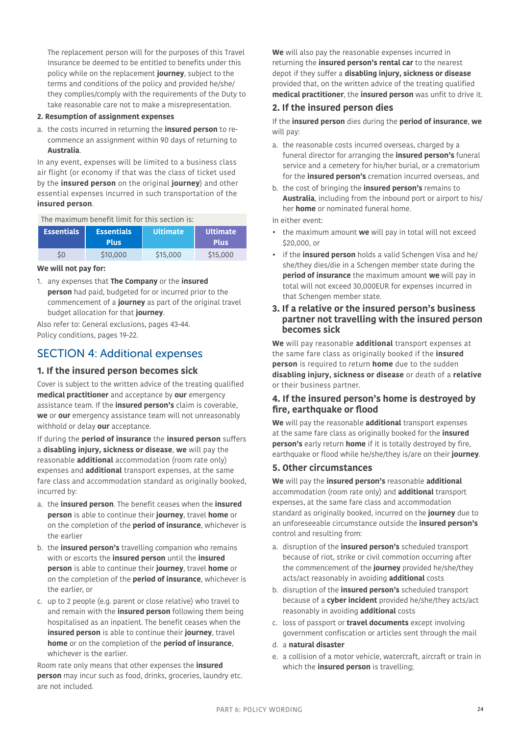The replacement person will for the purposes of this Travel Insurance be deemed to be entitled to benefits under this policy while on the replacement **journey**, subject to the terms and conditions of the policy and provided he/she/ they complies/comply with the requirements of the Duty to take reasonable care not to make a misrepresentation.

#### **2. Resumption of assignment expenses**

a. the costs incurred in returning the **insured person** to recommence an assignment within 90 days of returning to **Australia**.

In any event, expenses will be limited to a business class air flight (or economy if that was the class of ticket used by the **insured person** on the original **journey**) and other essential expenses incurred in such transportation of the **insured person**.

The maximum benefit limit for this section is:

| <b>Essentials</b> | <b>Essentials</b><br><b>Plus</b> | <b>Ultimate</b> | <b>Ultimate</b><br><b>Plus</b> |
|-------------------|----------------------------------|-----------------|--------------------------------|
| \$0               | \$10,000                         | \$15,000        | \$15,000                       |

#### **We will not pay for:**

1. any expenses that **The Company** or the **insured person** had paid, budgeted for or incurred prior to the commencement of a **journey** as part of the original travel budget allocation for that **journey**.

Also refer to: General exclusions, pages [43-](#page-42-0)[44.](#page-43-0) Policy conditions, pages [19](#page-18-0)-[22](#page-21-0).

### <span id="page-23-0"></span>SECTION 4: Additional expenses

### **1. If the insured person becomes sick**

Cover is subject to the written advice of the treating qualified **medical practitioner** and acceptance by **our** emergency assistance team. If the **insured person's** claim is coverable, **we** or **our** emergency assistance team will not unreasonably withhold or delay **our** acceptance.

If during the **period of insurance** the **insured person** suffers a **disabling injury, sickness or disease**, **we** will pay the reasonable **additional** accommodation (room rate only) expenses and **additional** transport expenses, at the same fare class and accommodation standard as originally booked, incurred by:

- a. the **insured person**. The benefit ceases when the **insured person** is able to continue their **journey**, travel **home** or on the completion of the **period of insurance**, whichever is the earlier
- b. the **insured person's** travelling companion who remains with or escorts the **insured person** until the **insured person** is able to continue their **journey**, travel **home** or on the completion of the **period of insurance**, whichever is the earlier, or
- c. up to 2 people (e.g. parent or close relative) who travel to and remain with the **insured person** following them being hospitalised as an inpatient. The benefit ceases when the **insured person** is able to continue their **journey**, travel **home** or on the completion of the **period of insurance**, whichever is the earlier.

Room rate only means that other expenses the **insured person** may incur such as food, drinks, groceries, laundry etc. are not included.

**We** will also pay the reasonable expenses incurred in returning the **insured person's rental car** to the nearest depot if they suffer a **disabling injury, sickness or disease** provided that, on the written advice of the treating qualified **medical practitioner**, the **insured person** was unfit to drive it.

### <span id="page-23-1"></span>**2. If the insured person dies**

If the **insured person** dies during the **period of insurance**, **we** will pay:

- a. the reasonable costs incurred overseas, charged by a funeral director for arranging the **insured person's** funeral service and a cemetery for his/her burial, or a crematorium for the **insured person's** cremation incurred overseas, and
- b. the cost of bringing the **insured person's** remains to **Australia**, including from the inbound port or airport to his/ her **home** or nominated funeral home.

In either event:

- the maximum amount **we** will pay in total will not exceed \$20,000, or
- if the **insured person** holds a valid Schengen Visa and he/ she/they dies/die in a Schengen member state during the **period of insurance** the maximum amount **we** will pay in total will not exceed 30,000EUR for expenses incurred in that Schengen member state.

### **3. If a relative or the insured person's business partner not travelling with the insured person becomes sick**

**We** will pay reasonable **additional** transport expenses at the same fare class as originally booked if the **insured person** is required to return **home** due to the sudden **disabling injury, sickness or disease** or death of a **relative** or their business partner.

### **4. If the insured person's home is destroyed by fire, earthquake or flood**

**We** will pay the reasonable **additional** transport expenses at the same fare class as originally booked for the **insured person's** early return **home** if it is totally destroyed by fire, earthquake or flood while he/she/they is/are on their **journey**.

### **5. Other circumstances**

**We** will pay the **insured person's** reasonable **additional** accommodation (room rate only) and **additional** transport expenses, at the same fare class and accommodation standard as originally booked, incurred on the **journey** due to an unforeseeable circumstance outside the **insured person's** control and resulting from:

- a. disruption of the **insured person's** scheduled transport because of riot, strike or civil commotion occurring after the commencement of the **journey** provided he/she/they acts/act reasonably in avoiding **additional** costs
- b. disruption of the **insured person's** scheduled transport because of a **cyber incident** provided he/she/they acts/act reasonably in avoiding **additional** costs
- c. loss of passport or **travel documents** except involving government confiscation or articles sent through the mail
- d. a **natural disaster**
- e. a collision of a motor vehicle, watercraft, aircraft or train in which the **insured person** is travelling;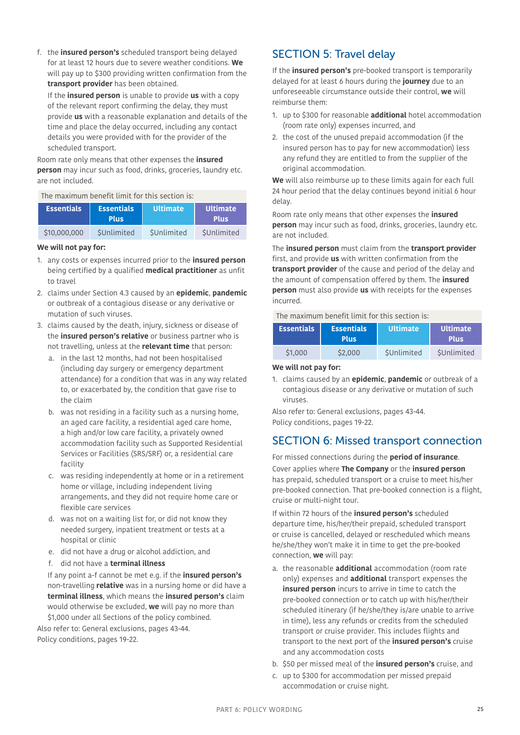f. the **insured person's** scheduled transport being delayed for at least 12 hours due to severe weather conditions. **We** will pay up to \$300 providing written confirmation from the **transport provider** has been obtained.

If the **insured person** is unable to provide **us** with a copy of the relevant report confirming the delay, they must provide **us** with a reasonable explanation and details of the time and place the delay occurred, including any contact details you were provided with for the provider of the scheduled transport.

Room rate only means that other expenses the **insured person** may incur such as food, drinks, groceries, laundry etc. are not included.

The maximum benefit limit for this section is:

| <b>Essentials</b> | <b>Essentials</b><br><b>Plus</b> | <b>Ultimate</b> | <b>Ultimate</b><br><b>Plus</b> |
|-------------------|----------------------------------|-----------------|--------------------------------|
| \$10,000,000      | SUnlimited                       | SUnlimited      | SUnlimited                     |

#### **We will not pay for:**

- 1. any costs or expenses incurred prior to the **insured person** being certified by a qualified **medical practitioner** as unfit to travel
- <span id="page-24-1"></span>2. claims under Section 4.3 caused by an **epidemic**, **pandemic** or outbreak of a contagious disease or any derivative or mutation of such viruses.
- 3. claims caused by the death, injury, sickness or disease of the **insured person's relative** or business partner who is not travelling, unless at the **relevant time** that person:
	- a. in the last 12 months, had not been hospitalised (including day surgery or emergency department attendance) for a condition that was in any way related to, or exacerbated by, the condition that gave rise to the claim
	- b. was not residing in a facility such as a nursing home, an aged care facility, a residential aged care home, a high and/or low care facility, a privately owned accommodation facility such as Supported Residential Services or Facilities (SRS/SRF) or, a residential care facility
	- c. was residing independently at home or in a retirement home or village, including independent living arrangements, and they did not require home care or flexible care services
	- d. was not on a waiting list for, or did not know they needed surgery, inpatient treatment or tests at a hospital or clinic
	- e. did not have a drug or alcohol addiction, and
	- f. did not have a **terminal illness**

 If any point a-f cannot be met e.g. if the **insured person's**  non-travelling **relative** was in a nursing home or did have a **terminal illness**, which means the **insured person's** claim would otherwise be excluded, **we** will pay no more than \$1,000 under all Sections of the policy combined.

Also refer to: General exclusions, pages [43-](#page-42-0)[44.](#page-43-0) Policy conditions, pages [19](#page-18-0)-[22](#page-21-0).

## SECTION 5: Travel delay

If the **insured person's** pre-booked transport is temporarily delayed for at least 6 hours during the **journey** due to an unforeseeable circumstance outside their control, **we** will reimburse them:

- 1. up to \$300 for reasonable **additional** hotel accommodation (room rate only) expenses incurred, and
- 2. the cost of the unused prepaid accommodation (if the insured person has to pay for new accommodation) less any refund they are entitled to from the supplier of the original accommodation.

**We** will also reimburse up to these limits again for each full 24 hour period that the delay continues beyond initial 6 hour delay.

Room rate only means that other expenses the **insured person** may incur such as food, drinks, groceries, laundry etc. are not included.

The **insured person** must claim from the **transport provider** first, and provide **us** with written confirmation from the **transport provider** of the cause and period of the delay and the amount of compensation offered by them. The **insured person** must also provide **us** with receipts for the expenses incurred.

#### The maximum benefit limit for this section is:

| <b>Essentials</b> | <b>Essentials</b><br><b>Plus</b> | <b>Ultimate</b> | <b>Ultimate</b><br><b>Plus</b> |
|-------------------|----------------------------------|-----------------|--------------------------------|
| \$1,000           | \$2,000                          | SUnlimited      | SUnlimited                     |

#### **We will not pay for:**

<span id="page-24-2"></span>1. claims caused by an **epidemic**, **pandemic** or outbreak of a contagious disease or any derivative or mutation of such viruses.

Also refer to: General exclusions, pages [43](#page-42-0)[-44](#page-43-0). Policy conditions, pages [19](#page-18-0)[-22.](#page-21-0)

### <span id="page-24-0"></span>SECTION 6: Missed transport connection

For missed connections during the **period of insurance**. Cover applies where **The Company** or the **insured person** has prepaid, scheduled transport or a cruise to meet his/her pre-booked connection. That pre-booked connection is a flight, cruise or multi-night tour.

If within 72 hours of the **insured person's** scheduled departure time, his/her/their prepaid, scheduled transport or cruise is cancelled, delayed or rescheduled which means he/she/they won't make it in time to get the pre-booked connection, **we** will pay:

- a. the reasonable **additional** accommodation (room rate only) expenses and **additional** transport expenses the **insured person** incurs to arrive in time to catch the pre-booked connection or to catch up with his/her/their scheduled itinerary (if he/she/they is/are unable to arrive in time), less any refunds or credits from the scheduled transport or cruise provider. This includes flights and transport to the next port of the **insured person's** cruise and any accommodation costs
- b. \$50 per missed meal of the **insured person's** cruise, and
- c. up to \$300 for accommodation per missed prepaid accommodation or cruise night.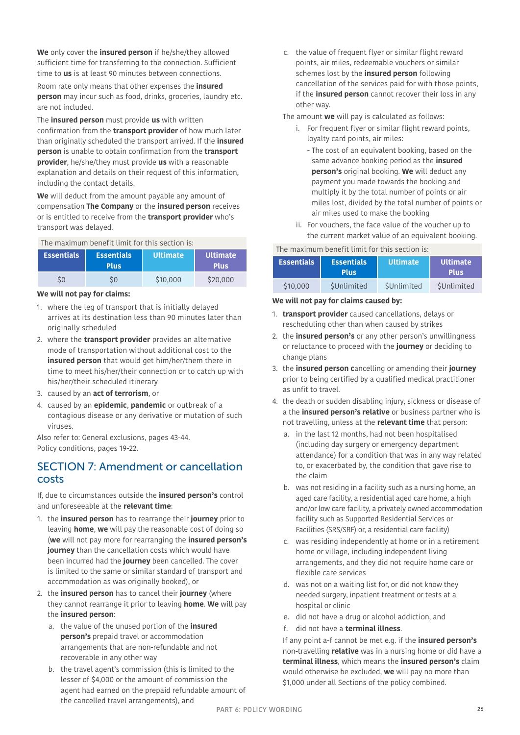**We** only cover the **insured person** if he/she/they allowed sufficient time for transferring to the connection. Sufficient time to **us** is at least 90 minutes between connections.

Room rate only means that other expenses the **insured person** may incur such as food, drinks, groceries, laundry etc. are not included.

The **insured person** must provide **us** with written confirmation from the **transport provider** of how much later than originally scheduled the transport arrived. If the **insured person** is unable to obtain confirmation from the **transport provider**, he/she/they must provide **us** with a reasonable explanation and details on their request of this information, including the contact details.

**We** will deduct from the amount payable any amount of compensation **The Company** or the **insured person** receives or is entitled to receive from the **transport provider** who's transport was delayed.

The maximum benefit limit for this section is:

| <b>Essentials</b> | <b>Essentials</b><br><b>Plus</b> | <b>Ultimate</b> | I Ultimate <sup>i</sup><br><b>Plus</b> |
|-------------------|----------------------------------|-----------------|----------------------------------------|
|                   |                                  | \$10,000        | \$20,000                               |

### **We will not pay for claims:**

- 1. where the leg of transport that is initially delayed arrives at its destination less than 90 minutes later than originally scheduled
- 2. where the **transport provider** provides an alternative mode of transportation without additional cost to the **insured person** that would get him/her/them there in time to meet his/her/their connection or to catch up with his/her/their scheduled itinerary
- 3. caused by an **act of terrorism**, or
- <span id="page-25-2"></span>4. caused by an **epidemic**, **pandemic** or outbreak of a contagious disease or any derivative or mutation of such viruses.

Also refer to: General exclusions, pages [43-](#page-42-0)[44.](#page-43-0) Policy conditions, pages [19](#page-18-0)-[22](#page-21-0).

## <span id="page-25-0"></span>SECTION 7: Amendment or cancellation costs

If, due to circumstances outside the **insured person's** control and unforeseeable at the **relevant time**:

- 1. the **insured person** has to rearrange their **journey** prior to leaving **home**, **we** will pay the reasonable cost of doing so (**we** will not pay more for rearranging the **insured person's journey** than the cancellation costs which would have been incurred had the **journey** been cancelled. The cover is limited to the same or similar standard of transport and accommodation as was originally booked), or
- 2. the **insured person** has to cancel their **journey** (where they cannot rearrange it prior to leaving **home**. **We** will pay the **insured person**:
	- a. the value of the unused portion of the **insured person's** prepaid travel or accommodation arrangements that are non-refundable and not recoverable in any other way
	- b. the travel agent's commission (this is limited to the lesser of \$4,000 or the amount of commission the agent had earned on the prepaid refundable amount of the cancelled travel arrangements), and

c. the value of frequent flyer or similar flight reward points, air miles, redeemable vouchers or similar schemes lost by the **insured person** following cancellation of the services paid for with those points, if the **insured person** cannot recover their loss in any other way.

The amount **we** will pay is calculated as follows:

- i. For frequent flyer or similar flight reward points, loyalty card points, air miles:
- The cost of an equivalent booking, based on the same advance booking period as the **insured person's** original booking. **We** will deduct any payment you made towards the booking and multiply it by the total number of points or air miles lost, divided by the total number of points or air miles used to make the booking
- ii. For vouchers, the face value of the voucher up to the current market value of an equivalent booking.

### The maximum benefit limit for this section is:

| Essentials <b>b</b> | <b>Essentials</b><br><b>Plus</b> | <b>Ultimate</b> | I Ultimate'<br><b>Plus</b> |
|---------------------|----------------------------------|-----------------|----------------------------|
| \$10,000            | SUnlimited                       | SUnlimited      | SUnlimited                 |

### **We will not pay for claims caused by:**

- 1. **transport provider** caused cancellations, delays or rescheduling other than when caused by strikes
- 2. the **insured person's** or any other person's unwillingness or reluctance to proceed with the **journey** or deciding to change plans
- 3. the **insured person c**ancelling or amending their **journey** prior to being certified by a qualified medical practitioner as unfit to travel.
- <span id="page-25-1"></span>4. the death or sudden disabling injury, sickness or disease of a the **insured person's relative** or business partner who is not travelling, unless at the **relevant time** that person:
	- a. in the last 12 months, had not been hospitalised (including day surgery or emergency department attendance) for a condition that was in any way related to, or exacerbated by, the condition that gave rise to the claim
	- b. was not residing in a facility such as a nursing home, an aged care facility, a residential aged care home, a high and/or low care facility, a privately owned accommodation facility such as Supported Residential Services or Facilities (SRS/SRF) or, a residential care facility)
	- c. was residing independently at home or in a retirement home or village, including independent living arrangements, and they did not require home care or flexible care services
	- d. was not on a waiting list for, or did not know they needed surgery, inpatient treatment or tests at a hospital or clinic
	- e. did not have a drug or alcohol addiction, and
	- f. did not have a **terminal illness**.

 If any point a-f cannot be met e.g. if the **insured person's**  non-travelling **relative** was in a nursing home or did have a **terminal illness**, which means the **insured person's** claim would otherwise be excluded, **we** will pay no more than \$1,000 under all Sections of the policy combined.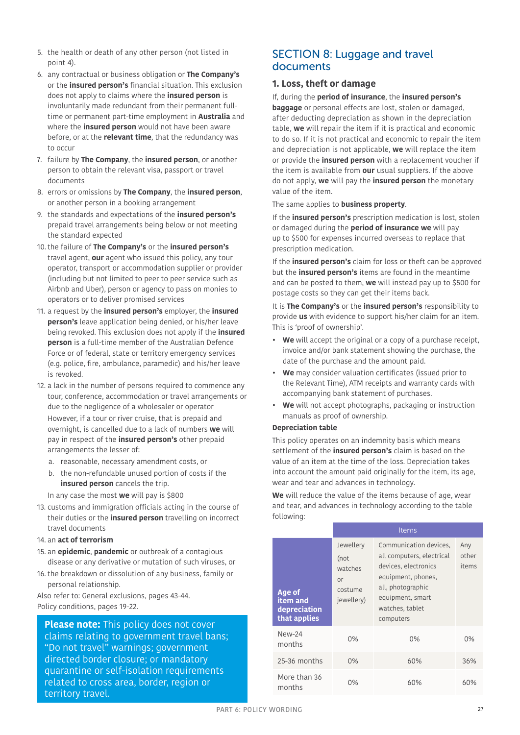- 5. the health or death of any other person (not listed in point 4).
- 6. any contractual or business obligation or **The Company's** or the **insured person's** financial situation. This exclusion does not apply to claims where the **insured person** is involuntarily made redundant from their permanent fulltime or permanent part-time employment in **Australia** and where the **insured person** would not have been aware before, or at the **relevant time**, that the redundancy was to occur
- 7. failure by **The Company**, the **insured person**, or another person to obtain the relevant visa, passport or travel documents
- 8. errors or omissions by **The Company**, the **insured person**, or another person in a booking arrangement
- 9. the standards and expectations of the **insured person's**  prepaid travel arrangements being below or not meeting the standard expected
- <span id="page-26-3"></span>10.the failure of **The Company's** or the **insured person's**  travel agent, **our** agent who issued this policy, any tour operator, transport or accommodation supplier or provider (including but not limited to peer to peer service such as Airbnb and Uber), person or agency to pass on monies to operators or to deliver promised services
- <span id="page-26-2"></span>11. a request by the **insured person's** employer, the **insured person's** leave application being denied, or his/her leave being revoked. This exclusion does not apply if the **insured person** is a full-time member of the Australian Defence Force or of federal, state or territory emergency services (e.g. police, fire, ambulance, paramedic) and his/her leave is revoked.
- 12. a lack in the number of persons required to commence any tour, conference, accommodation or travel arrangements or due to the negligence of a wholesaler or operator However, if a tour or river cruise, that is prepaid and overnight, is cancelled due to a lack of numbers **we** will pay in respect of the **insured person's** other prepaid arrangements the lesser of:
	- a. reasonable, necessary amendment costs, or
	- b. the non-refundable unused portion of costs if the **insured person** cancels the trip.

In any case the most **we** will pay is \$800

- 13. customs and immigration officials acting in the course of their duties or the **insured person** travelling on incorrect travel documents
- 14. an **act of terrorism**
- <span id="page-26-1"></span>15. an **epidemic**, **pandemic** or outbreak of a contagious disease or any derivative or mutation of such viruses, or
- 16. the breakdown or dissolution of any business, family or personal relationship.

Also refer to: General exclusions, pages [43-](#page-42-0)[44.](#page-43-0) Policy conditions, pages [19](#page-18-0)-[22](#page-21-0).

**Please note:** This policy does not cover claims relating to government travel bans; "Do not travel" warnings; government directed border closure; or mandatory quarantine or self-isolation requirements related to cross area, border, region or territory travel.

### <span id="page-26-0"></span>SECTION 8: Luggage and travel documents

### **1. Loss, theft or damage**

If, during the **period of insurance**, the **insured person's baggage** or personal effects are lost, stolen or damaged, after deducting depreciation as shown in the depreciation table, **we** will repair the item if it is practical and economic to do so. If it is not practical and economic to repair the item and depreciation is not applicable, **we** will replace the item or provide the **insured person** with a replacement voucher if the item is available from **our** usual suppliers. If the above do not apply, **we** will pay the **insured person** the monetary value of the item.

The same applies to **business property**.

If the **insured person's** prescription medication is lost, stolen or damaged during the **period of insurance we** will pay up to \$500 for expenses incurred overseas to replace that prescription medication.

If the **insured person's** claim for loss or theft can be approved but the **insured person's** items are found in the meantime and can be posted to them, **we** will instead pay up to \$500 for postage costs so they can get their items back.

It is **The Company's** or the **insured person's** responsibility to provide **us** with evidence to support his/her claim for an item. This is 'proof of ownership'.

- **We** will accept the original or a copy of a purchase receipt, invoice and/or bank statement showing the purchase, the date of the purchase and the amount paid.
- **We** may consider valuation certificates (issued prior to the Relevant Time), ATM receipts and warranty cards with accompanying bank statement of purchases.
- **We** will not accept photographs, packaging or instruction manuals as proof of ownership.

### **Depreciation table**

This policy operates on an indemnity basis which means settlement of the **insured person's** claim is based on the value of an item at the time of the loss. Depreciation takes into account the amount paid originally for the item, its age, wear and tear and advances in technology.

**We** will reduce the value of the items because of age, wear and tear, and advances in technology according to the table following:

|                                                    |                                                             | <b>Items</b>                                                                                                                                                               |                       |
|----------------------------------------------------|-------------------------------------------------------------|----------------------------------------------------------------------------------------------------------------------------------------------------------------------------|-----------------------|
| Age of<br>item and<br>depreciation<br>that applies | Jewellery<br>(not<br>watches<br>or<br>costume<br>jewellery) | Communication devices,<br>all computers, electrical<br>devices, electronics<br>equipment, phones,<br>all, photographic<br>equipment, smart<br>watches, tablet<br>computers | Any<br>other<br>items |
| $New-24$<br>months                                 | $0\%$                                                       | $0\%$                                                                                                                                                                      | 0%                    |
| $25-36$ months                                     | 0%                                                          | 60%                                                                                                                                                                        | 36%                   |
| More than 36<br>months                             | 0%                                                          | 60%                                                                                                                                                                        | 60%                   |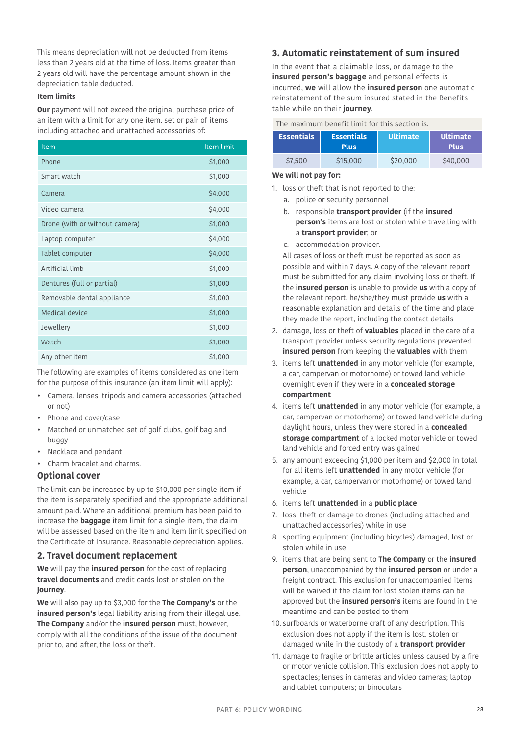This means depreciation will not be deducted from items less than 2 years old at the time of loss. Items greater than 2 years old will have the percentage amount shown in the depreciation table deducted.

#### **Item limits**

**Our** payment will not exceed the original purchase price of an item with a limit for any one item, set or pair of items including attached and unattached accessories of:

| Item                           | Item limit |
|--------------------------------|------------|
| Phone                          | \$1,000    |
| Smart watch                    | \$1,000    |
| Camera                         | \$4,000    |
| Video camera                   | \$4,000    |
| Drone (with or without camera) | \$1,000    |
| Laptop computer                | \$4,000    |
| Tablet computer                | \$4,000    |
| Artificial limb                | \$1,000    |
| Dentures (full or partial)     | \$1,000    |
| Removable dental appliance     | \$1,000    |
| Medical device                 | \$1,000    |
| Jewellery                      | \$1,000    |
| Watch                          | \$1,000    |
| Any other item                 | \$1,000    |

The following are examples of items considered as one item for the purpose of this insurance (an item limit will apply):

- Camera, lenses, tripods and camera accessories (attached or not)
- Phone and cover/case
- Matched or unmatched set of golf clubs, golf bag and buggy
- Necklace and pendant
- Charm bracelet and charms.

### **Optional cover**

The limit can be increased by up to \$10,000 per single item if the item is separately specified and the appropriate additional amount paid. Where an additional premium has been paid to increase the **baggage** item limit for a single item, the claim will be assessed based on the item and item limit specified on the Certificate of Insurance. Reasonable depreciation applies.

### **2. Travel document replacement**

**We** will pay the **insured person** for the cost of replacing **travel documents** and credit cards lost or stolen on the **journey**.

**We** will also pay up to \$3,000 for the **The Company's** or the **insured person's** legal liability arising from their illegal use. **The Company** and/or the **insured person** must, however, comply with all the conditions of the issue of the document prior to, and after, the loss or theft.

### **3. Automatic reinstatement of sum insured**

In the event that a claimable loss, or damage to the **insured person's baggage** and personal effects is incurred, **we** will allow the **insured person** one automatic reinstatement of the sum insured stated in the Benefits table while on their **journey**.

### The maximum benefit limit for this section is:

| Essentials <sup>1</sup> | <b>Essentials</b><br><b>Plus</b> | <b>Ultimate</b> | l Ultimate <b>l</b><br><b>Plus</b> |
|-------------------------|----------------------------------|-----------------|------------------------------------|
| \$7,500                 | \$15,000                         | \$20,000        | \$40,000                           |

#### **We will not pay for:**

- 1. loss or theft that is not reported to the:
	- a. police or security personnel
	- b. responsible **transport provider** (if the **insured person's** items are lost or stolen while travelling with a **transport provider**; or
	- c. accommodation provider.

All cases of loss or theft must be reported as soon as possible and within 7 days. A copy of the relevant report must be submitted for any claim involving loss or theft. If the **insured person** is unable to provide **us** with a copy of the relevant report, he/she/they must provide **us** with a reasonable explanation and details of the time and place they made the report, including the contact details

- 2. damage, loss or theft of **valuables** placed in the care of a transport provider unless security regulations prevented **insured person** from keeping the **valuables** with them
- 3. items left **unattended** in any motor vehicle (for example, a car, campervan or motorhome) or towed land vehicle overnight even if they were in a **concealed storage compartment**
- 4. items left **unattended** in any motor vehicle (for example, a car, campervan or motorhome) or towed land vehicle during daylight hours, unless they were stored in a **concealed storage compartment** of a locked motor vehicle or towed land vehicle and forced entry was gained
- 5. any amount exceeding \$1,000 per item and \$2,000 in total for all items left **unattended** in any motor vehicle (for example, a car, campervan or motorhome) or towed land vehicle
- 6. items left **unattended** in a **public place**
- 7. loss, theft or damage to drones (including attached and unattached accessories) while in use
- 8. sporting equipment (including bicycles) damaged, lost or stolen while in use
- 9. items that are being sent to **The Company** or the **insured person**, unaccompanied by the **insured person** or under a freight contract. This exclusion for unaccompanied items will be waived if the claim for lost stolen items can be approved but the **insured person's** items are found in the meantime and can be posted to them
- 10. surfboards or waterborne craft of any description. This exclusion does not apply if the item is lost, stolen or damaged while in the custody of a **transport provider**
- 11. damage to fragile or brittle articles unless caused by a fire or motor vehicle collision. This exclusion does not apply to spectacles; lenses in cameras and video cameras; laptop and tablet computers; or binoculars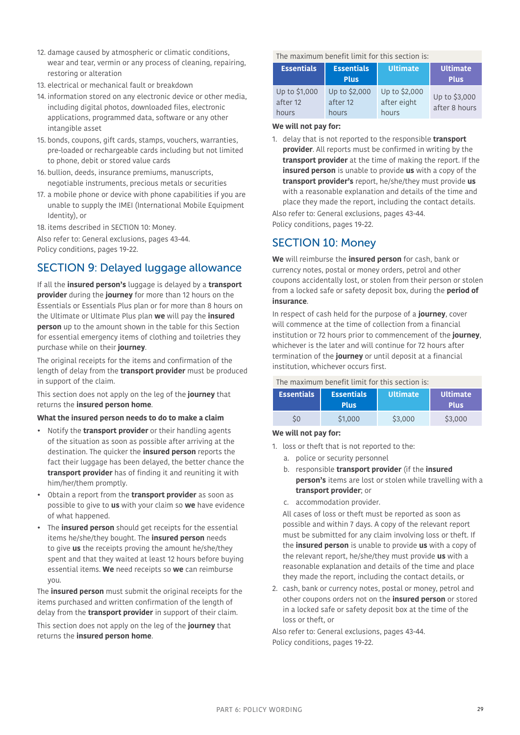- 12. damage caused by atmospheric or climatic conditions, wear and tear, vermin or any process of cleaning, repairing, restoring or alteration
- 13. electrical or mechanical fault or breakdown
- 14. information stored on any electronic device or other media, including digital photos, downloaded files, electronic applications, programmed data, software or any other intangible asset
- 15. bonds, coupons, gift cards, stamps, vouchers, warranties, pre-loaded or rechargeable cards including but not limited to phone, debit or stored value cards
- 16. bullion, deeds, insurance premiums, manuscripts, negotiable instruments, precious metals or securities
- 17. a mobile phone or device with phone capabilities if you are unable to supply the IMEI (International Mobile Equipment Identity), or
- 18. items described in [SECTION 10: Money.](#page-28-0)

Also refer to: General exclusions, pages [43-](#page-42-0)[44.](#page-43-0) Policy conditions, pages [19](#page-18-0)-[22](#page-21-0).

# SECTION 9: Delayed luggage allowance

If all the **insured person's** luggage is delayed by a **transport provider** during the **journey** for more than 12 hours on the Essentials or Essentials Plus plan or for more than 8 hours on the Ultimate or Ultimate Plus plan **we** will pay the **insured person** up to the amount shown in the table for this Section for essential emergency items of clothing and toiletries they purchase while on their **journey**.

The original receipts for the items and confirmation of the length of delay from the **transport provider** must be produced in support of the claim.

This section does not apply on the leg of the **journey** that returns the **insured person home**.

### **What the insured person needs to do to make a claim**

- Notify the **transport provider** or their handling agents of the situation as soon as possible after arriving at the destination. The quicker the **insured person** reports the fact their luggage has been delayed, the better chance the **transport provider** has of finding it and reuniting it with him/her/them promptly.
- Obtain a report from the **transport provider** as soon as possible to give to **us** with your claim so **we** have evidence of what happened.
- The **insured person** should get receipts for the essential items he/she/they bought. The **insured person** needs to give **us** the receipts proving the amount he/she/they spent and that they waited at least 12 hours before buying essential items. **We** need receipts so **we** can reimburse you.

The **insured person** must submit the original receipts for the items purchased and written confirmation of the length of delay from the **transport provider** in support of their claim.

This section does not apply on the leg of the **journey** that returns the **insured person home**.

The maximum benefit limit for this section is:

| <b>Essentials</b>                  | <b>Essentials</b><br><b>Plus</b>   | Ultimate.                             | Ultimate<br><b>Plus</b>        |
|------------------------------------|------------------------------------|---------------------------------------|--------------------------------|
| Up to \$1,000<br>after 12<br>hours | Up to \$2,000<br>after 12<br>hours | Up to \$2,000<br>after eight<br>hours | Up to \$3,000<br>after 8 hours |

### **We will not pay for:**

1. delay that is not reported to the responsible **transport provider**. All reports must be confirmed in writing by the **transport provider** at the time of making the report. If the **insured person** is unable to provide **us** with a copy of the **transport provider's** report, he/she/they must provide **us** with a reasonable explanation and details of the time and place they made the report, including the contact details.

Also refer to: General exclusions, pages [43](#page-42-0)[-44](#page-43-0). Policy conditions, pages [19](#page-18-0)[-22.](#page-21-0)

## <span id="page-28-0"></span>SECTION 10: Money

**We** will reimburse the **insured person** for cash, bank or currency notes, postal or money orders, petrol and other coupons accidentally lost, or stolen from their person or stolen from a locked safe or safety deposit box, during the **period of insurance**.

In respect of cash held for the purpose of a **journey**, cover will commence at the time of collection from a financial institution or 72 hours prior to commencement of the **journey**, whichever is the later and will continue for 72 hours after termination of the **journey** or until deposit at a financial institution, whichever occurs first.

### The maximum benefit limit for this section is:

| <b>Essentials</b> | <b>Essentials</b><br><b>Plus</b> | <b>Ultimate</b> | <b>Ultimate</b><br><b>Plus</b> |
|-------------------|----------------------------------|-----------------|--------------------------------|
|                   | \$1,000                          | \$3,000         | \$3,000                        |

### **We will not pay for:**

- 1. loss or theft that is not reported to the:
	- a. police or security personnel
	- b. responsible **transport provider** (if the **insured person's** items are lost or stolen while travelling with a **transport provider**; or
	- c. accommodation provider.

All cases of loss or theft must be reported as soon as possible and within 7 days. A copy of the relevant report must be submitted for any claim involving loss or theft. If the **insured person** is unable to provide **us** with a copy of the relevant report, he/she/they must provide **us** with a reasonable explanation and details of the time and place they made the report, including the contact details, or

2. cash, bank or currency notes, postal or money, petrol and other coupons orders not on the **insured person** or stored in a locked safe or safety deposit box at the time of the loss or theft, or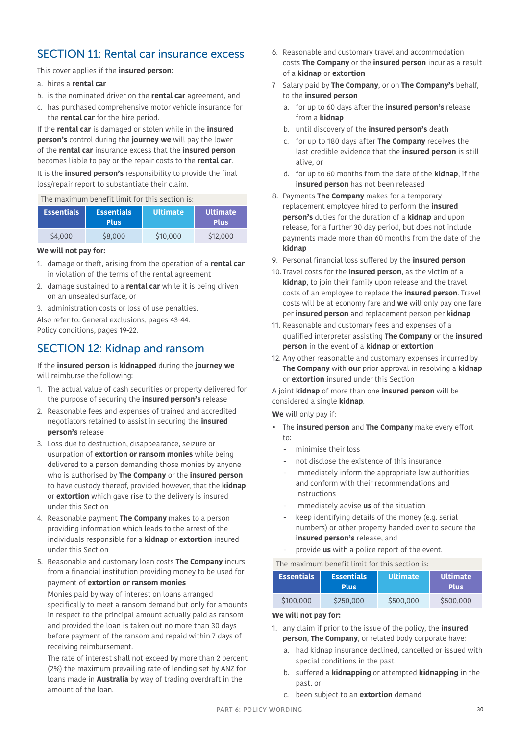## SECTION 11: Rental car insurance excess

This cover applies if the **insured person**:

- a. hires a **rental car**
- b. is the nominated driver on the **rental car** agreement, and
- c. has purchased comprehensive motor vehicle insurance for the **rental car** for the hire period.

If the **rental car** is damaged or stolen while in the **insured person's** control during the **journey we** will pay the lower of the **rental car** insurance excess that the **insured person** becomes liable to pay or the repair costs to the **rental car**.

It is the **insured person's** responsibility to provide the final loss/repair report to substantiate their claim.

### The maximum benefit limit for this section is:

| <b>Essentials</b> | <b>Essentials</b><br><b>Plus</b> | <b>Ultimate</b> | Ultimate<br><b>Plus</b> |
|-------------------|----------------------------------|-----------------|-------------------------|
| \$4,000           | \$8,000                          | \$10,000        | \$12,000                |

#### **We will not pay for:**

- 1. damage or theft, arising from the operation of a **rental car** in violation of the terms of the rental agreement
- 2. damage sustained to a **rental car** while it is being driven on an unsealed surface, or
- 3. administration costs or loss of use penalties.
- Also refer to: General exclusions, pages [43-](#page-42-0)[44.](#page-43-0) Policy conditions, pages [19](#page-18-0)-[22](#page-21-0).

## <span id="page-29-0"></span>SECTION 12: Kidnap and ransom

If the **insured person** is **kidnapped** during the **journey we** will reimburse the following:

- 1. The actual value of cash securities or property delivered for the purpose of securing the **insured person's** release
- 2. Reasonable fees and expenses of trained and accredited negotiators retained to assist in securing the **insured person's** release
- 3. Loss due to destruction, disappearance, seizure or usurpation of **extortion or ransom monies** while being delivered to a person demanding those monies by anyone who is authorised by **The Company** or the **insured person** to have custody thereof, provided however, that the **kidnap** or **extortion** which gave rise to the delivery is insured under this Section
- 4. Reasonable payment **The Company** makes to a person providing information which leads to the arrest of the individuals responsible for a **kidnap** or **extortion** insured under this Section
- 5. Reasonable and customary loan costs **The Company** incurs from a financial institution providing money to be used for payment of **extortion or ransom monies**

Monies paid by way of interest on loans arranged specifically to meet a ransom demand but only for amounts in respect to the principal amount actually paid as ransom and provided the loan is taken out no more than 30 days before payment of the ransom and repaid within 7 days of receiving reimbursement.

The rate of interest shall not exceed by more than 2 percent (2%) the maximum prevailing rate of lending set by ANZ for loans made in **Australia** by way of trading overdraft in the amount of the loan.

- 6. Reasonable and customary travel and accommodation costs **The Company** or the **insured person** incur as a result of a **kidnap** or **extortion**
- 7 Salary paid by **The Company**, or on **The Company's** behalf, to the **insured person**
	- a. for up to 60 days after the **insured person's** release from a **kidnap**
	- b. until discovery of the **insured person's** death
	- c. for up to 180 days after **The Company** receives the last credible evidence that the **insured person** is still alive, or
	- d. for up to 60 months from the date of the **kidnap**, if the **insured person** has not been released
- 8. Payments **The Company** makes for a temporary replacement employee hired to perform the **insured person's** duties for the duration of a **kidnap** and upon release, for a further 30 day period, but does not include payments made more than 60 months from the date of the **kidnap**
- 9. Personal financial loss suffered by the **insured person**
- 10. Travel costs for the **insured person**, as the victim of a **kidnap**, to join their family upon release and the travel costs of an employee to replace the **insured person**. Travel costs will be at economy fare and **we** will only pay one fare per **insured person** and replacement person per **kidnap**
- 11. Reasonable and customary fees and expenses of a qualified interpreter assisting **The Company** or the **insured person** in the event of a **kidnap** or **extortion**
- 12. Any other reasonable and customary expenses incurred by **The Company** with **our** prior approval in resolving a **kidnap** or **extortion** insured under this Section

A joint **kidnap** of more than one **insured person** will be considered a single **kidnap**.

**We** will only pay if:

- The **insured person** and **The Company** make every effort to:
	- minimise their loss
	- not disclose the existence of this insurance
	- immediately inform the appropriate law authorities and conform with their recommendations and instructions
	- immediately advise **us** of the situation
	- keep identifying details of the money (e.g. serial numbers) or other property handed over to secure the **insured person's** release, and
	- provide **us** with a police report of the event.

### The maximum benefit limit for this section is:

| <b>Essentials</b> | <b>Essentials</b><br><b>Plus</b> | <b>Ultimate</b> | <b>Ultimate</b><br><b>Plus</b> |
|-------------------|----------------------------------|-----------------|--------------------------------|
| \$100,000         | \$250,000                        | \$500,000       | \$500,000                      |

### **We will not pay for:**

- 1. any claim if prior to the issue of the policy, the **insured person**, **The Company**, or related body corporate have:
	- a. had kidnap insurance declined, cancelled or issued with special conditions in the past
	- b. suffered a **kidnapping** or attempted **kidnapping** in the past, or
	- c. been subject to an **extortion** demand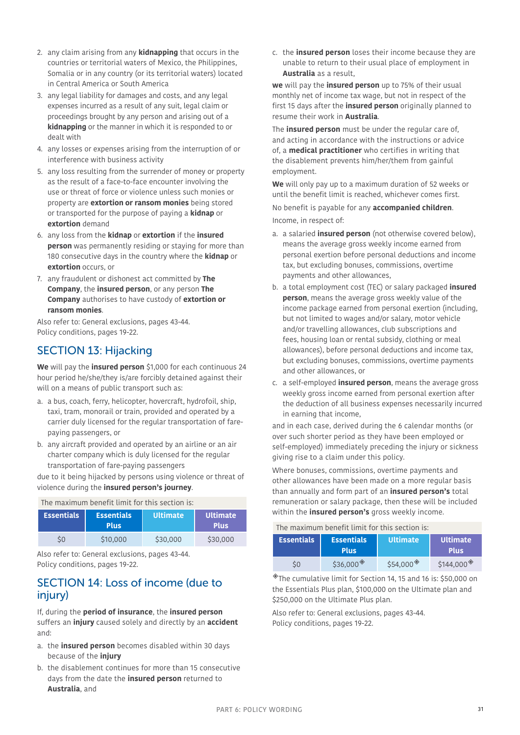- 2. any claim arising from any **kidnapping** that occurs in the countries or territorial waters of Mexico, the Philippines, Somalia or in any country (or its territorial waters) located in Central America or South America
- 3. any legal liability for damages and costs, and any legal expenses incurred as a result of any suit, legal claim or proceedings brought by any person and arising out of a **kidnapping** or the manner in which it is responded to or dealt with
- 4. any losses or expenses arising from the interruption of or interference with business activity
- 5. any loss resulting from the surrender of money or property as the result of a face-to-face encounter involving the use or threat of force or violence unless such monies or property are **extortion or ransom monies** being stored or transported for the purpose of paying a **kidnap** or **extortion** demand
- 6. any loss from the **kidnap** or **extortion** if the **insured person** was permanently residing or staying for more than 180 consecutive days in the country where the **kidnap** or **extortion** occurs, or
- 7. any fraudulent or dishonest act committed by **The Company**, the **insured person**, or any person **The Company** authorises to have custody of **extortion or ransom monies**.

Also refer to: General exclusions, pages [43-](#page-42-0)[44.](#page-43-0) Policy conditions, pages [19](#page-18-0)-[22](#page-21-0).

# <span id="page-30-1"></span>SECTION 13: Hijacking

**We** will pay the **insured person** \$1,000 for each continuous 24 hour period he/she/they is/are forcibly detained against their will on a means of public transport such as:

- a. a bus, coach, ferry, helicopter, hovercraft, hydrofoil, ship, taxi, tram, monorail or train, provided and operated by a carrier duly licensed for the regular transportation of farepaying passengers, or
- b. any aircraft provided and operated by an airline or an air charter company which is duly licensed for the regular transportation of fare-paying passengers

due to it being hijacked by persons using violence or threat of violence during the **insured person's journey**.

| The maximum benefit limit for this section is: |                                  |                 |                                |
|------------------------------------------------|----------------------------------|-----------------|--------------------------------|
| <b>Essentials</b>                              | <b>Essentials</b><br><b>Plus</b> | <b>Ultimate</b> | <b>Ultimate</b><br><b>Plus</b> |
| SO                                             | \$10,000                         | \$30,000        | \$30,000                       |

Also refer to: General exclusions, pages [43-](#page-42-0)[44.](#page-43-0) Policy conditions, pages [19](#page-18-0)-[22](#page-21-0).

### <span id="page-30-0"></span>SECTION 14: Loss of income (due to injury)

If, during the **period of insurance**, the **insured person** suffers an **injury** caused solely and directly by an **accident** and:

- a. the **insured person** becomes disabled within 30 days because of the **injury**
- b. the disablement continues for more than 15 consecutive days from the date the **insured person** returned to **Australia**, and

c. the **insured person** loses their income because they are unable to return to their usual place of employment in **Australia** as a result,

**we** will pay the **insured person** up to 75% of their usual monthly net of income tax wage, but not in respect of the first 15 days after the **insured person** originally planned to resume their work in **Australia**.

The **insured person** must be under the regular care of, and acting in accordance with the instructions or advice of, a **medical practitioner** who certifies in writing that the disablement prevents him/her/them from gainful employment.

**We** will only pay up to a maximum duration of 52 weeks or until the benefit limit is reached, whichever comes first. No benefit is payable for any **accompanied children**.

<span id="page-30-2"></span>Income, in respect of:

- a. a salaried **insured person** (not otherwise covered below), means the average gross weekly income earned from personal exertion before personal deductions and income tax, but excluding bonuses, commissions, overtime payments and other allowances,
- b. a total employment cost (TEC) or salary packaged **insured person**, means the average gross weekly value of the income package earned from personal exertion (including, but not limited to wages and/or salary, motor vehicle and/or travelling allowances, club subscriptions and fees, housing loan or rental subsidy, clothing or meal allowances), before personal deductions and income tax, but excluding bonuses, commissions, overtime payments and other allowances, or
- c. a self-employed **insured person**, means the average gross weekly gross income earned from personal exertion after the deduction of all business expenses necessarily incurred in earning that income,

and in each case, derived during the 6 calendar months (or over such shorter period as they have been employed or self-employed) immediately preceding the injury or sickness giving rise to a claim under this policy.

Where bonuses, commissions, overtime payments and other allowances have been made on a more regular basis than annually and form part of an **insured person's** total remuneration or salary package, then these will be included within the **insured person's** gross weekly income.

| The maximum benefit limit for this section is: |  |  |  |
|------------------------------------------------|--|--|--|
|                                                |  |  |  |

| <b>Essentials</b> | <b>Essentials</b><br><b>Plus</b> | <b>Ultimate</b> | <b>Ultimate</b><br><b>Plus</b> |
|-------------------|----------------------------------|-----------------|--------------------------------|
| \$0               | \$36,000                         | \$54,000        | \$144,000                      |

◈The cumulative limit for Section 14, 15 and 16 is: \$50,000 on the Essentials Plus plan, \$100,000 on the Ultimate plan and \$250,000 on the Ultimate Plus plan.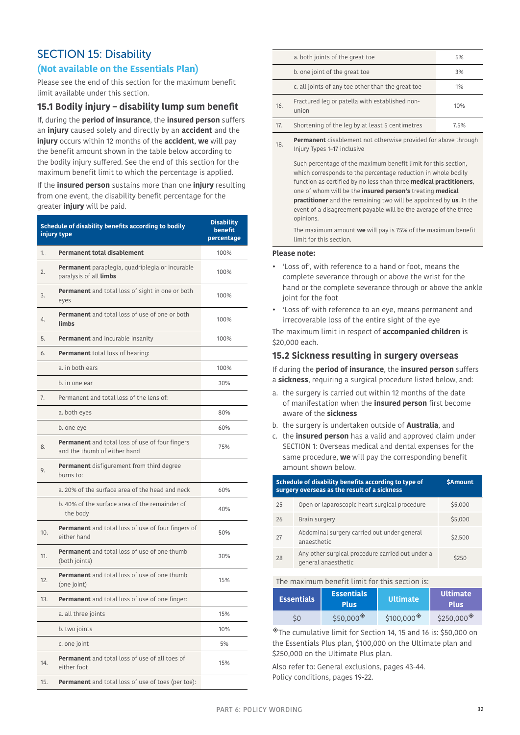# <span id="page-31-0"></span>SECTION 15: Disability

### **(Not available on the Essentials Plan)**

Please see the end of this section for the maximum benefit limit available under this section.

### **15.1 Bodily injury – disability lump sum benefit**

If, during the **period of insurance**, the **insured person** suffers an **injury** caused solely and directly by an **accident** and the **injury** occurs within 12 months of the **accident**, **we** will pay the benefit amount shown in the table below according to the bodily injury suffered. See the end of this section for the maximum benefit limit to which the percentage is applied.

If the **insured person** sustains more than one **injury** resulting from one event, the disability benefit percentage for the greater **injury** will be paid.

| Schedule of disability benefits according to bodily<br>injury type                     | <b>Disability</b><br>benefit<br>percentage |
|----------------------------------------------------------------------------------------|--------------------------------------------|
| <b>Permanent total disablement</b><br>1.                                               | 100%                                       |
| <b>Permanent</b> paraplegia, quadriplegia or incurable<br>2.<br>paralysis of all limbs | 100%                                       |
| Permanent and total loss of sight in one or both<br>3.<br>eyes                         | 100%                                       |
| <b>Permanent</b> and total loss of use of one or both<br>4.<br>limbs                   | 100%                                       |
| 5.<br>Permanent and incurable insanity                                                 | 100%                                       |
| 6.<br><b>Permanent</b> total loss of hearing:                                          |                                            |
| a. in both ears                                                                        | 100%                                       |
| b. in one ear                                                                          | 30%                                        |
| Permanent and total loss of the lens of:<br>7.                                         |                                            |
| a. both eyes                                                                           | 80%                                        |
| b. one eye                                                                             | 60%                                        |
| Permanent and total loss of use of four fingers<br>8.<br>and the thumb of either hand  | 75%                                        |
| Permanent disfigurement from third degree<br>9.<br>burns to:                           |                                            |
| a. 20% of the surface area of the head and neck                                        | 60%                                        |
| b. 40% of the surface area of the remainder of<br>the body                             | 40%                                        |
| Permanent and total loss of use of four fingers of<br>10.<br>either hand               | 50%                                        |
| <b>Permanent</b> and total loss of use of one thumb<br>11.<br>(both joints)            | 30%                                        |
| <b>Permanent</b> and total loss of use of one thumb<br>12.<br>(one joint)              | 15%                                        |
| Permanent and total loss of use of one finger:<br>13.                                  |                                            |
| a. all three joints                                                                    | 15%                                        |
| b. two joints                                                                          | 10%                                        |
| c. one joint                                                                           | 5%                                         |
| Permanent and total loss of use of all toes of<br>14.<br>either foot                   | 15%                                        |
| <b>Permanent</b> and total loss of use of toes (per toe):<br>15.                       |                                            |

|     | a. both joints of the great toe                         | 5%   |
|-----|---------------------------------------------------------|------|
|     | b. one joint of the great toe                           | 3%   |
|     | c. all joints of any toe other than the great toe       | 1%   |
| 16. | Fractured leg or patella with established non-<br>union | 10%  |
| 17. | Shortening of the leg by at least 5 centimetres         | 7.5% |
|     |                                                         |      |

18. **Permanent** disablement not otherwise provided for above through Injury Types 1–17 inclusive

Such percentage of the maximum benefit limit for this section, which corresponds to the percentage reduction in whole bodily function as certified by no less than three **medical practitioners**, one of whom will be the **insured person's** treating **medical practitioner** and the remaining two will be appointed by **us**. In the event of a disagreement payable will be the average of the three opinions.

The maximum amount **we** will pay is 75% of the maximum benefit limit for this section.

#### **Please note:**

- 'Loss of', with reference to a hand or foot, means the complete severance through or above the wrist for the hand or the complete severance through or above the ankle joint for the foot
- 'Loss of' with reference to an eye, means permanent and irrecoverable loss of the entire sight of the eye

The maximum limit in respect of **accompanied children** is \$20,000 each.

### **15.2 Sickness resulting in surgery overseas**

If during the **period of insurance**, the **insured person** suffers a **sickness**, requiring a surgical procedure listed below, and:

- a. the surgery is carried out within 12 months of the date of manifestation when the **insured person** first become aware of the **sickness**
- b. the surgery is undertaken outside of **Australia**, and
- c. the **insured person** has a valid and approved claim under [SECTION 1: Overseas medical and dental expenses](#page-22-1) for the same procedure, **we** will pay the corresponding benefit amount shown below.

|    | Schedule of disability benefits according to type of<br><b>SAmount</b><br>surgery overseas as the result of a sickness |         |  |
|----|------------------------------------------------------------------------------------------------------------------------|---------|--|
| 25 | Open or laparoscopic heart surgical procedure                                                                          | \$5,000 |  |
| 26 | Brain surgery                                                                                                          | \$5,000 |  |
| 27 | Abdominal surgery carried out under general<br>anaesthetic                                                             | \$2,500 |  |
| 28 | Any other surgical procedure carried out under a<br>general anaesthetic                                                | \$250   |  |

#### The maximum benefit limit for this section is:

| <b>Essentials</b> | <b>Essentials</b><br><b>Plus</b> | <b>Ultimate</b> | <b>Ultimate</b><br><b>Plus</b>      |
|-------------------|----------------------------------|-----------------|-------------------------------------|
| \$0               | \$50.000                         | \$100,000       | \$250,000 <sup><math>*</math></sup> |

◈The cumulative limit for Section 14, 15 and 16 is: \$50,000 on the Essentials Plus plan, \$100,000 on the Ultimate plan and \$250,000 on the Ultimate Plus plan.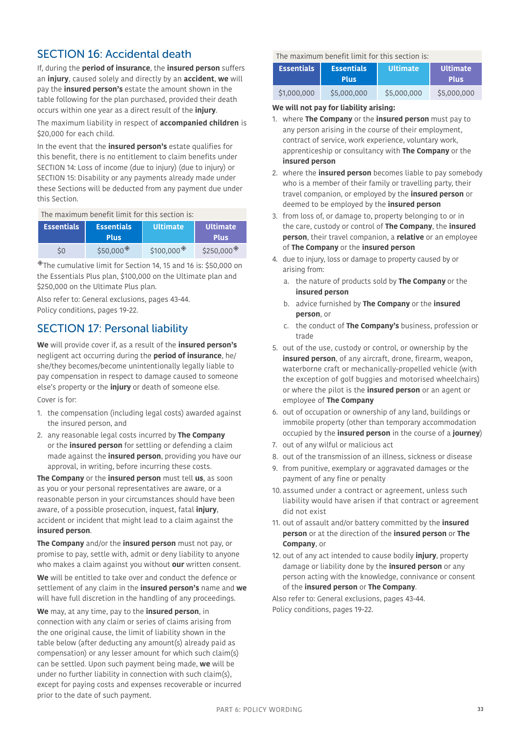## <span id="page-32-1"></span><span id="page-32-0"></span>SECTION 16: Accidental death

If, during the **period of insurance**, the **insured person** suffers an **injury**, caused solely and directly by an **accident**, **we** will pay the **insured person's** estate the amount shown in the table following for the plan purchased, provided their death occurs within one year as a direct result of the **injury**.

The maximum liability in respect of **accompanied children** is \$20,000 for each child.

In the event that the **insured person's** estate qualifies for this benefit, there is no entitlement to claim benefits under [SECTION 14: Loss of income \(due to injury\)](#page-30-0) (due to injury) or [SECTION 15: Disability](#page-31-0) or any payments already made under these Sections will be deducted from any payment due under this Section.

### The maximum benefit limit for this section is:

| <b>Essentials</b> | <b>Essentials</b><br><b>Plus</b> | <b>Ultimate</b> | <b>Ultimate</b><br><b>Plus</b> |
|-------------------|----------------------------------|-----------------|--------------------------------|
| \$0               | $$50.000*$                       | \$100,000       | \$250,000                      |

◈The cumulative limit for Section 14, 15 and 16 is: \$50,000 on the Essentials Plus plan, \$100,000 on the Ultimate plan and \$250,000 on the Ultimate Plus plan.

Also refer to: General exclusions, pages [43-](#page-42-0)[44.](#page-43-0) Policy conditions, pages [19](#page-18-0)-[22](#page-21-0).

## <span id="page-32-2"></span>SECTION 17: Personal liability

**We** will provide cover if, as a result of the **insured person's**  negligent act occurring during the **period of insurance**, he/ she/they becomes/become unintentionally legally liable to pay compensation in respect to damage caused to someone else's property or the **injury** or death of someone else.

Cover is for:

- 1. the compensation (including legal costs) awarded against the insured person, and
- 2. any reasonable legal costs incurred by **The Company** or the **insured person** for settling or defending a claim made against the **insured person**, providing you have our approval, in writing, before incurring these costs.

**The Company** or the **insured person** must tell **us**, as soon as you or your personal representatives are aware, or a reasonable person in your circumstances should have been aware, of a possible prosecution, inquest, fatal **injury**, accident or incident that might lead to a claim against the **insured person**.

**The Company** and/or the **insured person** must not pay, or promise to pay, settle with, admit or deny liability to anyone who makes a claim against you without **our** written consent.

**We** will be entitled to take over and conduct the defence or settlement of any claim in the **insured person's** name and **we** will have full discretion in the handling of any proceedings.

**We** may, at any time, pay to the **insured person**, in connection with any claim or series of claims arising from the one original cause, the limit of liability shown in the table below (after deducting any amount(s) already paid as compensation) or any lesser amount for which such claim(s) can be settled. Upon such payment being made, **we** will be under no further liability in connection with such claim(s), except for paying costs and expenses recoverable or incurred prior to the date of such payment.

The maximum benefit limit for this section is:

| <b>Essentials</b> | <b>Essentials</b><br><b>Plus</b> | <b>Ultimate</b> | Ultimate<br><b>Plus</b> |
|-------------------|----------------------------------|-----------------|-------------------------|
| \$1,000,000       | \$5,000,000                      | \$5,000,000     | \$5,000,000             |

#### **We will not pay for liability arising:**

- 1. where **The Company** or the **insured person** must pay to any person arising in the course of their employment, contract of service, work experience, voluntary work, apprenticeship or consultancy with **The Company** or the **insured person**
- 2. where the **insured person** becomes liable to pay somebody who is a member of their family or travelling party, their travel companion, or employed by the **insured person** or deemed to be employed by the **insured person**
- 3. from loss of, or damage to, property belonging to or in the care, custody or control of **The Company**, the **insured person**, their travel companion, a **relative** or an employee of **The Company** or the **insured person**
- 4. due to injury, loss or damage to property caused by or arising from:
	- a. the nature of products sold by **The Company** or the **insured person**
	- b. advice furnished by **The Company** or the **insured person**, or
	- c. the conduct of **The Company's** business, profession or trade
- 5. out of the use, custody or control, or ownership by the **insured person**, of any aircraft, drone, firearm, weapon, waterborne craft or mechanically-propelled vehicle (with the exception of golf buggies and motorised wheelchairs) or where the pilot is the **insured person** or an agent or employee of **The Company**
- 6. out of occupation or ownership of any land, buildings or immobile property (other than temporary accommodation occupied by the **insured person** in the course of a **journey**)
- 7. out of any wilful or malicious act
- 8. out of the transmission of an illness, sickness or disease
- 9. from punitive, exemplary or aggravated damages or the payment of any fine or penalty
- 10. assumed under a contract or agreement, unless such liability would have arisen if that contract or agreement did not exist
- 11. out of assault and/or battery committed by the **insured person** or at the direction of the **insured person** or **The Company**, or
- 12. out of any act intended to cause bodily **injury**, property damage or liability done by the **insured person** or any person acting with the knowledge, connivance or consent of the **insured person** or **The Company**.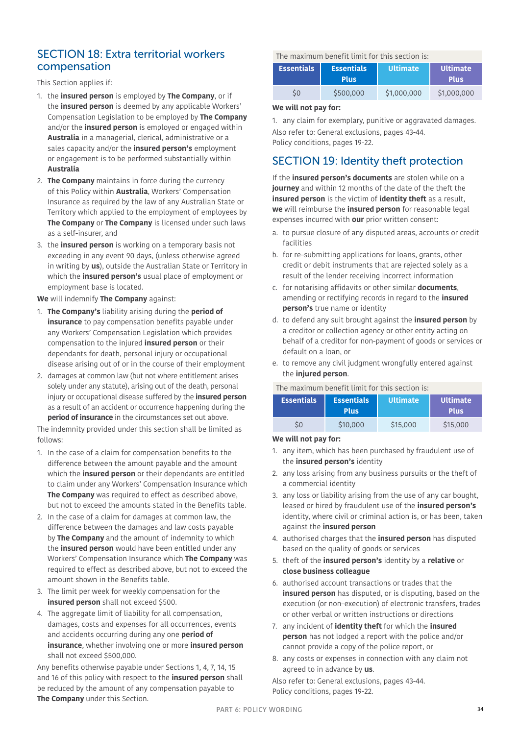### <span id="page-33-0"></span>SECTION 18: Extra territorial workers compensation

This Section applies if:

- 1. the **insured person** is employed by **The Company**, or if the **insured person** is deemed by any applicable Workers' Compensation Legislation to be employed by **The Company**  and/or the **insured person** is employed or engaged within **Australia** in a managerial, clerical, administrative or a sales capacity and/or the **insured person's** employment or engagement is to be performed substantially within **Australia**
- 2. **The Company** maintains in force during the currency of this Policy within **Australia**, Workers' Compensation Insurance as required by the law of any Australian State or Territory which applied to the employment of employees by **The Company** or **The Company** is licensed under such laws as a self-insurer, and
- 3. the **insured person** is working on a temporary basis not exceeding in any event 90 days, (unless otherwise agreed in writing by **us**), outside the Australian State or Territory in which the **insured person's** usual place of employment or employment base is located.

**We** will indemnify **The Company** against:

- 1. **The Company's** liability arising during the **period of insurance** to pay compensation benefits payable under any Workers' Compensation Legislation which provides compensation to the injured **insured person** or their dependants for death, personal injury or occupational disease arising out of or in the course of their employment
- 2. damages at common law (but not where entitlement arises solely under any statute), arising out of the death, personal injury or occupational disease suffered by the **insured person**  as a result of an accident or occurrence happening during the **period of insurance** in the circumstances set out above.

The indemnity provided under this section shall be limited as follows:

- 1. In the case of a claim for compensation benefits to the difference between the amount payable and the amount which the **insured person** or their dependants are entitled to claim under any Workers' Compensation Insurance which **The Company** was required to effect as described above, but not to exceed the amounts stated in the Benefits table.
- 2. In the case of a claim for damages at common law, the difference between the damages and law costs payable by **The Company** and the amount of indemnity to which the **insured person** would have been entitled under any Workers' Compensation Insurance which **The Company** was required to effect as described above, but not to exceed the amount shown in the Benefits table.
- 3. The limit per week for weekly compensation for the **insured person** shall not exceed \$500.
- 4. The aggregate limit of liability for all compensation, damages, costs and expenses for all occurrences, events and accidents occurring during any one **period of insurance**, whether involving one or more **insured person** shall not exceed \$500,000.

Any benefits otherwise payable under Sections 1, 4, 7, 14, 15 and 16 of this policy with respect to the **insured person** shall be reduced by the amount of any compensation payable to **The Company** under this Section.

### The maximum benefit limit for this section is:

| <b>Essentials</b> | <b>Essentials</b><br><b>Plus</b> | <b>Ultimate</b> | <b>Ultimate</b><br><b>Plus</b> |
|-------------------|----------------------------------|-----------------|--------------------------------|
| S0                | \$500,000                        | \$1,000,000     | \$1,000,000                    |

### **We will not pay for:**

1. any claim for exemplary, punitive or aggravated damages. Also refer to: General exclusions, pages [43](#page-42-0)[-44](#page-43-0). Policy conditions, pages [19](#page-18-0)[-22.](#page-21-0)

## SECTION 19: Identity theft protection

If the **insured person's documents** are stolen while on a **journey** and within 12 months of the date of the theft the **insured person** is the victim of **identity theft** as a result, **we** will reimburse the **insured person** for reasonable legal expenses incurred with **our** prior written consent:

- a. to pursue closure of any disputed areas, accounts or credit facilities
- b. for re–submitting applications for loans, grants, other credit or debit instruments that are rejected solely as a result of the lender receiving incorrect information
- c. for notarising affidavits or other similar **documents**, amending or rectifying records in regard to the **insured person's** true name or identity
- d. to defend any suit brought against the **insured person** by a creditor or collection agency or other entity acting on behalf of a creditor for non-payment of goods or services or default on a loan, or
- e. to remove any civil judgment wrongfully entered against the **injured person**.

### The maximum benefit limit for this section is:

| <b>Essentials</b> | <b>Essentials</b><br><b>Plus</b> | <b>Ultimate</b> | I Ultimate'<br><b>Plus</b> |
|-------------------|----------------------------------|-----------------|----------------------------|
| ς0                | \$10,000                         | \$15,000        | \$15,000                   |

### **We will not pay for:**

- 1. any item, which has been purchased by fraudulent use of the **insured person's** identity
- 2. any loss arising from any business pursuits or the theft of a commercial identity
- 3. any loss or liability arising from the use of any car bought, leased or hired by fraudulent use of the **insured person's** identity, where civil or criminal action is, or has been, taken against the **insured person**
- 4. authorised charges that the **insured person** has disputed based on the quality of goods or services
- 5. theft of the **insured person's** identity by a **relative** or **close business colleague**
- 6. authorised account transactions or trades that the **insured person** has disputed, or is disputing, based on the execution (or non–execution) of electronic transfers, trades or other verbal or written instructions or directions
- 7. any incident of **identity theft** for which the **insured person** has not lodged a report with the police and/or cannot provide a copy of the police report, or
- 8. any costs or expenses in connection with any claim not agreed to in advance by **us**.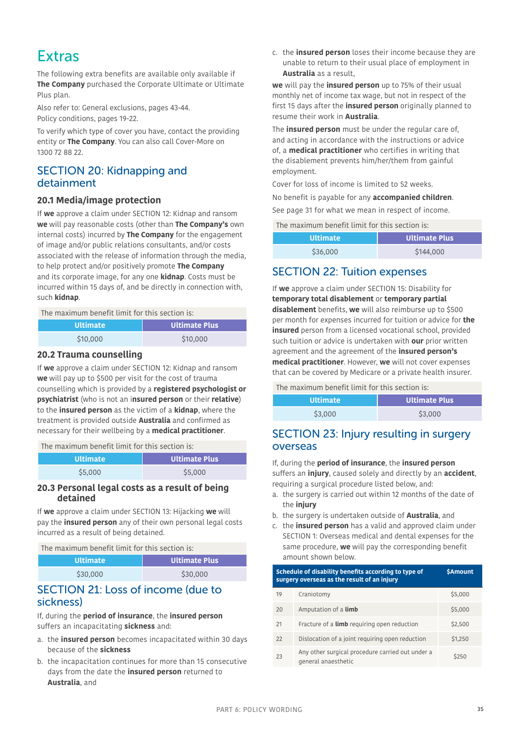# **Extras**

The following extra benefits are available only available if **The Company** purchased the Corporate Ultimate or Ultimate Plus plan.

Also refer to: General exclusions, pages [43-](#page-42-0)[44.](#page-43-0) Policy conditions, pages [19](#page-18-0)-[22](#page-21-0).

To verify which type of cover you have, contact the providing entity or **The Company**. You can also call Cover-More on 1300 72 88 22.

## SECTION 20: Kidnapping and detainment

### **20.1 Media/image protection**

If **we** approve a claim under [SECTION 12: Kidnap and ransom](#page-29-0)  **we** will pay reasonable costs (other than **The Company's** own internal costs) incurred by **The Company** for the engagement of image and/or public relations consultants, and/or costs associated with the release of information through the media, to help protect and/or positively promote **The Company** and its corporate image, for any one **kidnap**. Costs must be incurred within 15 days of, and be directly in connection with, such **kidnap**.

The maximum benefit limit for this section is:

| <b>Ultimate</b> | <b>Ultimate Plus</b> |
|-----------------|----------------------|
| \$10,000        | \$10,000             |

### **20.2 Trauma counselling**

If **we** approve a claim under [SECTION 12: Kidnap and ransom](#page-29-0)  **we** will pay up to \$500 per visit for the cost of trauma counselling which is provided by a **registered psychologist or psychiatrist** (who is not an i**nsured person** or their **relative**) to the **insured person** as the victim of a **kidnap**, where the treatment is provided outside **Australia** and confirmed as necessary for their wellbeing by a **medical practitioner**.

The maximum benefit limit for this section is:

| <b>Ultimate</b> | Ultimate Plus |
|-----------------|---------------|
| \$5,000         | \$5,000       |

### **20.3 Personal legal costs as a result of being detained**

If **we** approve a claim under [SECTION 13: Hijacking](#page-30-1) **we** will pay the **insured person** any of their own personal legal costs incurred as a result of being detained.

The maximum benefit limit for this section is:

| <b>Ultimate</b> | <b>Ultimate Plus</b> |
|-----------------|----------------------|
| \$30,000        | \$30,000             |

### <span id="page-34-0"></span>SECTION 21: Loss of income (due to sickness)

If, during the **period of insurance**, the **insured person** suffers an incapacitating **sickness** and:

- a. the **insured person** becomes incapacitated within 30 days because of the **sickness**
- b. the incapacitation continues for more than 15 consecutive days from the date the **insured person** returned to **Australia**, and

c. the **insured person** loses their income because they are unable to return to their usual place of employment in **Australia** as a result,

**we** will pay the **insured person** up to 75% of their usual monthly net of income tax wage, but not in respect of the first 15 days after the **insured person** originally planned to resume their work in **Australia**.

The **insured person** must be under the regular care of, and acting in accordance with the instructions or advice of, a **medical practitioner** who certifies in writing that the disablement prevents him/her/them from gainful employment.

Cover for loss of income is limited to 52 weeks. No benefit is payable for any **accompanied children**. See page [31](#page-30-2) for what we mean in respect of income.

The maximum benefit limit for this section is:

| <b>Ultimate</b> | Ultimate Plus |
|-----------------|---------------|
| \$36,000        | \$144,000     |

### SECTION 22: Tuition expenses

If **we** approve a claim under [SECTION 15: Disability](#page-31-0) for **temporary total disablement** or **temporary partial disablement** benefits, **we** will also reimburse up to \$500 per month for expenses incurred for tuition or advice for **the insured** person from a licensed vocational school, provided such tuition or advice is undertaken with **our** prior written agreement and the agreement of the **insured person's medical practitioner**. However, **we** will not cover expenses that can be covered by Medicare or a private health insurer.

The maximum benefit limit for this section is:

| <b>Ultimate</b> | <b>Ultimate Plus</b> |
|-----------------|----------------------|
| \$3,000         | \$3,000              |

### SECTION 23: Injury resulting in surgery overseas

If, during the **period of insurance**, the **insured person** 

suffers an **injury**, caused solely and directly by an **accident**, requiring a surgical procedure listed below, and:

- a. the surgery is carried out within 12 months of the date of the **injury**
- b. the surgery is undertaken outside of **Australia**, and
- c. the **insured person** has a valid and approved claim under [SECTION 1: Overseas medical and dental expenses](#page-22-1) for the same procedure, **we** will pay the corresponding benefit amount shown below.

| Schedule of disability benefits according to type of<br>surgery overseas as the result of an injury |                                                                         | <b>SAmount</b> |
|-----------------------------------------------------------------------------------------------------|-------------------------------------------------------------------------|----------------|
| 19                                                                                                  | Craniotomy                                                              | \$5,000        |
| 20                                                                                                  | Amputation of a <b>limb</b>                                             | \$5,000        |
| 21                                                                                                  | Fracture of a <b>limb</b> requiring open reduction                      | \$2,500        |
| 22                                                                                                  | Dislocation of a joint requiring open reduction                         | \$1,250        |
| 23                                                                                                  | Any other surgical procedure carried out under a<br>general anaesthetic | \$250          |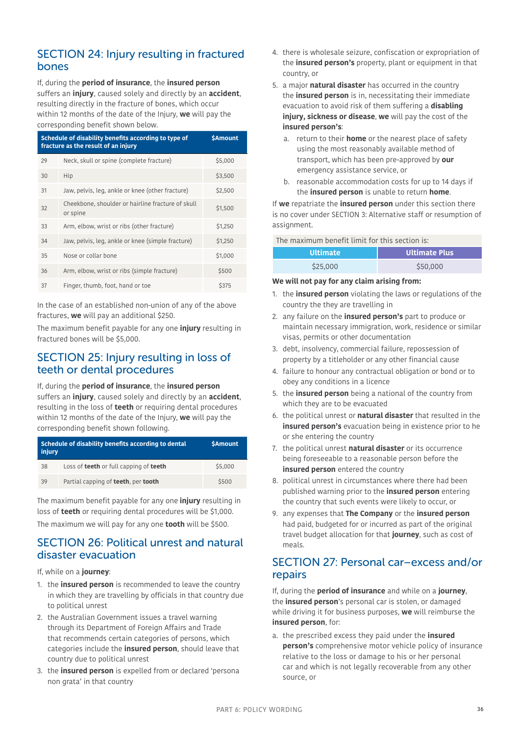## SECTION 24: Injury resulting in fractured bones

If, during the **period of insurance**, the **insured person**  suffers an **injury**, caused solely and directly by an **accident**, resulting directly in the fracture of bones, which occur within 12 months of the date of the Injury, **we** will pay the corresponding benefit shown below.

| Schedule of disability benefits according to type of<br>fracture as the result of an injury |                                                               | <b>\$Amount</b> |
|---------------------------------------------------------------------------------------------|---------------------------------------------------------------|-----------------|
| 29                                                                                          | Neck, skull or spine (complete fracture)                      | \$5,000         |
| 30                                                                                          | Hip                                                           | \$3,500         |
| 31                                                                                          | Jaw, pelvis, leg, ankle or knee (other fracture)              | \$2,500         |
| 32                                                                                          | Cheekbone, shoulder or hairline fracture of skull<br>or spine | \$1,500         |
| 33                                                                                          | Arm, elbow, wrist or ribs (other fracture)                    | \$1,250         |
| 34                                                                                          | Jaw, pelvis, leg, ankle or knee (simple fracture)             | \$1,250         |
| 35                                                                                          | Nose or collar bone                                           | \$1,000         |
| 36                                                                                          | Arm, elbow, wrist or ribs (simple fracture)                   | \$500           |
| 37                                                                                          | Finger, thumb, foot, hand or toe                              | \$375           |

In the case of an established non-union of any of the above fractures, **we** will pay an additional \$250.

The maximum benefit payable for any one **injury** resulting in fractured bones will be \$5,000.

## SECTION 25: Injury resulting in loss of teeth or dental procedures

## If, during the **period of insurance**, the **insured person**

suffers an **injury**, caused solely and directly by an **accident**, resulting in the loss of **teeth** or requiring dental procedures within 12 months of the date of the Injury, **we** will pay the corresponding benefit shown following.

| Schedule of disability benefits according to dental<br>injury |                                                      | <b>\$Amount</b> |
|---------------------------------------------------------------|------------------------------------------------------|-----------------|
| 38                                                            | Loss of <b>teeth</b> or full capping of <b>teeth</b> | \$5,000         |
| 39                                                            | Partial capping of teeth, per tooth                  | \$500           |

The maximum benefit payable for any one **injury** resulting in loss of **teeth** or requiring dental procedures will be \$1,000. The maximum we will pay for any one **tooth** will be \$500.

### <span id="page-35-0"></span>SECTION 26: Political unrest and natural disaster evacuation

If, while on a **journey**:

- 1. the **insured person** is recommended to leave the country in which they are travelling by officials in that country due to political unrest
- 2. the Australian Government issues a travel warning through its Department of Foreign Affairs and Trade that recommends certain categories of persons, which categories include the **insured person**, should leave that country due to political unrest
- 3. the **insured person** is expelled from or declared 'persona non grata' in that country
- 4. there is wholesale seizure, confiscation or expropriation of the **insured person's** property, plant or equipment in that country, or
- 5. a major **natural disaster** has occurred in the country the **insured person** is in, necessitating their immediate evacuation to avoid risk of them suffering a **disabling injury, sickness or disease**, **we** will pay the cost of the **insured person's**:
	- a. return to their **home** or the nearest place of safety using the most reasonably available method of transport, which has been pre-approved by **our** emergency assistance service, or
	- b. reasonable accommodation costs for up to 14 days if the **insured person** is unable to return **home**.

If **we** repatriate the **insured person** under this section there is no cover under [SECTION 3: Alternative staff or resumption of](#page-22-2)  [assignment.](#page-22-2)

The maximum benefit limit for this section is:

| <b>Ultimate</b> ' | <b>Ultimate Plus</b> |
|-------------------|----------------------|
| \$25,000          | \$50,000             |

### **We will not pay for any claim arising from:**

- 1. the **insured person** violating the laws or regulations of the country the they are travelling in
- 2. any failure on the **insured person's** part to produce or maintain necessary immigration, work, residence or similar visas, permits or other documentation
- 3. debt, insolvency, commercial failure, repossession of property by a titleholder or any other financial cause
- 4. failure to honour any contractual obligation or bond or to obey any conditions in a licence
- 5. the **insured person** being a national of the country from which they are to be evacuated
- 6. the political unrest or **natural disaster** that resulted in the **insured person's** evacuation being in existence prior to he or she entering the country
- 7. the political unrest **natural disaster** or its occurrence being foreseeable to a reasonable person before the **insured person** entered the country
- 8. political unrest in circumstances where there had been published warning prior to the **insured person** entering the country that such events were likely to occur, or
- 9. any expenses that **The Company** or the **insured person** had paid, budgeted for or incurred as part of the original travel budget allocation for that **journey**, such as cost of meals.

### SECTION 27: Personal car–excess and/or repairs

If, during the **period of insurance** and while on a **journey**, the **insured person**'s personal car is stolen, or damaged while driving it for business purposes, **we** will reimburse the **insured person**, for:

a. the prescribed excess they paid under the **insured person's** comprehensive motor vehicle policy of insurance relative to the loss or damage to his or her personal car and which is not legally recoverable from any other source, or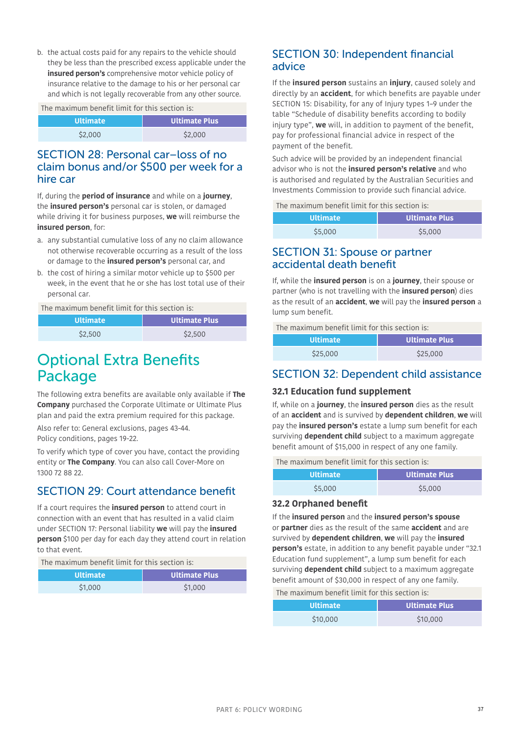b. the actual costs paid for any repairs to the vehicle should they be less than the prescribed excess applicable under the **insured person's** comprehensive motor vehicle policy of insurance relative to the damage to his or her personal car and which is not legally recoverable from any other source.

The maximum benefit limit for this section is:

| l Ultimate <sup>i</sup> | <b>Ultimate Plus</b> |
|-------------------------|----------------------|
| \$2,000                 | \$2,000              |

### SECTION 28: Personal car–loss of no claim bonus and/or \$500 per week for a hire car

If, during the **period of insurance** and while on a **journey**, the **insured person's** personal car is stolen, or damaged while driving it for business purposes, **we** will reimburse the **insured person**, for:

- a. any substantial cumulative loss of any no claim allowance not otherwise recoverable occurring as a result of the loss or damage to the **insured person's** personal car, and
- b. the cost of hiring a similar motor vehicle up to \$500 per week, in the event that he or she has lost total use of their personal car.

### The maximum benefit limit for this section is:

| <b>Ultimate</b> | Ultimate Plus |
|-----------------|---------------|
| \$2,500         | \$2,500       |

# Optional Extra Benefits Package

The following extra benefits are available only available if **The Company** purchased the Corporate Ultimate or Ultimate Plus plan and paid the extra premium required for this package.

Also refer to: General exclusions, pages [43-](#page-42-0)[44.](#page-43-0) Policy conditions, pages [19](#page-18-0)-[22](#page-21-0).

To verify which type of cover you have, contact the providing entity or **The Company**. You can also call Cover-More on 1300 72 88 22.

## SECTION 29: Court attendance benefit

If a court requires the **insured person** to attend court in connection with an event that has resulted in a valid claim under [SECTION 17: Personal liability](#page-32-2) **we** will pay the **insured person** \$100 per day for each day they attend court in relation to that event.

The maximum benefit limit for this section is:

| <b>Ultimate</b> | <b>Ultimate Plus</b> |
|-----------------|----------------------|
| \$1,000         | \$1,000              |

### SECTION 30: Independent financial advice

If the **insured person** sustains an **injury**, caused solely and directly by an **accident**, for which benefits are payable under [SECTION 15: Disability,](#page-31-0) for any of Injury types 1–9 under the table "Schedule of disability benefits according to bodily injury type", **we** will, in addition to payment of the benefit, pay for professional financial advice in respect of the payment of the benefit.

Such advice will be provided by an independent financial advisor who is not the **insured person's relative** and who is authorised and regulated by the Australian Securities and Investments Commission to provide such financial advice.

The maximum benefit limit for this section is:

| <b>Ultimate</b> | <b>Ultimate Plus</b> |
|-----------------|----------------------|
| \$5,000         | \$5,000              |

### SECTION 31: Spouse or partner accidental death benefit

If, while the **insured person** is on a **journey**, their spouse or partner (who is not travelling with the **insured person**) dies as the result of an **accident**, **we** will pay the **insured person** a lump sum benefit.

The maximum benefit limit for this section is:

| <b>Ultimate</b> | <b>Ultimate Plus</b> |  |
|-----------------|----------------------|--|
| \$25,000        | \$25,000             |  |

## SECTION 32: Dependent child assistance

### **32.1 Education fund supplement**

If, while on a **journey**, the **insured person** dies as the result of an **accident** and is survived by **dependent children**, **we** will pay the **insured person's** estate a lump sum benefit for each surviving **dependent child** subject to a maximum aggregate benefit amount of \$15,000 in respect of any one family.

### The maximum benefit limit for this section is:

| <b>Ultimate</b> | <b>Ultimate Plus</b> |
|-----------------|----------------------|
| \$5,000         | \$5,000              |

### **32.2 Orphaned benefit**

If the **insured person** and the **insured person's spouse**  or **partner** dies as the result of the same **accident** and are survived by **dependent children**, **we** will pay the **insured person's** estate, in addition to any benefit payable under "32.1 Education fund supplement", a lump sum benefit for each surviving **dependent child** subject to a maximum aggregate benefit amount of \$30,000 in respect of any one family.

The maximum benefit limit for this section is:

| <b>Ultimate</b> | <b>Ultimate Plus</b> |  |
|-----------------|----------------------|--|
| \$10,000        | \$10,000             |  |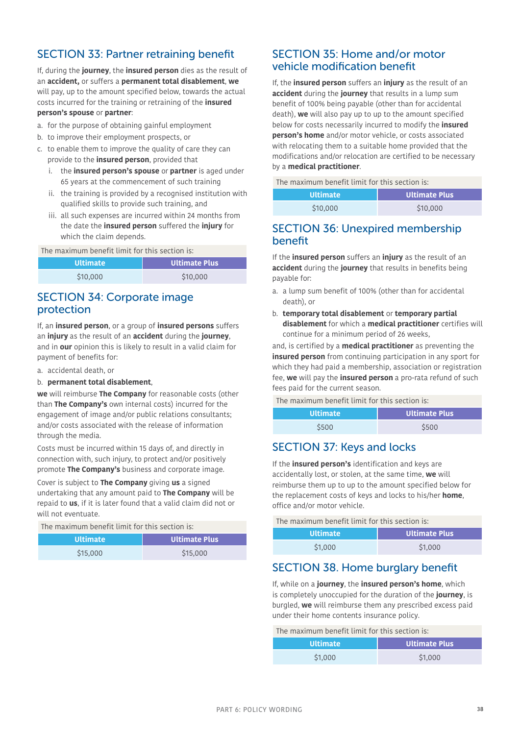# SECTION 33: Partner retraining benefit

If, during the **journey**, the **insured person** dies as the result of an **accident,** or suffers a **permanent total disablement**, **we** will pay, up to the amount specified below, towards the actual costs incurred for the training or retraining of the **insured person's spouse** or **partner**:

- a. for the purpose of obtaining gainful employment
- b. to improve their employment prospects, or
- c. to enable them to improve the quality of care they can provide to the **insured person**, provided that
	- i. the **insured person's spouse** or **partner** is aged under 65 years at the commencement of such training
	- ii. the training is provided by a recognised institution with qualified skills to provide such training, and
	- iii. all such expenses are incurred within 24 months from the date the **insured person** suffered the **injury** for which the claim depends.

The maximum benefit limit for this section is:

| <b>Ultimate</b> | <b>Ultimate Plus</b> |  |
|-----------------|----------------------|--|
| \$10,000        | \$10,000             |  |

### SECTION 34: Corporate image protection

If, an **insured person**, or a group of **insured persons** suffers an **injury** as the result of an **accident** during the **journey**, and in **our** opinion this is likely to result in a valid claim for payment of benefits for:

- a. accidental death, or
- b. **permanent total disablement**,

**we** will reimburse **The Company** for reasonable costs (other than **The Company's** own internal costs) incurred for the engagement of image and/or public relations consultants; and/or costs associated with the release of information through the media.

Costs must be incurred within 15 days of, and directly in connection with, such injury, to protect and/or positively promote **The Company's** business and corporate image.

Cover is subject to **The Company** giving **us** a signed undertaking that any amount paid to **The Company** will be repaid to **us**, if it is later found that a valid claim did not or will not eventuate.

#### The maximum benefit limit for this section is:

| <b>Ultimate</b> | <b>Ultimate Plus</b> |  |
|-----------------|----------------------|--|
| \$15,000        | \$15,000             |  |

### SECTION 35: Home and/or motor vehicle modification benefit

If, the **insured person** suffers an **injury** as the result of an **accident** during the **journey** that results in a lump sum benefit of 100% being payable (other than for accidental death), **we** will also pay up to up to the amount specified below for costs necessarily incurred to modify the **insured person's home** and/or motor vehicle, or costs associated with relocating them to a suitable home provided that the modifications and/or relocation are certified to be necessary by a **medical practitioner**.

The maximum benefit limit for this section is:

| <b>Ultimate</b> | <b>Ultimate Plus</b> |  |
|-----------------|----------------------|--|
| \$10,000        | \$10,000             |  |

### SECTION 36: Unexpired membership benefit

If the **insured person** suffers an **injury** as the result of an **accident** during the **journey** that results in benefits being payable for:

- a. a lump sum benefit of 100% (other than for accidental death), or
- b. **temporary total disablement** or **temporary partial disablement** for which a **medical practitioner** certifies will continue for a minimum period of 26 weeks,

and, is certified by a **medical practitioner** as preventing the **insured person** from continuing participation in any sport for which they had paid a membership, association or registration fee, **we** will pay the **insured person** a pro-rata refund of such fees paid for the current season.

The maximum benefit limit for this section is:

| <b>Ultimate</b> | <b>Ultimate Plus</b> |  |
|-----------------|----------------------|--|
| \$500           | \$500                |  |

## SECTION 37: Keys and locks

If the **insured person's** identification and keys are accidentally lost, or stolen, at the same time, **we** will reimburse them up to up to the amount specified below for the replacement costs of keys and locks to his/her **home**, office and/or motor vehicle.

| The maximum benefit limit for this section is: |                      |  |
|------------------------------------------------|----------------------|--|
| <b>Ultimate</b>                                | <b>Ultimate Plus</b> |  |
| \$1,000                                        | \$1,000              |  |

## SECTION 38. Home burglary benefit

If, while on a **journey**, the **insured person's home**, which is completely unoccupied for the duration of the **journey**, is burgled, **we** will reimburse them any prescribed excess paid under their home contents insurance policy.

The maximum benefit limit for this section is:

| <b>Ultimate</b> | <b>Ultimate Plus</b> |  |
|-----------------|----------------------|--|
| \$1,000         | \$1,000              |  |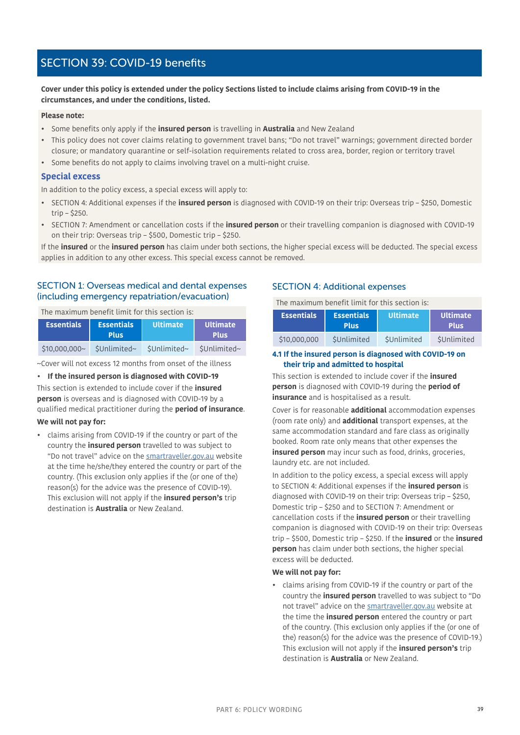# <span id="page-38-0"></span>SECTION 39: COVID-19 benefits

**Cover under this policy is extended under the policy Sections listed to include claims arising from COVID-19 in the circumstances, and under the conditions, listed.**

#### **Please note:**

- Some benefits only apply if the **insured person** is travelling in **Australia** and New Zealand
- This policy does not cover claims relating to government travel bans; "Do not travel" warnings; government directed border closure; or mandatory quarantine or self-isolation requirements related to cross area, border, region or territory travel
- Some benefits do not apply to claims involving travel on a multi-night cruise.

#### **Special excess**

In addition to the policy excess, a special excess will apply to:

- SECTION 4: Additional expenses if the **insured person** is diagnosed with COVID-19 on their trip: Overseas trip \$250, Domestic trip – \$250.
- SECTION 7: Amendment or cancellation costs if the **insured person** or their travelling companion is diagnosed with COVID-19 on their trip: Overseas trip – \$500, Domestic trip – \$250.

If the **insured** or the **insured person** has claim under both sections, the higher special excess will be deducted. The special excess applies in addition to any other excess. This special excess cannot be removed.

### SECTION 1: Overseas medical and dental expenses (including emergency repatriation/evacuation)

The maximum benefit limit for this section is:

| <b>Essentials</b> | <b>Essentials</b><br><b>Plus</b> | <b>Ultimate</b> | l Ultimate'<br><b>Plus</b> |
|-------------------|----------------------------------|-----------------|----------------------------|
| $$10,000,000$ ~   | \$Unlimited~                     | \$Unlimited~    | \$Unlimited~               |

~Cover will not excess 12 months from onset of the illness

**• If the insured person is diagnosed with COVID-19** This section is extended to include cover if the **insured person** is overseas and is diagnosed with COVID-19 by a qualified medical practitioner during the **period of insurance**.

#### **We will not pay for:**

• claims arising from COVID-19 if the country or part of the country the **insured person** travelled to was subject to "Do not travel" advice on the smartraveller.gov.au website at the time he/she/they entered the country or part of the country. (This exclusion only applies if the (or one of the) reason(s) for the advice was the presence of COVID-19). This exclusion will not apply if the **insured person's** trip destination is **Australia** or New Zealand.

### SECTION 4: Additional expenses

The maximum benefit limit for this section is:

| <b>Essentials</b> | <b>Essentials</b><br><b>Plus</b> | <b>Ultimate</b> | l Ultimate <b>l</b><br><b>Plus</b> |
|-------------------|----------------------------------|-----------------|------------------------------------|
| \$10,000,000      | SUnlimited                       | SUnlimited      | SUnlimited                         |

**4.1 If the insured person is diagnosed with COVID-19 on their trip and admitted to hospital**

This section is extended to include cover if the **insured person** is diagnosed with COVID-19 during the **period of insurance** and is hospitalised as a result.

Cover is for reasonable **additional** accommodation expenses (room rate only) and **additional** transport expenses, at the same accommodation standard and fare class as originally booked. Room rate only means that other expenses the **insured person** may incur such as food, drinks, groceries, laundry etc. are not included.

In addition to the policy excess, a special excess will apply to SECTION 4: Additional expenses if the **insured person** is diagnosed with COVID-19 on their trip: Overseas trip – \$250, Domestic trip – \$250 and to SECTION 7: Amendment or cancellation costs if the **insured person** or their travelling companion is diagnosed with COVID-19 on their trip: Overseas trip – \$500, Domestic trip – \$250. If the **insured** or the **insured person** has claim under both sections, the higher special excess will be deducted.

#### **We will not pay for:**

• claims arising from COVID-19 if the country or part of the country the **insured person** travelled to was subject to "Do not travel" advice on the smartraveller.gov.au website at the time the **insured person** entered the country or part of the country. (This exclusion only applies if the (or one of the) reason(s) for the advice was the presence of COVID-19.) This exclusion will not apply if the **insured person's** trip destination is **Australia** or New Zealand.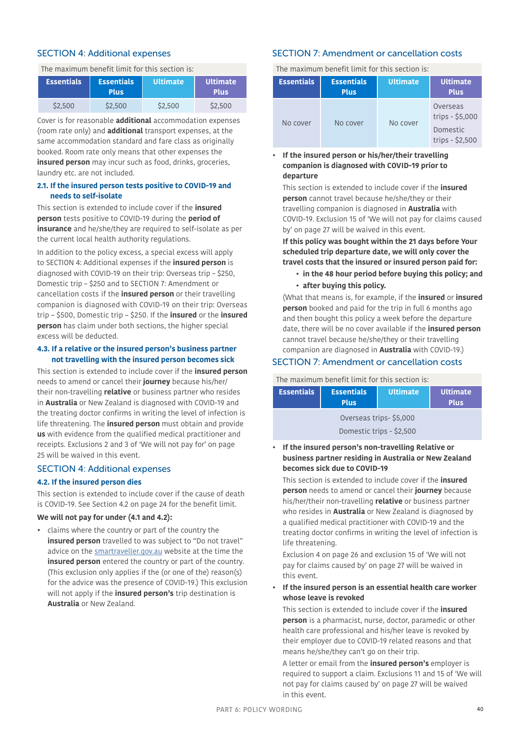### SECTION 4: Additional expenses

The maximum benefit limit for this section is:

| Essentials <sup>1</sup> | <b>Essentials</b><br><b>Plus</b> | <b>Ultimate</b> | <b>Ultimate</b><br><b>Plus</b> |
|-------------------------|----------------------------------|-----------------|--------------------------------|
| \$2.500                 | \$2,500                          | S2,500          | \$2,500                        |

Cover is for reasonable **additional** accommodation expenses (room rate only) and **additional** transport expenses, at the same accommodation standard and fare class as originally booked. Room rate only means that other expenses the **insured person** may incur such as food, drinks, groceries, laundry etc. are not included.

#### **2.1. If the insured person tests positive to COVID-19 and needs to self-isolate**

This section is extended to include cover if the **insured person** tests positive to COVID-19 during the **period of insurance** and he/she/they are required to self-isolate as per the current local health authority regulations.

In addition to the policy excess, a special excess will apply to SECTION 4: Additional expenses if the **insured person** is diagnosed with COVID-19 on their trip: Overseas trip – \$250, Domestic trip – \$250 and to SECTION 7: Amendment or cancellation costs if the **insured person** or their travelling companion is diagnosed with COVID-19 on their trip: Overseas trip – \$500, Domestic trip – \$250. If the **insured** or the **insured person** has claim under both sections, the higher special excess will be deducted.

### **4.3. If a relative or the insured person's business partner not travelling with the insured person becomes sick**

This section is extended to include cover if the **insured person**  needs to amend or cancel their **journey** because his/her/ their non-travelling **relative** or business partner who resides in **Australia** or New Zealand is diagnosed with COVID-19 and the treating doctor confirms in writing the level of infection is life threatening. The **insured person** must obtain and provide **us** with evidence from the qualified medical practitioner and receipts. Exclusions 2 and 3 of 'We will not pay for' on page [25](#page-24-1) will be waived in this event.

### SECTION 4: Additional expenses

### **4.2. If the insured person dies**

This section is extended to include cover if the cause of death is COVID-19. See Section 4.2 on page [24](#page-23-1) for the benefit limit.

### **We will not pay for under (4.1 and 4.2):**

• claims where the country or part of the country the **insured person** travelled to was subject to "Do not travel" advice on the smartraveller.gov.au website at the time the **insured person** entered the country or part of the country. (This exclusion only applies if the (or one of the) reason(s) for the advice was the presence of COVID-19.) This exclusion will not apply if the **insured person's** trip destination is **Australia** or New Zealand.

### SECTION 7: Amendment or cancellation costs

The maximum benefit limit for this section is:

| <b>Essentials</b> | <b>Essentials</b><br><b>Plus</b> | <b>Ultimate</b> | <b>Ultimate</b><br><b>Plus</b>                               |
|-------------------|----------------------------------|-----------------|--------------------------------------------------------------|
| No cover          | No cover                         | No cover        | Overseas<br>trips - \$5,000<br>Domestic<br>trips $-$ \$2,500 |

### **• If the insured person or his/her/their travelling companion is diagnosed with COVID-19 prior to departure**

This section is extended to include cover if the **insured person** cannot travel because he/she/they or their travelling companion is diagnosed in **Australia** with COVID-19. Exclusion 15 of 'We will not pay for claims caused by' on page [27](#page-26-1) will be waived in this event.

**If this policy was bought within the 21 days before Your scheduled trip departure date, we will only cover the travel costs that the insured or insured person paid for:**

- **in the 48 hour period before buying this policy; and**
- **after buying this policy.**

(What that means is, for example, if the **insured** or **insured person** booked and paid for the trip in full 6 months ago and then bought this policy a week before the departure date, there will be no cover available if the **insured person** cannot travel because he/she/they or their travelling companion are diagnosed in **Australia** with COVID-19.)

### SECTION 7: Amendment or cancellation costs

The maximum benefit limit for this section is:

| <b>Essentials</b>        | <b>Essentials</b><br><b>Plus</b> | <b>Ultimate</b> | <b>Ultimate</b><br><b>Plus</b> |
|--------------------------|----------------------------------|-----------------|--------------------------------|
| Overseas trips-\$5,000   |                                  |                 |                                |
| Domestic trips - \$2,500 |                                  |                 |                                |

### **• If the insured person's non-travelling Relative or business partner residing in Australia or New Zealand becomes sick due to COVID-19**

This section is extended to include cover if the **insured person** needs to amend or cancel their **journey** because his/her/their non-travelling **relative** or business partner who resides in **Australia** or New Zealand is diagnosed by a qualified medical practitioner with COVID-19 and the treating doctor confirms in writing the level of infection is life threatening.

Exclusion 4 on page [26](#page-25-1) and exclusion 15 of 'We will not pay for claims caused by' on page [27](#page-26-1) will be waived in this event.

**• If the insured person is an essential health care worker whose leave is revoked**

This section is extended to include cover if the **insured person** is a pharmacist, nurse, doctor, paramedic or other health care professional and his/her leave is revoked by their employer due to COVID-19 related reasons and that means he/she/they can't go on their trip.

A letter or email from the **insured person's** employer is required to support a claim. Exclusions 11 and 15 of 'We will not pay for claims caused by' on page [27](#page-26-2) will be waived in this event.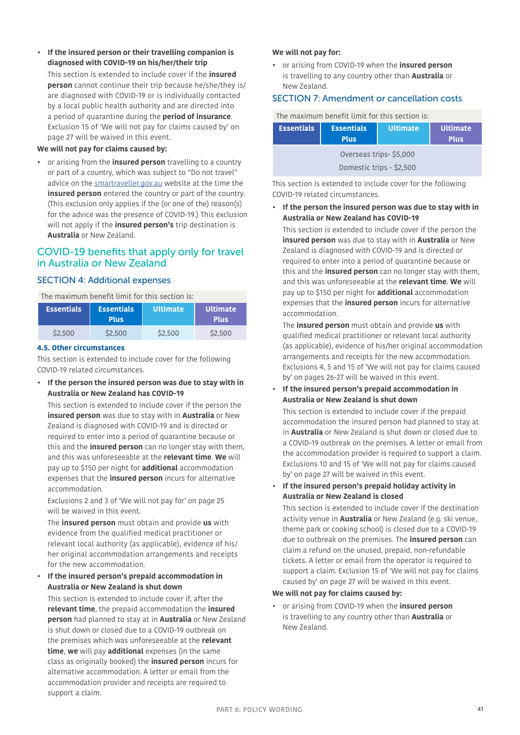**• If the insured person or their travelling companion is diagnosed with COVID-19 on his/her/their trip**

This section is extended to include cover if the **insured person** cannot continue their trip because he/she/they is/ are diagnosed with COVID-19 or is individually contacted by a local public health authority and are directed into a period of quarantine during the **period of insurance**. Exclusion 15 of 'We will not pay for claims caused by' on page [27](#page-26-1) will be waived in this event.

#### **We will not pay for claims caused by:**

• or arising from the **insured person** travelling to a country or part of a country, which was subject to "Do not travel" advice on the smartraveller.gov.au website at the time the **insured person** entered the country or part of the country. (This exclusion only applies if the (or one of the) reason(s) for the advice was the presence of COVID-19.) This exclusion will not apply if the **insured person's** trip destination is **Australia** or New Zealand.

### COVID-19 benefits that apply only for travel in Australia or New Zealand

#### SECTION 4: Additional expenses

The maximum benefit limit for this section is:

| <b>Essentials</b> | <b>Essentials</b><br><b>Plus</b> | <b>Ultimate</b> | <b>Ultimate</b><br><b>Plus</b> |
|-------------------|----------------------------------|-----------------|--------------------------------|
| \$2,500           | \$2,500                          | \$2,500         | \$2,500                        |

#### **4.5. Other circumstances**

This section is extended to include cover for the following COVID-19 related circumstances.

**• If the person the insured person was due to stay with in Australia or New Zealand has COVID-19**

This section is extended to include cover if the person the **insured person** was due to stay with in **Australia** or New Zealand is diagnosed with COVID-19 and is directed or required to enter into a period of quarantine because or this and the **insured person** can no longer stay with them, and this was unforeseeable at the **relevant time**. **We** will pay up to \$150 per night for **additional** accommodation expenses that the **insured person** incurs for alternative accommodation.

Exclusions 2 and 3 of 'We will not pay for' on page [25](#page-24-1) will be waived in this event.

The **insured person** must obtain and provide **us** with evidence from the qualified medical practitioner or relevant local authority (as applicable), evidence of his/ her original accommodation arrangements and receipts for the new accommodation.

**• If the insured person's prepaid accommodation in Australia or New Zealand is shut down**

This section is extended to include cover if, after the **relevant time**, the prepaid accommodation the **insured person** had planned to stay at in **Australia** or New Zealand is shut down or closed due to a COVID-19 outbreak on the premises which was unforeseeable at the **relevant time**, **we** will pay **additional** expenses (in the same class as originally booked) the **insured person** incurs for alternative accommodation. A letter or email from the accommodation provider and receipts are required to support a claim.

#### **We will not pay for:**

• or arising from COVID-19 when the **insured person** is travelling to any country other than **Australia** or New Zealand.

The maximum benefit limit for this section is section is section is:

### SECTION 7: Amendment or cancellation costs

| The maximum penefit timit for this section is: |                                  |                 |                                |  |
|------------------------------------------------|----------------------------------|-----------------|--------------------------------|--|
| <b>Essentials</b>                              | <b>Essentials</b><br><b>Plus</b> | <b>Ultimate</b> | <b>Ultimate</b><br><b>Plus</b> |  |
| Overseas trips-\$5,000                         |                                  |                 |                                |  |
| Domestic trips - \$2,500                       |                                  |                 |                                |  |

This section is extended to include cover for the following COVID-19 related circumstances.

**• If the person the insured person was due to stay with in Australia or New Zealand has COVID-19**

This section is extended to include cover if the person the **insured person** was due to stay with in **Australia** or New Zealand is diagnosed with COVID-19 and is directed or required to enter into a period of quarantine because or this and the **insured person** can no longer stay with them, and this was unforeseeable at the **relevant time**. **We** will pay up to \$150 per night for **additional** accommodation expenses that the **insured person** incurs for alternative accommodation.

The **insured person** must obtain and provide **us** with qualified medical practitioner or relevant local authority (as applicable), evidence of his/her original accommodation arrangements and receipts for the new accommodation. Exclusions 4, 5 and 15 of 'We will not pay for claims caused by' on pages [26](#page-25-1)[-27](#page-26-1) will be waived in this event.

**• If the insured person's prepaid accommodation in Australia or New Zealand is shut down** 

This section is extended to include cover if the prepaid accommodation the insured person had planned to stay at in **Australia** or New Zealand is shut down or closed due to a COVID-19 outbreak on the premises. A letter or email from the accommodation provider is required to support a claim. Exclusions 10 and 15 of 'We will not pay for claims caused by' on page [27](#page-26-3) will be waived in this event.

**• If the insured person's prepaid holiday activity in Australia or New Zealand is closed**

This section is extended to include cover if the destination activity venue in **Australia** or New Zealand (e.g. ski venue, theme park or cooking school) is closed due to a COVID-19 due to outbreak on the premises. The **insured person** can claim a refund on the unused, prepaid, non-refundable tickets. A letter or email from the operator is required to support a claim. Exclusion 15 of 'We will not pay for claims caused by' on page [27](#page-26-1) will be waived in this event.

#### **We will not pay for claims caused by:**

• or arising from COVID-19 when the **insured person** is travelling to any country other than **Australia** or New Zealand.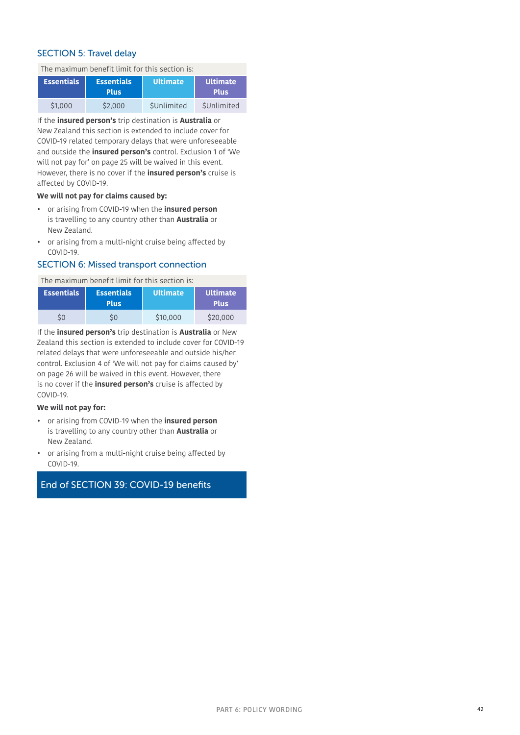### SECTION 5: Travel delay

The maximum benefit limit for this section is:

| <b>Essentials</b> | <b>Essentials</b><br>Plus. | <b>IUltimate</b> ' | <b>Ultimate</b><br><b>Plus</b> |
|-------------------|----------------------------|--------------------|--------------------------------|
| \$1,000           | \$2,000                    | SUnlimited         | SUnlimited                     |

If the **insured person's** trip destination is **Australia** or New Zealand this section is extended to include cover for COVID-19 related temporary delays that were unforeseeable and outside the **insured person's** control. Exclusion 1 of 'We will not pay for' on page [25](#page-24-2) will be waived in this event. However, there is no cover if the **insured person's** cruise is affected by COVID-19.

#### **We will not pay for claims caused by:**

- or arising from COVID-19 when the **insured person** is travelling to any country other than **Australia** or New Zealand.
- or arising from a multi-night cruise being affected by COVID-19.

### SECTION 6: Missed transport connection

The maximum benefit limit for this section is:

| Essentials <sup>1</sup> | <b>Essentials</b><br><b>Plus</b> | <b>Ultimate</b> | <b>Ultimate</b><br><b>Plus</b> |
|-------------------------|----------------------------------|-----------------|--------------------------------|
|                         |                                  | \$10,000        | \$20,000                       |

If the **insured person's** trip destination is **Australia** or New Zealand this section is extended to include cover for COVID-19 related delays that were unforeseeable and outside his/her control. Exclusion 4 of 'We will not pay for claims caused by' on page [26](#page-25-2) will be waived in this event. However, there is no cover if the **insured person's** cruise is affected by COVID-19.

#### **We will not pay for:**

- or arising from COVID-19 when the **insured person** is travelling to any country other than **Australia** or New Zealand.
- or arising from a multi-night cruise being affected by COVID-19.

### <span id="page-41-0"></span>End of SECTION 39: COVID-19 benefits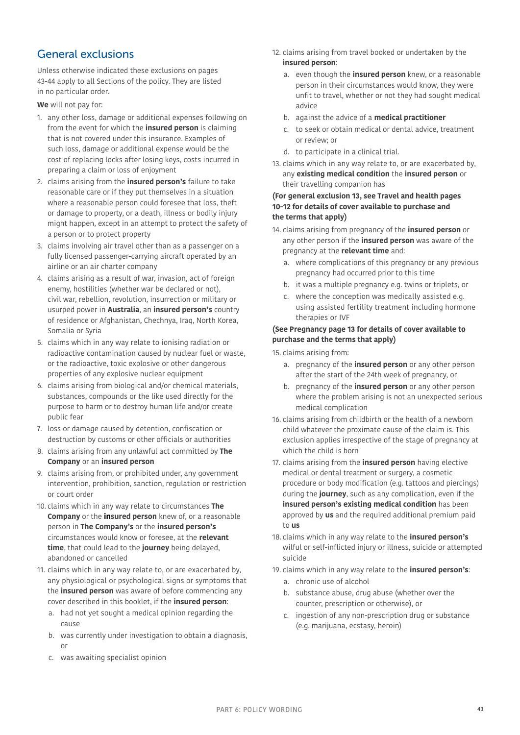# <span id="page-42-0"></span>General exclusions

Unless otherwise indicated these exclusions on pages [43](#page-42-0)[-44](#page-43-0) apply to all Sections of the policy. They are listed in no particular order.

**We** will not pay for:

- 1. any other loss, damage or additional expenses following on from the event for which the **insured person** is claiming that is not covered under this insurance. Examples of such loss, damage or additional expense would be the cost of replacing locks after losing keys, costs incurred in preparing a claim or loss of enjoyment
- 2. claims arising from the **insured person's** failure to take reasonable care or if they put themselves in a situation where a reasonable person could foresee that loss, theft or damage to property, or a death, illness or bodily injury might happen, except in an attempt to protect the safety of a person or to protect property
- 3. claims involving air travel other than as a passenger on a fully licensed passenger-carrying aircraft operated by an airline or an air charter company
- 4. claims arising as a result of war, invasion, act of foreign enemy, hostilities (whether war be declared or not), civil war, rebellion, revolution, insurrection or military or usurped power in **Australia**, an **insured person's** country of residence or Afghanistan, Chechnya, Iraq, North Korea, Somalia or Syria
- 5. claims which in any way relate to ionising radiation or radioactive contamination caused by nuclear fuel or waste, or the radioactive, toxic explosive or other dangerous properties of any explosive nuclear equipment
- 6. claims arising from biological and/or chemical materials, substances, compounds or the like used directly for the purpose to harm or to destroy human life and/or create public fear
- 7. loss or damage caused by detention, confiscation or destruction by customs or other officials or authorities
- 8. claims arising from any unlawful act committed by **The Company** or an **insured person**
- 9. claims arising from, or prohibited under, any government intervention, prohibition, sanction, regulation or restriction or court order
- 10. claims which in any way relate to circumstances **The Company** or the **insured person** knew of, or a reasonable person in **The Company's** or the **insured person's**  circumstances would know or foresee, at the **relevant time**, that could lead to the **journey** being delayed, abandoned or cancelled
- 11. claims which in any way relate to, or are exacerbated by, any physiological or psychological signs or symptoms that the **insured person** was aware of before commencing any cover described in this booklet, if the **insured person**:
	- a. had not yet sought a medical opinion regarding the cause
	- b. was currently under investigation to obtain a diagnosis, or
	- c. was awaiting specialist opinion
- 12. claims arising from travel booked or undertaken by the **insured person**:
	- a. even though the **insured person** knew, or a reasonable person in their circumstances would know, they were unfit to travel, whether or not they had sought medical advice
	- b. against the advice of a **medical practitioner**
	- c. to seek or obtain medical or dental advice, treatment or review; or
	- d. to participate in a clinical trial.
- 13. claims which in any way relate to, or are exacerbated by, any **existing medical condition** the **insured person** or their travelling companion has

### **(For general exclusion 13, see Travel and health pages [10](#page-9-0)[-12](#page-11-1) for details of cover available to purchase and the terms that apply)**

- 14. claims arising from pregnancy of the **insured person** or any other person if the **insured person** was aware of the pregnancy at the **relevant time** and:
	- a. where complications of this pregnancy or any previous pregnancy had occurred prior to this time
	- b. it was a multiple pregnancy e.g. twins or triplets, or
	- c. where the conception was medically assisted e.g. using assisted fertility treatment including hormone therapies or IVF

### **(See Pregnancy page [13](#page-12-0) for details of cover available to purchase and the terms that apply)**

15. claims arising from:

- a. pregnancy of the **insured person** or any other person after the start of the 24th week of pregnancy, or
- b. pregnancy of the **insured person** or any other person where the problem arising is not an unexpected serious medical complication
- 16. claims arising from childbirth or the health of a newborn child whatever the proximate cause of the claim is. This exclusion applies irrespective of the stage of pregnancy at which the child is born
- 17. claims arising from the **insured person** having elective medical or dental treatment or surgery, a cosmetic procedure or body modification (e.g. tattoos and piercings) during the **journey**, such as any complication, even if the **insured person's existing medical condition** has been approved by **us** and the required additional premium paid to **us**
- 18. claims which in any way relate to the **insured person's** wilful or self-inflicted injury or illness, suicide or attempted suicide
- 19. claims which in any way relate to the **insured person's**:
	- a. chronic use of alcohol
	- b. substance abuse, drug abuse (whether over the counter, prescription or otherwise), or
	- c. ingestion of any non-prescription drug or substance (e.g. marijuana, ecstasy, heroin)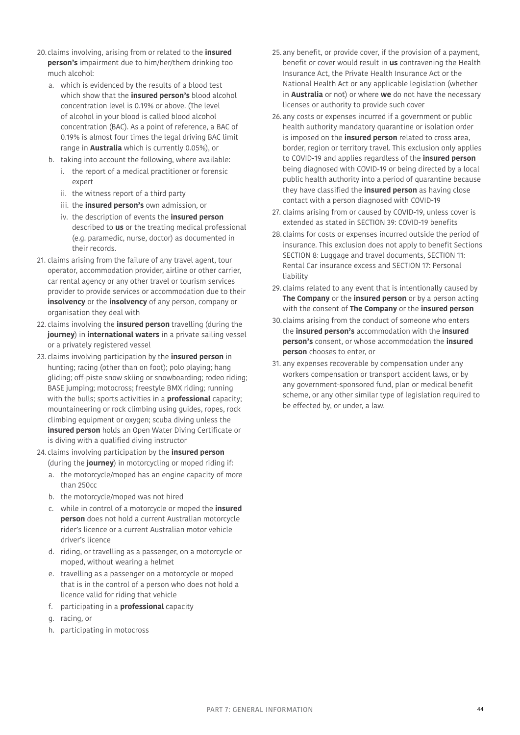- 20.claims involving, arising from or related to the **insured person's** impairment due to him/her/them drinking too much alcohol:
	- a. which is evidenced by the results of a blood test which show that the **insured person's** blood alcohol concentration level is 0.19% or above. (The level of alcohol in your blood is called blood alcohol concentration (BAC). As a point of reference, a BAC of 0.19% is almost four times the legal driving BAC limit range in **Australia** which is currently 0.05%), or
	- b. taking into account the following, where available:
		- i. the report of a medical practitioner or forensic expert
		- ii. the witness report of a third party
		- iii. the **insured person's** own admission, or
		- iv. the description of events the **insured person** described to **us** or the treating medical professional (e.g. paramedic, nurse, doctor) as documented in their records.
- 21. claims arising from the failure of any travel agent, tour operator, accommodation provider, airline or other carrier, car rental agency or any other travel or tourism services provider to provide services or accommodation due to their **insolvency** or the **insolvency** of any person, company or organisation they deal with
- 22. claims involving the **insured person** travelling (during the **journey**) in **international waters** in a private sailing vessel or a privately registered vessel
- <span id="page-43-1"></span>23. claims involving participation by the **insured person** in hunting; racing (other than on foot); polo playing; hang gliding; off-piste snow skiing or snowboarding; rodeo riding; BASE jumping; motocross; freestyle BMX riding; running with the bulls; sports activities in a **professional** capacity; mountaineering or rock climbing using guides, ropes, rock climbing equipment or oxygen; scuba diving unless the **insured person** holds an Open Water Diving Certificate or is diving with a qualified diving instructor
- <span id="page-43-2"></span>24. claims involving participation by the **insured person**  (during the **journey**) in motorcycling or moped riding if:
	- a. the motorcycle/moped has an engine capacity of more than 250cc
	- b. the motorcycle/moped was not hired
	- c. while in control of a motorcycle or moped the **insured person** does not hold a current Australian motorcycle rider's licence or a current Australian motor vehicle driver's licence
	- d. riding, or travelling as a passenger, on a motorcycle or moped, without wearing a helmet
	- e. travelling as a passenger on a motorcycle or moped that is in the control of a person who does not hold a licence valid for riding that vehicle
	- f. participating in a **professional** capacity
	- g. racing, or
	- h. participating in motocross
- 25. any benefit, or provide cover, if the provision of a payment, benefit or cover would result in **us** contravening the Health Insurance Act, the Private Health Insurance Act or the National Health Act or any applicable legislation (whether in **Australia** or not) or where **we** do not have the necessary licenses or authority to provide such cover
- 26. any costs or expenses incurred if a government or public health authority mandatory quarantine or isolation order is imposed on the **insured person** related to cross area, border, region or territory travel. This exclusion only applies to COVID-19 and applies regardless of the **insured person** being diagnosed with COVID-19 or being directed by a local public health authority into a period of quarantine because they have classified the **insured person** as having close contact with a person diagnosed with COVID-19
- 27. claims arising from or caused by COVID-19, unless cover is extended as stated in SECTION 39: COVID-19 benefits
- 28. claims for costs or expenses incurred outside the period of insurance. This exclusion does not apply to benefit Sections SECTION 8: Luggage and travel documents, SECTION 11: Rental Car insurance excess and SECTION 17: Personal liability
- 29. claims related to any event that is intentionally caused by **The Company** or the **insured person** or by a person acting with the consent of **The Company** or the **insured person**
- 30.claims arising from the conduct of someone who enters the **insured person's** accommodation with the **insured person's** consent, or whose accommodation the **insured person** chooses to enter, or
- <span id="page-43-0"></span>31. any expenses recoverable by compensation under any workers compensation or transport accident laws, or by any government-sponsored fund, plan or medical benefit scheme, or any other similar type of legislation required to be effected by, or under, a law.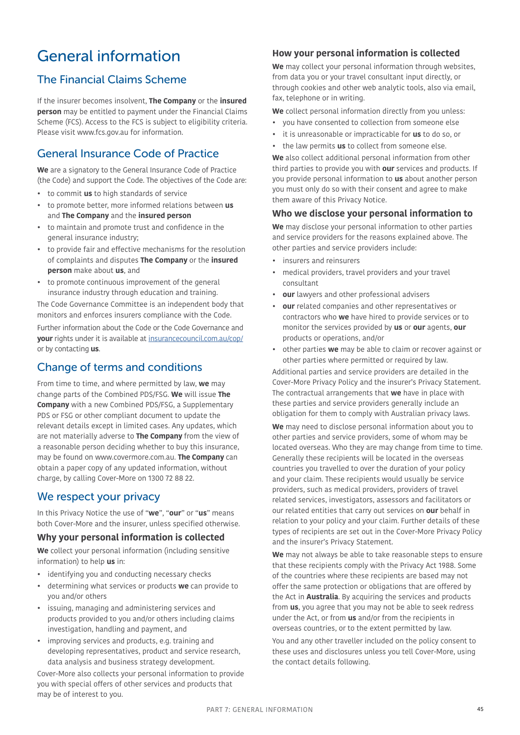# <span id="page-44-0"></span>General information

## <span id="page-44-1"></span>The Financial Claims Scheme

If the insurer becomes insolvent, **The Company** or the **insured person** may be entitled to payment under the Financial Claims Scheme (FCS). Access to the FCS is subject to eligibility criteria. Please visit www.fcs.gov.au for information.

## <span id="page-44-2"></span>General Insurance Code of Practice

**We** are a signatory to the General Insurance Code of Practice (the Code) and support the Code. The objectives of the Code are:

- to commit **us** to high standards of service
- to promote better, more informed relations between **us**  and **The Company** and the **insured person**
- to maintain and promote trust and confidence in the general insurance industry;
- to provide fair and effective mechanisms for the resolution of complaints and disputes **The Company** or the **insured person** make about **us**, and
- to promote continuous improvement of the general insurance industry through education and training.

The Code Governance Committee is an independent body that monitors and enforces insurers compliance with the Code.

Further information about the Code or the Code Governance and **your** rights under it is available at [insurancecouncil.com.au/cop](https://insurancecouncil.com.au/cop/)/ or by contacting **us**.

## <span id="page-44-4"></span>Change of terms and conditions

From time to time, and where permitted by law, **we** may change parts of the Combined PDS/FSG. **We** will issue **The Company** with a new Combined PDS/FSG, a Supplementary PDS or FSG or other compliant document to update the relevant details except in limited cases. Any updates, which are not materially adverse to **The Company** from the view of a reasonable person deciding whether to buy this insurance, may be found on [www.covermore.com.au.](http://www.covermore.com.au) **The Company** can obtain a paper copy of any updated information, without charge, by calling Cover-More on 1300 72 88 22.

### <span id="page-44-3"></span>We respect your privacy

In this Privacy Notice the use of "**we**", "**our**" or "**us**" means both Cover-More and the insurer, unless specified otherwise.

### **Why your personal information is collected**

**We** collect your personal information (including sensitive information) to help **us** in:

- identifying you and conducting necessary checks
- determining what services or products **we** can provide to you and/or others
- issuing, managing and administering services and products provided to you and/or others including claims investigation, handling and payment, and
- improving services and products, e.g. training and developing representatives, product and service research, data analysis and business strategy development.

Cover-More also collects your personal information to provide you with special offers of other services and products that may be of interest to you.

### **How your personal information is collected**

**We** may collect your personal information through websites, from data you or your travel consultant input directly, or through cookies and other web analytic tools, also via email, fax, telephone or in writing.

**We** collect personal information directly from you unless:

- you have consented to collection from someone else
- it is unreasonable or impracticable for **us** to do so, or
- the law permits **us** to collect from someone else.

**We** also collect additional personal information from other third parties to provide you with **our** services and products. If you provide personal information to **us** about another person you must only do so with their consent and agree to make them aware of this Privacy Notice.

### **Who we disclose your personal information to**

**We** may disclose your personal information to other parties and service providers for the reasons explained above. The other parties and service providers include:

- insurers and reinsurers
- medical providers, travel providers and your travel consultant
- **our** lawyers and other professional advisers
- **our** related companies and other representatives or contractors who **we** have hired to provide services or to monitor the services provided by **us** or **our** agents, **our** products or operations, and/or
- other parties **we** may be able to claim or recover against or other parties where permitted or required by law. Additional parties and service providers are detailed in the

Cover-More Privacy Policy and the insurer's Privacy Statement. The contractual arrangements that **we** have in place with these parties and service providers generally include an obligation for them to comply with Australian privacy laws.

**We** may need to disclose personal information about you to other parties and service providers, some of whom may be located overseas. Who they are may change from time to time. Generally these recipients will be located in the overseas countries you travelled to over the duration of your policy and your claim. These recipients would usually be service providers, such as medical providers, providers of travel related services, investigators, assessors and facilitators or our related entities that carry out services on **our** behalf in relation to your policy and your claim. Further details of these types of recipients are set out in the Cover-More Privacy Policy and the insurer's Privacy Statement.

**We** may not always be able to take reasonable steps to ensure that these recipients comply with the Privacy Act 1988. Some of the countries where these recipients are based may not offer the same protection or obligations that are offered by the Act in **Australia**. By acquiring the services and products from **us**, you agree that you may not be able to seek redress under the Act, or from **us** and/or from the recipients in overseas countries, or to the extent permitted by law.

You and any other traveller included on the policy consent to these uses and disclosures unless you tell Cover-More, using the contact details following.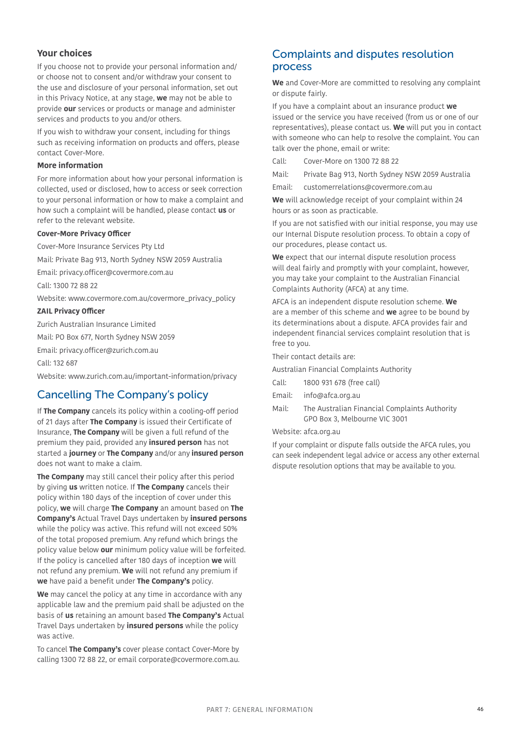### **Your choices**

If you choose not to provide your personal information and/ or choose not to consent and/or withdraw your consent to the use and disclosure of your personal information, set out in this Privacy Notice, at any stage, **we** may not be able to provide **our** services or products or manage and administer services and products to you and/or others.

If you wish to withdraw your consent, including for things such as receiving information on products and offers, please contact Cover-More.

### **More information**

For more information about how your personal information is collected, used or disclosed, how to access or seek correction to your personal information or how to make a complaint and how such a complaint will be handled, please contact **us** or refer to the relevant website.

#### **Cover-More Privacy Officer**

Cover-More Insurance Services Pty Ltd

Mail: Private Bag 913, North Sydney NSW 2059 Australia

Email: privacy.officer@covermore.com.au

Call: 1300 72 88 22

Website: www.covermore.com.au/covermore\_privacy\_policy

#### **ZAIL Privacy Officer**

Zurich Australian Insurance Limited

Mail: PO Box 677, North Sydney NSW 2059

Email: privacy.officer@zurich.com.au

Call: 132 687

Website: www.zurich.com.au/important-information/privacy

## <span id="page-45-1"></span>Cancelling The Company's policy

If **The Company** cancels its policy within a cooling-off period of 21 days after **The Company** is issued their Certificate of Insurance, **The Company** will be given a full refund of the premium they paid, provided any **insured person** has not started a **journey** or **The Company** and/or any **insured person**  does not want to make a claim.

**The Company** may still cancel their policy after this period by giving **us** written notice. If **The Company** cancels their policy within 180 days of the inception of cover under this policy, **we** will charge **The Company** an amount based on **The Company's** Actual Travel Days undertaken by **insured persons** while the policy was active. This refund will not exceed 50% of the total proposed premium. Any refund which brings the policy value below **our** minimum policy value will be forfeited. If the policy is cancelled after 180 days of inception **we** will not refund any premium. **We** will not refund any premium if **we** have paid a benefit under **The Company's** policy.

**We** may cancel the policy at any time in accordance with any applicable law and the premium paid shall be adjusted on the basis of **us** retaining an amount based **The Company's** Actual Travel Days undertaken by **insured persons** while the policy was active.

To cancel **The Company's** cover please contact Cover-More by calling 1300 72 88 22, or email corporate@covermore.com.au.

## <span id="page-45-2"></span>Complaints and disputes resolution process

**We** and Cover-More are committed to resolving any complaint or dispute fairly.

If you have a complaint about an insurance product **we** issued or the service you have received (from us or one of our representatives), please contact us. **We** will put you in contact with someone who can help to resolve the complaint. You can talk over the phone, email or write:

Call: Cover-More on 1300 72 88 22

Mail: Private Bag 913, North Sydney NSW 2059 Australia

Email: customerrelations@covermore.com.au

**We** will acknowledge receipt of your complaint within 24 hours or as soon as practicable.

If you are not satisfied with our initial response, you may use our Internal Dispute resolution process. To obtain a copy of our procedures, please contact us.

**We** expect that our internal dispute resolution process will deal fairly and promptly with your complaint, however, you may take your complaint to the Australian Financial Complaints Authority (AFCA) at any time.

AFCA is an independent dispute resolution scheme. **We** are a member of this scheme and **we** agree to be bound by its determinations about a dispute. AFCA provides fair and independent financial services complaint resolution that is free to you.

<span id="page-45-0"></span>Their contact details are:

Australian Financial Complaints Authority

- Call: 1800 931 678 (free call)
- Email: info@afca.org.au
- Mail: The Australian Financial Complaints Authority GPO Box 3, Melbourne VIC 3001

### Website: afca.org.au

If your complaint or dispute falls outside the AFCA rules, you can seek independent legal advice or access any other external dispute resolution options that may be available to you.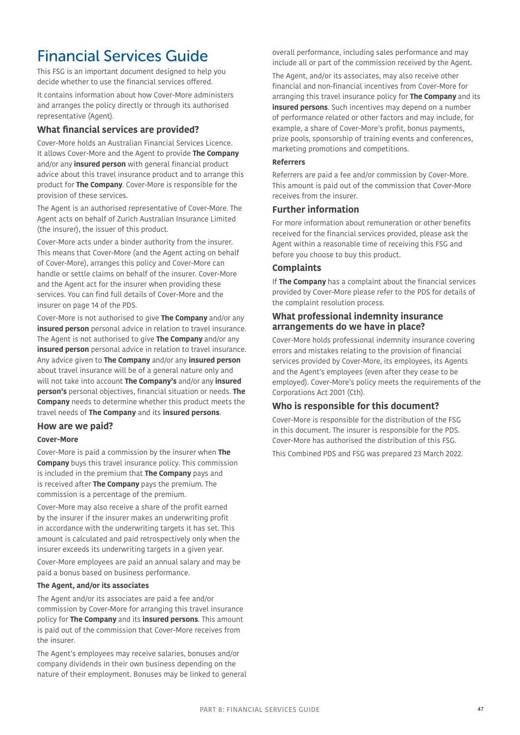# <span id="page-46-0"></span>Financial Services Guide

This FSG is an important document designed to help you decide whether to use the financial services offered.

It contains information about how Cover-More administers and arranges the policy directly or through its authorised representative (Agent).

### **What financial services are provided?**

Cover-More holds an Australian Financial Services Licence. It allows Cover-More and the Agent to provide **The Company**  and/or any **insured person** with general financial product advice about this travel insurance product and to arrange this product for **The Company**. Cover-More is responsible for the provision of these services.

The Agent is an authorised representative of Cover-More. The Agent acts on behalf of Zurich Australian Insurance Limited (the insurer), the issuer of this product.

Cover-More acts under a binder authority from the insurer. This means that Cover-More (and the Agent acting on behalf of Cover-More), arranges this policy and Cover-More can handle or settle claims on behalf of the insurer. Cover-More and the Agent act for the insurer when providing these services. You can find full details of Cover-More and the insurer on page [14](#page-13-1) of the PDS.

Cover-More is not authorised to give **The Company** and/or any **insured person** personal advice in relation to travel insurance. The Agent is not authorised to give **The Company** and/or any **insured person** personal advice in relation to travel insurance. Any advice given to **The Company** and/or any **insured person** about travel insurance will be of a general nature only and will not take into account **The Company's** and/or any **insured person's** personal objectives, financial situation or needs. **The Company** needs to determine whether this product meets the travel needs of **The Company** and its **insured persons**.

### **How are we paid?**

### **Cover-More**

Cover-More is paid a commission by the insurer when **The Company** buys this travel insurance policy. This commission is included in the premium that **The Company** pays and is received after **The Company** pays the premium. The commission is a percentage of the premium.

Cover-More may also receive a share of the profit earned by the insurer if the insurer makes an underwriting profit in accordance with the underwriting targets it has set. This amount is calculated and paid retrospectively only when the insurer exceeds its underwriting targets in a given year.

Cover-More employees are paid an annual salary and may be paid a bonus based on business performance.

#### **The Agent, and/or its associates**

The Agent and/or its associates are paid a fee and/or commission by Cover-More for arranging this travel insurance policy for **The Company** and its **insured persons**. This amount is paid out of the commission that Cover-More receives from the insurer.

The Agent's employees may receive salaries, bonuses and/or company dividends in their own business depending on the nature of their employment. Bonuses may be linked to general overall performance, including sales performance and may include all or part of the commission received by the Agent.

The Agent, and/or its associates, may also receive other financial and non-financial incentives from Cover-More for arranging this travel insurance policy for **The Company** and its **insured persons**. Such incentives may depend on a number of performance related or other factors and may include, for example, a share of Cover-More's profit, bonus payments, prize pools, sponsorship of training events and conferences, marketing promotions and competitions.

#### **Referrers**

Referrers are paid a fee and/or commission by Cover-More. This amount is paid out of the commission that Cover-More receives from the insurer.

### **Further information**

For more information about remuneration or other benefits received for the financial services provided, please ask the Agent within a reasonable time of receiving this FSG and before you choose to buy this product.

### **Complaints**

If **The Company** has a complaint about the financial services provided by Cover-More please refer to the PDS for details of the complaint resolution process.

### **What professional indemnity insurance arrangements do we have in place?**

Cover-More holds professional indemnity insurance covering errors and mistakes relating to the provision of financial services provided by Cover-More, its employees, its Agents and the Agent's employees (even after they cease to be employed). Cover-More's policy meets the requirements of the Corporations Act 2001 (Cth).

### **Who is responsible for this document?**

Cover-More is responsible for the distribution of the FSG in this document. The insurer is responsible for the PDS. Cover-More has authorised the distribution of this FSG.

This Combined PDS and FSG was prepared 23 March 2022.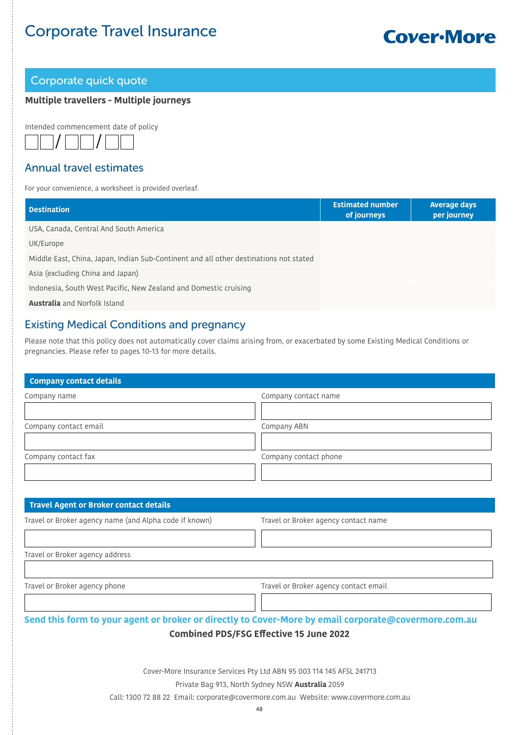# Corporate Travel Insurance

# **Cover-More**

### <span id="page-47-0"></span>Corporate quick quote

### **Multiple travellers - Multiple journeys**

Intended commencement date of policy



### Annual travel estimates

For your convenience, a worksheet is provided overleaf.

| <b>Destination</b>                                                                    | <b>Estimated number</b><br>of journeys | <b>Average days</b><br>per journey |
|---------------------------------------------------------------------------------------|----------------------------------------|------------------------------------|
| USA, Canada, Central And South America                                                |                                        |                                    |
| UK/Europe                                                                             |                                        |                                    |
| Middle East, China, Japan, Indian Sub-Continent and all other destinations not stated |                                        |                                    |
| Asia (excluding China and Japan)                                                      |                                        |                                    |
| Indonesia, South West Pacific, New Zealand and Domestic cruising                      |                                        |                                    |
| <b>Australia</b> and Norfolk Island                                                   |                                        |                                    |

## Existing Medical Conditions and pregnancy

Please note that this policy does not automatically cover claims arising from, or exacerbated by some Existing Medical Conditions or pregnancies. Please refer to pages [10](#page-9-0)-[13](#page-12-0) for more details.

| Company contact details |                       |
|-------------------------|-----------------------|
| Company name            | Company contact name  |
|                         |                       |
| Company contact email   | Company ABN           |
|                         |                       |
| Company contact fax     | Company contact phone |
|                         |                       |

| Travel Agent or Broker contact details                 |                                      |
|--------------------------------------------------------|--------------------------------------|
| Travel or Broker agency name (and Alpha code if known) | Travel or Broker agency contact name |
|                                                        |                                      |
| Travel or Broker agency address                        |                                      |

Travel or Broker agency phone Travel or Broker agency contact email

**Send this form to your agent or broker or directly to Cover-More by email corporate@covermore.com.au** 

### **Combined PDS/FSG Effective 15 June 2022**

Cover-More Insurance Services Pty Ltd ABN 95 003 114 145 AFSL 241713

#### Private Bag 913, North Sydney NSW **Australia** 2059

Call: 1300 72 88 22 Email: corporate@covermore.com.au Website: www.covermore.com.au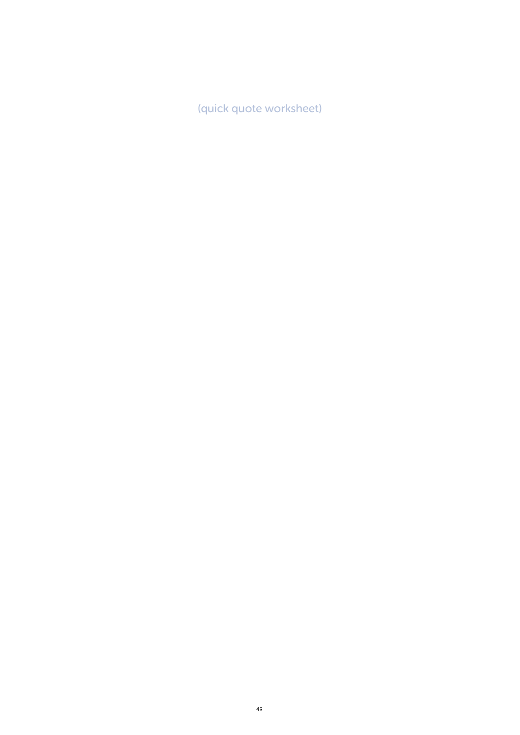(quick quote worksheet)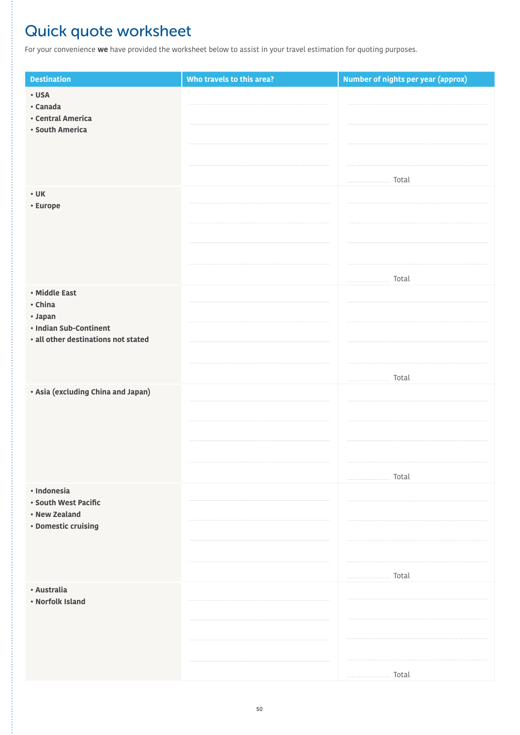# <span id="page-49-0"></span>Quick quote worksheet

For your convenience **we** have provided the worksheet below to assist in your travel estimation for quoting purposes.

| <b>Destination</b>                                                                  | Who travels to this area? | Number of nights per year (approx)                                                                                                                                                                                                                                                                                                                             |
|-------------------------------------------------------------------------------------|---------------------------|----------------------------------------------------------------------------------------------------------------------------------------------------------------------------------------------------------------------------------------------------------------------------------------------------------------------------------------------------------------|
| · USA<br>· Canada<br>· Central America<br>· South America                           |                           |                                                                                                                                                                                                                                                                                                                                                                |
| $\cdot$ UK<br>• Europe                                                              |                           | $\begin{tabular}{ll} \hline \rule{0.2cm}{0.15cm} \rule{0.2cm}{0.15cm} \rule{0.2cm}{0.15cm} \rule{0.2cm}{0.15cm} \rule{0.2cm}{0.15cm} \rule{0.2cm}{0.15cm} \rule{0.2cm}{0.15cm} \rule{0.2cm}{0.15cm} \rule{0.2cm}{0.15cm} \rule{0.2cm}{0.15cm} \rule{0.2cm}{0.15cm} \rule{0.2cm}{0.15cm} \rule{0.2cm}{0.15cm} \rule{0.2cm}{0.15cm} \rule{0.2cm}{0.15cm$         |
| · Middle East                                                                       |                           | $\begin{tabular}{ll} \hline \rule{0.2cm}{0.1cm} \rule{0.2cm}{0.1cm} \rule{0.2cm}{0.1cm} \rule{0.2cm}{0.1cm} \rule{0.2cm}{0.1cm} \rule{0.2cm}{0.1cm} \rule{0.2cm}{0.1cm} \rule{0.2cm}{0.1cm} \rule{0.2cm}{0.1cm} \rule{0.2cm}{0.1cm} \rule{0.2cm}{0.1cm} \rule{0.2cm}{0.1cm} \rule{0.2cm}{0.1cm} \rule{0.2cm}{0.1cm} \rule{0.2cm}{0.1cm} \rule{0.2cm}{0.1cm} \$ |
| • China<br>· Japan<br>• Indian Sub-Continent<br>· all other destinations not stated |                           |                                                                                                                                                                                                                                                                                                                                                                |
| · Asia (excluding China and Japan)                                                  |                           | Total                                                                                                                                                                                                                                                                                                                                                          |
| · Indonesia                                                                         |                           | $\begin{tabular}{ll} \hline \rule{0.2cm}{0.15cm} \rule{0.2cm}{0.15cm} \rule{0.2cm}{0.15cm} \rule{0.2cm}{0.15cm} \rule{0.2cm}{0.15cm} \rule{0.2cm}{0.15cm} \rule{0.2cm}{0.15cm} \rule{0.2cm}{0.15cm} \rule{0.2cm}{0.15cm} \rule{0.2cm}{0.15cm} \rule{0.2cm}{0.15cm} \rule{0.2cm}{0.15cm} \rule{0.2cm}{0.15cm} \rule{0.2cm}{0.15cm} \rule{0.2cm}{0.15cm$         |
| • South West Pacific<br>• New Zealand<br>• Domestic cruising                        |                           |                                                                                                                                                                                                                                                                                                                                                                |
| · Australia<br>• Norfolk Island                                                     |                           | $\begin{tabular}{ll} \hline \rule{0.2cm}{0.15cm} \rule{0.2cm}{0.15cm} \rule{0.2cm}{0.15cm} \rule{0.2cm}{0.15cm} \rule{0.2cm}{0.15cm} \rule{0.2cm}{0.15cm} \rule{0.2cm}{0.15cm} \rule{0.2cm}{0.15cm} \rule{0.2cm}{0.15cm} \rule{0.2cm}{0.15cm} \rule{0.2cm}{0.15cm} \rule{0.2cm}{0.15cm} \rule{0.2cm}{0.15cm} \rule{0.2cm}{0.15cm} \rule{0.2cm}{0.15cm$         |
|                                                                                     |                           | Total                                                                                                                                                                                                                                                                                                                                                          |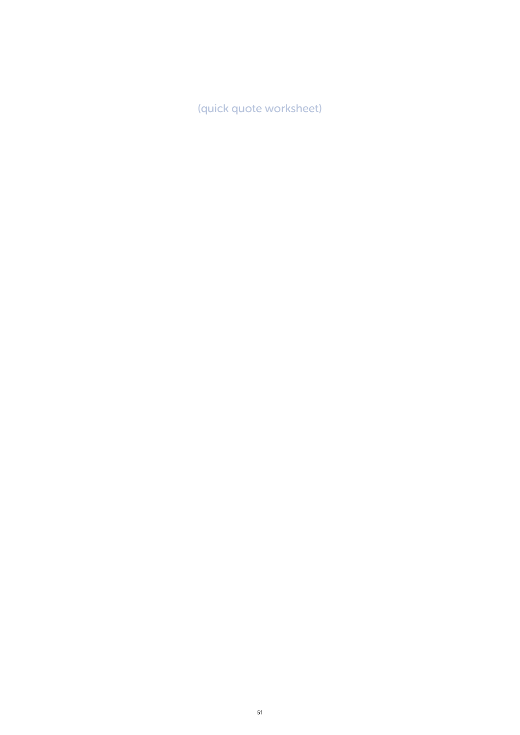(quick quote worksheet)